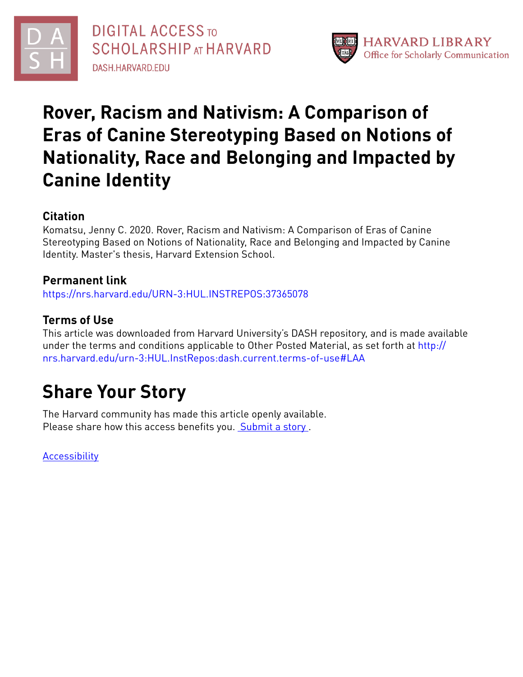



# **Rover, Racism and Nativism: A Comparison of Eras of Canine Stereotyping Based on Notions of Nationality, Race and Belonging and Impacted by Canine Identity**

# **Citation**

Komatsu, Jenny C. 2020. Rover, Racism and Nativism: A Comparison of Eras of Canine Stereotyping Based on Notions of Nationality, Race and Belonging and Impacted by Canine Identity. Master's thesis, Harvard Extension School.

# **Permanent link**

<https://nrs.harvard.edu/URN-3:HUL.INSTREPOS:37365078>

# **Terms of Use**

This article was downloaded from Harvard University's DASH repository, and is made available under the terms and conditions applicable to Other Posted Material, as set forth at [http://](http://nrs.harvard.edu/urn-3:HUL.InstRepos:dash.current.terms-of-use#LAA) [nrs.harvard.edu/urn-3:HUL.InstRepos:dash.current.terms-of-use#LAA](http://nrs.harvard.edu/urn-3:HUL.InstRepos:dash.current.terms-of-use#LAA)

# **Share Your Story**

The Harvard community has made this article openly available. Please share how this access benefits you. [Submit](http://osc.hul.harvard.edu/dash/open-access-feedback?handle=&title=Rover,%20Racism%20and%20Nativism:%20A%20Comparison%20of%20Eras%20of%20Canine%20Stereotyping%20Based%20on%20Notions%20of%20Nationality,%20Race%20and%20Belonging%20and%20Impacted%20by%20Canine%20Identity&community=1/14557738&collection=1/14557739&owningCollection1/14557739&harvardAuthors=9b167a5032feb2ed7ff0e1edb6bdf8d6&departmentHistory) a story.

**[Accessibility](https://dash.harvard.edu/pages/accessibility)**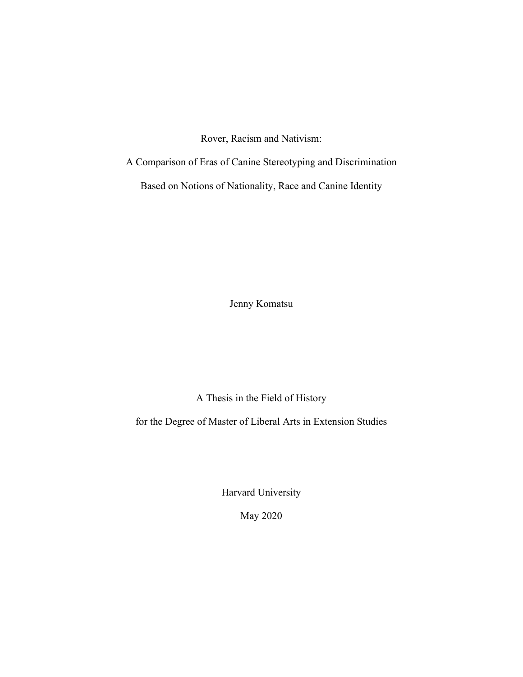Rover, Racism and Nativism:

A Comparison of Eras of Canine Stereotyping and Discrimination

Based on Notions of Nationality, Race and Canine Identity

Jenny Komatsu

A Thesis in the Field of History

for the Degree of Master of Liberal Arts in Extension Studies

Harvard University

May 2020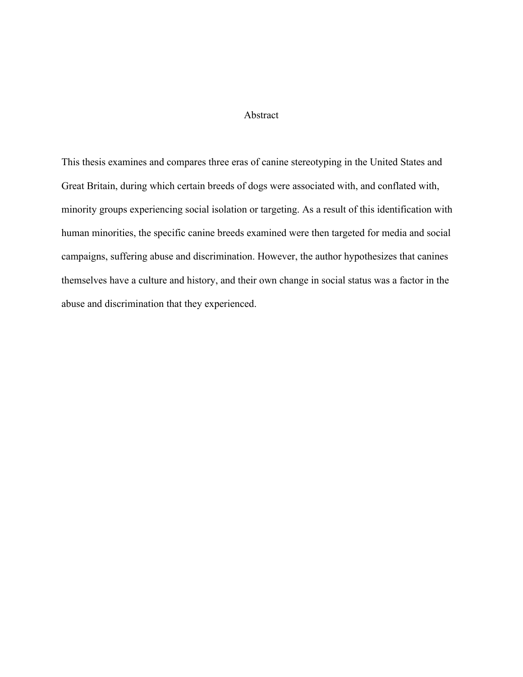#### Abstract

This thesis examines and compares three eras of canine stereotyping in the United States and Great Britain, during which certain breeds of dogs were associated with, and conflated with, minority groups experiencing social isolation or targeting. As a result of this identification with human minorities, the specific canine breeds examined were then targeted for media and social campaigns, suffering abuse and discrimination. However, the author hypothesizes that canines themselves have a culture and history, and their own change in social status was a factor in the abuse and discrimination that they experienced.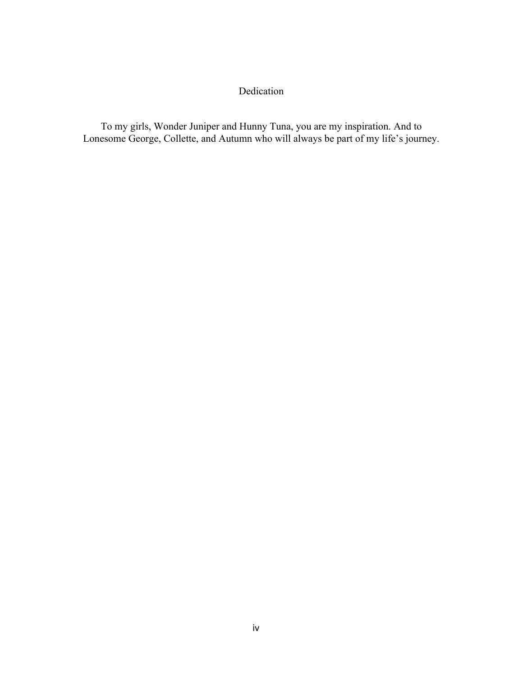## Dedication

To my girls, Wonder Juniper and Hunny Tuna, you are my inspiration. And to Lonesome George, Collette, and Autumn who will always be part of my life's journey.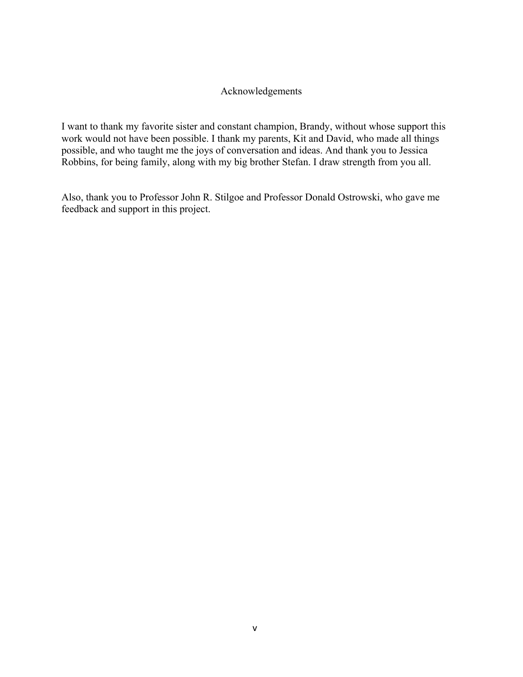### Acknowledgements

I want to thank my favorite sister and constant champion, Brandy, without whose support this work would not have been possible. I thank my parents, Kit and David, who made all things possible, and who taught me the joys of conversation and ideas. And thank you to Jessica Robbins, for being family, along with my big brother Stefan. I draw strength from you all.

Also, thank you to Professor John R. Stilgoe and Professor Donald Ostrowski, who gave me feedback and support in this project.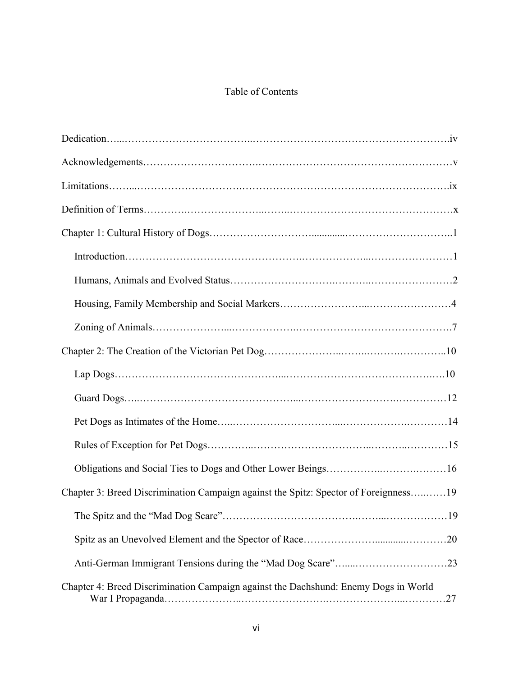## Table of Contents

| Chapter 3: Breed Discrimination Campaign against the Spitz: Spector of Foreignness19 |
|--------------------------------------------------------------------------------------|
|                                                                                      |
|                                                                                      |
|                                                                                      |
| Chapter 4: Breed Discrimination Campaign against the Dachshund: Enemy Dogs in World  |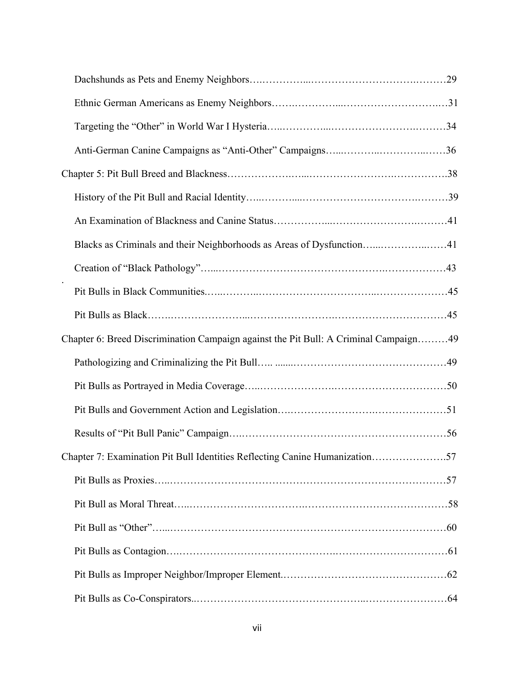| Blacks as Criminals and their Neighborhoods as Areas of Dysfunction41                |  |
|--------------------------------------------------------------------------------------|--|
|                                                                                      |  |
|                                                                                      |  |
|                                                                                      |  |
| Chapter 6: Breed Discrimination Campaign against the Pit Bull: A Criminal Campaign49 |  |
|                                                                                      |  |
|                                                                                      |  |
|                                                                                      |  |
|                                                                                      |  |
| Chapter 7: Examination Pit Bull Identities Reflecting Canine Humanization57          |  |
|                                                                                      |  |
|                                                                                      |  |
|                                                                                      |  |
|                                                                                      |  |
|                                                                                      |  |
|                                                                                      |  |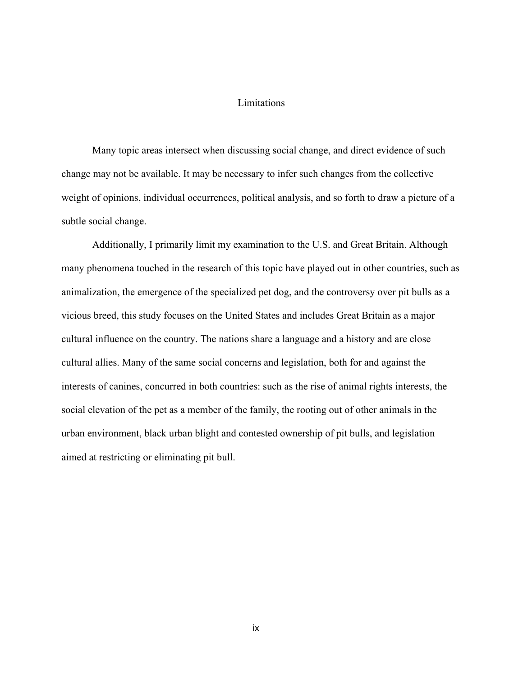#### Limitations

Many topic areas intersect when discussing social change, and direct evidence of such change may not be available. It may be necessary to infer such changes from the collective weight of opinions, individual occurrences, political analysis, and so forth to draw a picture of a subtle social change.

Additionally, I primarily limit my examination to the U.S. and Great Britain. Although many phenomena touched in the research of this topic have played out in other countries, such as animalization, the emergence of the specialized pet dog, and the controversy over pit bulls as a vicious breed, this study focuses on the United States and includes Great Britain as a major cultural influence on the country. The nations share a language and a history and are close cultural allies. Many of the same social concerns and legislation, both for and against the interests of canines, concurred in both countries: such as the rise of animal rights interests, the social elevation of the pet as a member of the family, the rooting out of other animals in the urban environment, black urban blight and contested ownership of pit bulls, and legislation aimed at restricting or eliminating pit bull.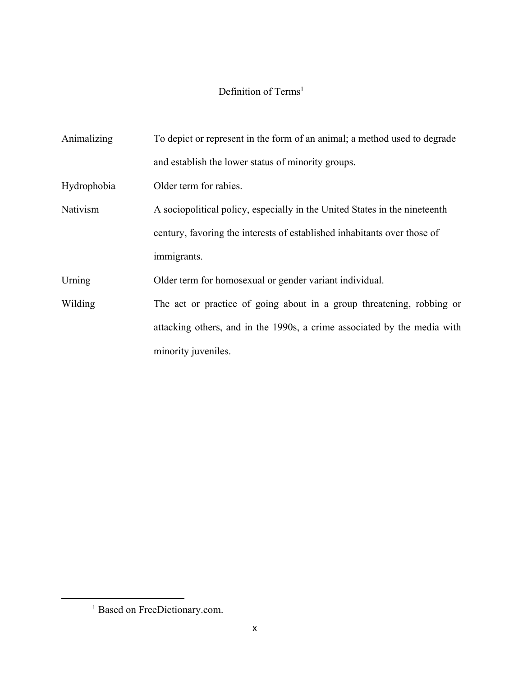### Definition of Terms<sup>1</sup>

Animalizing To depict or represent in the form of an animal; a method used to degrade and establish the lower status of minority groups. Hydrophobia Older term for rabies. Nativism A sociopolitical policy, especially in the United States in the nineteenth century, favoring the interests of established inhabitants over those of immigrants. Urning Older term for homosexual or gender variant individual. Wilding The act or practice of going about in a group threatening, robbing or attacking others, and in the 1990s, a crime associated by the media with minority juveniles.

<sup>&</sup>lt;sup>1</sup> Based on FreeDictionary.com.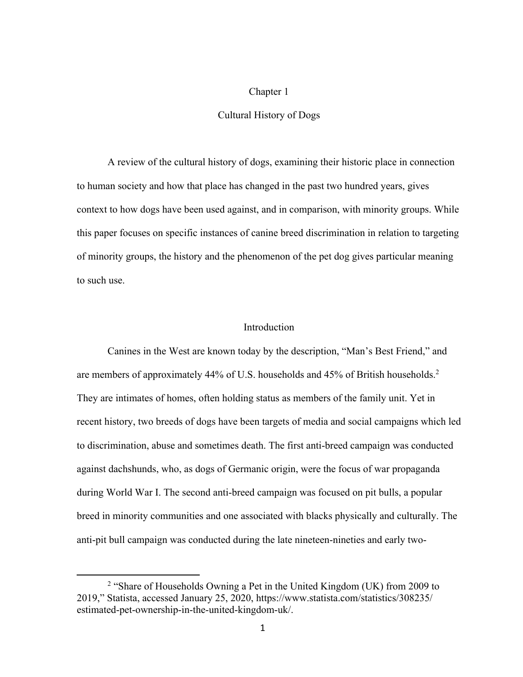#### Chapter 1

#### Cultural History of Dogs

A review of the cultural history of dogs, examining their historic place in connection to human society and how that place has changed in the past two hundred years, gives context to how dogs have been used against, and in comparison, with minority groups. While this paper focuses on specific instances of canine breed discrimination in relation to targeting of minority groups, the history and the phenomenon of the pet dog gives particular meaning to such use.

#### **Introduction**

Canines in the West are known today by the description, "Man's Best Friend," and are members of approximately 44% of U.S. households and 45% of British households.2 They are intimates of homes, often holding status as members of the family unit. Yet in recent history, two breeds of dogs have been targets of media and social campaigns which led to discrimination, abuse and sometimes death. The first anti-breed campaign was conducted against dachshunds, who, as dogs of Germanic origin, were the focus of war propaganda during World War I. The second anti-breed campaign was focused on pit bulls, a popular breed in minority communities and one associated with blacks physically and culturally. The anti-pit bull campaign was conducted during the late nineteen-nineties and early two-

<sup>2</sup> "Share of Households Owning a Pet in the United Kingdom (UK) from 2009 to 2019," Statista, accessed January 25, 2020, https://www.statista.com/statistics/308235/ estimated-pet-ownership-in-the-united-kingdom-uk/.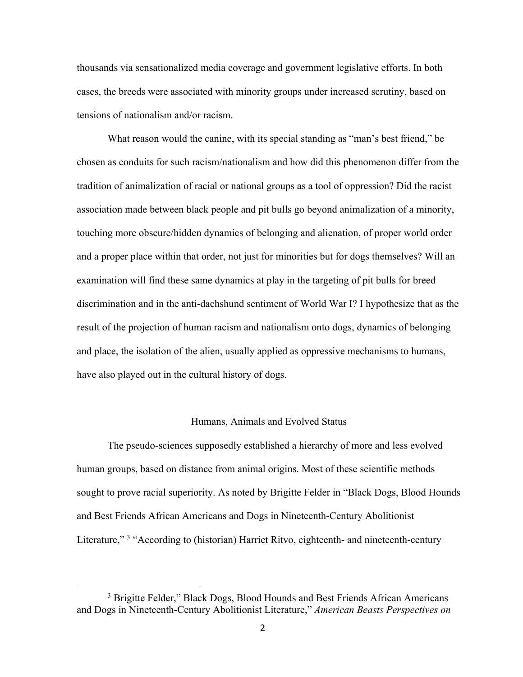thousands via sensationalized media coverage and government legislative efforts. In both cases, the breeds were associated with minority groups under increased scrutiny, based on tensions of nationalism and/or racism.

What reason would the canine, with its special standing as "man's best friend," be chosen as conduits for such racism/nationalism and how did this phenomenon differ from the tradition of animalization of racial or national groups as a tool of oppression? Did the racist association made between black people and pit bulls go beyond animalization of a minority, touching more obscure/hidden dynamics of belonging and alienation, of proper world order and a proper place within that order, not just for minorities but for dogs themselves? Will an examination will find these same dynamics at play in the targeting of pit bulls for breed discrimination and in the anti-dachshund sentiment of World War I? I hypothesize that as the result of the projection of human racism and nationalism onto dogs, dynamics of belonging and place, the isolation of the alien, usually applied as oppressive mechanisms to humans, have also played out in the cultural history of dogs.

#### Humans, Animals and Evolved Status

The pseudo-sciences supposedly established a hierarchy of more and less evolved human groups, based on distance from animal origins. Most of these scientific methods sought to prove racial superiority. As noted by Brigitte Felder in "Black Dogs, Blood Hounds and Best Friends African Americans and Dogs in Nineteenth-Century Abolitionist Literature,"<sup>3</sup> "According to (historian) Harriet Ritvo, eighteenth- and nineteenth-century

<sup>&</sup>lt;sup>3</sup> Brigitte Felder," Black Dogs, Blood Hounds and Best Friends African Americans and Dogs in Nineteenth-Century Abolitionist Literature," *American Beasts Perspectives on*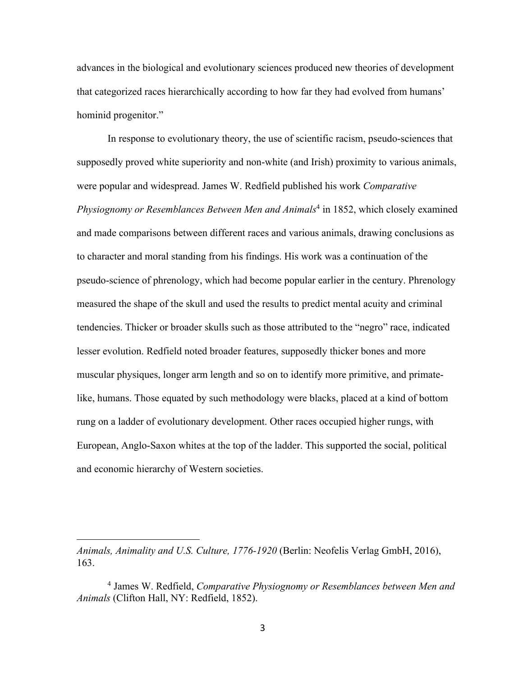advances in the biological and evolutionary sciences produced new theories of development that categorized races hierarchically according to how far they had evolved from humans' hominid progenitor."

In response to evolutionary theory, the use of scientific racism, pseudo-sciences that supposedly proved white superiority and non-white (and Irish) proximity to various animals, were popular and widespread. James W. Redfield published his work *Comparative Physiognomy or Resemblances Between Men and Animals*<sup>4</sup> in 1852, which closely examined and made comparisons between different races and various animals, drawing conclusions as to character and moral standing from his findings. His work was a continuation of the pseudo-science of phrenology, which had become popular earlier in the century. Phrenology measured the shape of the skull and used the results to predict mental acuity and criminal tendencies. Thicker or broader skulls such as those attributed to the "negro" race, indicated lesser evolution. Redfield noted broader features, supposedly thicker bones and more muscular physiques, longer arm length and so on to identify more primitive, and primatelike, humans. Those equated by such methodology were blacks, placed at a kind of bottom rung on a ladder of evolutionary development. Other races occupied higher rungs, with European, Anglo-Saxon whites at the top of the ladder. This supported the social, political and economic hierarchy of Western societies.

*Animals, Animality and U.S. Culture, 1776-1920* (Berlin: Neofelis Verlag GmbH, 2016), 163.

<sup>4</sup> James W. Redfield, *Comparative Physiognomy or Resemblances between Men and Animals* (Clifton Hall, NY: Redfield, 1852).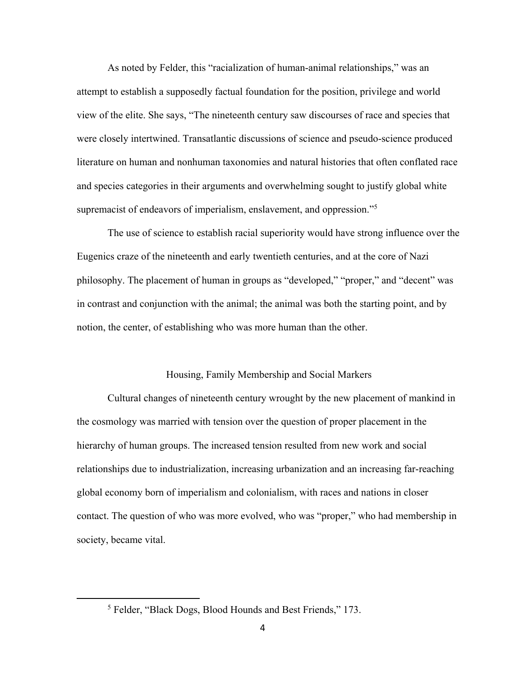As noted by Felder, this "racialization of human-animal relationships," was an attempt to establish a supposedly factual foundation for the position, privilege and world view of the elite. She says, "The nineteenth century saw discourses of race and species that were closely intertwined. Transatlantic discussions of science and pseudo-science produced literature on human and nonhuman taxonomies and natural histories that often conflated race and species categories in their arguments and overwhelming sought to justify global white supremacist of endeavors of imperialism, enslavement, and oppression."<sup>5</sup>

The use of science to establish racial superiority would have strong influence over the Eugenics craze of the nineteenth and early twentieth centuries, and at the core of Nazi philosophy. The placement of human in groups as "developed," "proper," and "decent" was in contrast and conjunction with the animal; the animal was both the starting point, and by notion, the center, of establishing who was more human than the other.

#### Housing, Family Membership and Social Markers

Cultural changes of nineteenth century wrought by the new placement of mankind in the cosmology was married with tension over the question of proper placement in the hierarchy of human groups. The increased tension resulted from new work and social relationships due to industrialization, increasing urbanization and an increasing far-reaching global economy born of imperialism and colonialism, with races and nations in closer contact. The question of who was more evolved, who was "proper," who had membership in society, became vital.

<sup>5</sup> Felder, "Black Dogs, Blood Hounds and Best Friends," 173.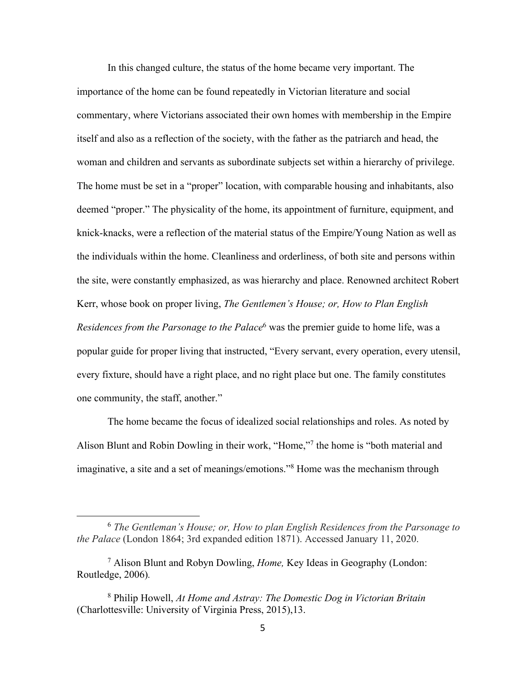In this changed culture, the status of the home became very important. The importance of the home can be found repeatedly in Victorian literature and social commentary, where Victorians associated their own homes with membership in the Empire itself and also as a reflection of the society, with the father as the patriarch and head, the woman and children and servants as subordinate subjects set within a hierarchy of privilege. The home must be set in a "proper" location, with comparable housing and inhabitants, also deemed "proper." The physicality of the home, its appointment of furniture, equipment, and knick-knacks, were a reflection of the material status of the Empire/Young Nation as well as the individuals within the home. Cleanliness and orderliness, of both site and persons within the site, were constantly emphasized, as was hierarchy and place. Renowned architect Robert Kerr, whose book on proper living, *The Gentlemen's House; or, How to Plan English Residences from the Parsonage to the Palace*<sup>6</sup> was the premier guide to home life, was a popular guide for proper living that instructed, "Every servant, every operation, every utensil, every fixture, should have a right place, and no right place but one. The family constitutes one community, the staff, another."

The home became the focus of idealized social relationships and roles. As noted by Alison Blunt and Robin Dowling in their work, "Home,"7 the home is "both material and imaginative, a site and a set of meanings/emotions."8 Home was the mechanism through

<sup>6</sup> *The Gentleman's House; or, How to plan English Residences from the Parsonage to the Palace* (London 1864; 3rd expanded edition 1871). Accessed January 11, 2020.

<sup>7</sup> Alison Blunt and Robyn Dowling, *Home,* Key Ideas in Geography (London: Routledge, 2006)*.*

<sup>8</sup> Philip Howell, *At Home and Astray: The Domestic Dog in Victorian Britain*  (Charlottesville: University of Virginia Press, 2015),13.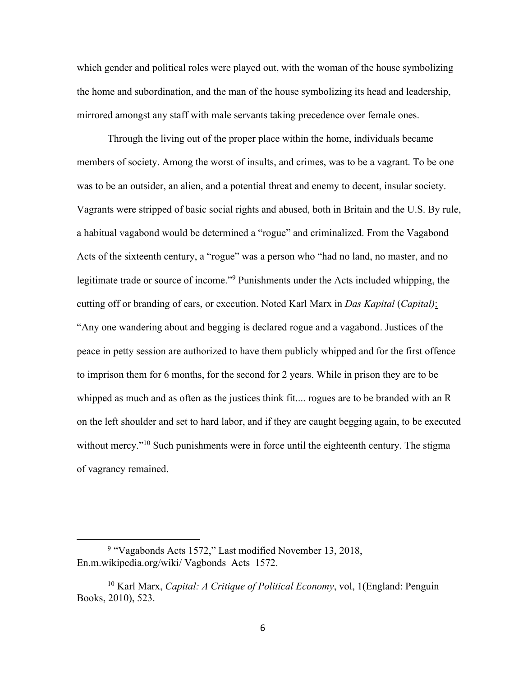which gender and political roles were played out, with the woman of the house symbolizing the home and subordination, and the man of the house symbolizing its head and leadership, mirrored amongst any staff with male servants taking precedence over female ones.

Through the living out of the proper place within the home, individuals became members of society. Among the worst of insults, and crimes, was to be a vagrant. To be one was to be an outsider, an alien, and a potential threat and enemy to decent, insular society. Vagrants were stripped of basic social rights and abused, both in Britain and the U.S. By rule, a habitual vagabond would be determined a "rogue" and criminalized. From the Vagabond Acts of the sixteenth century, a "rogue" was a person who "had no land, no master, and no legitimate trade or source of income."9 Punishments under the Acts included whipping, the cutting off or branding of ears, or execution. Noted Karl Marx in *Das Kapital* (*Capital)*: "Any one wandering about and begging is declared rogue and a vagabond. Justices of the peace in petty session are authorized to have them publicly whipped and for the first offence to imprison them for 6 months, for the second for 2 years. While in prison they are to be whipped as much and as often as the justices think fit.... rogues are to be branded with an R on the left shoulder and set to hard labor, and if they are caught begging again, to be executed without mercy."<sup>10</sup> Such punishments were in force until the eighteenth century. The stigma of vagrancy remained.

<sup>9</sup> "Vagabonds Acts 1572," Last modified November 13, 2018, En.m.wikipedia.org/wiki/ Vagbonds\_Acts\_1572.

<sup>10</sup> Karl Marx, *Capital: A Critique of Political Economy*, vol, 1(England: Penguin Books, 2010), 523.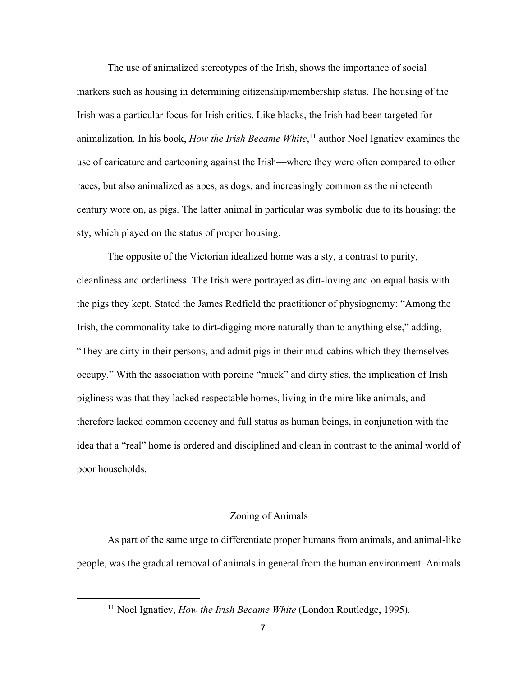The use of animalized stereotypes of the Irish, shows the importance of social markers such as housing in determining citizenship/membership status. The housing of the Irish was a particular focus for Irish critics. Like blacks, the Irish had been targeted for animalization. In his book, *How the Irish Became White*, <sup>11</sup> author Noel Ignatiev examines the use of caricature and cartooning against the Irish—where they were often compared to other races, but also animalized as apes, as dogs, and increasingly common as the nineteenth century wore on, as pigs. The latter animal in particular was symbolic due to its housing: the sty, which played on the status of proper housing.

The opposite of the Victorian idealized home was a sty, a contrast to purity, cleanliness and orderliness. The Irish were portrayed as dirt-loving and on equal basis with the pigs they kept. Stated the James Redfield the practitioner of physiognomy: "Among the Irish, the commonality take to dirt-digging more naturally than to anything else," adding, "They are dirty in their persons, and admit pigs in their mud-cabins which they themselves occupy." With the association with porcine "muck" and dirty sties, the implication of Irish pigliness was that they lacked respectable homes, living in the mire like animals, and therefore lacked common decency and full status as human beings, in conjunction with the idea that a "real" home is ordered and disciplined and clean in contrast to the animal world of poor households.

#### Zoning of Animals

As part of the same urge to differentiate proper humans from animals, and animal-like people, was the gradual removal of animals in general from the human environment. Animals

<sup>&</sup>lt;sup>11</sup> Noel Ignatiev, *How the Irish Became White* (London Routledge, 1995).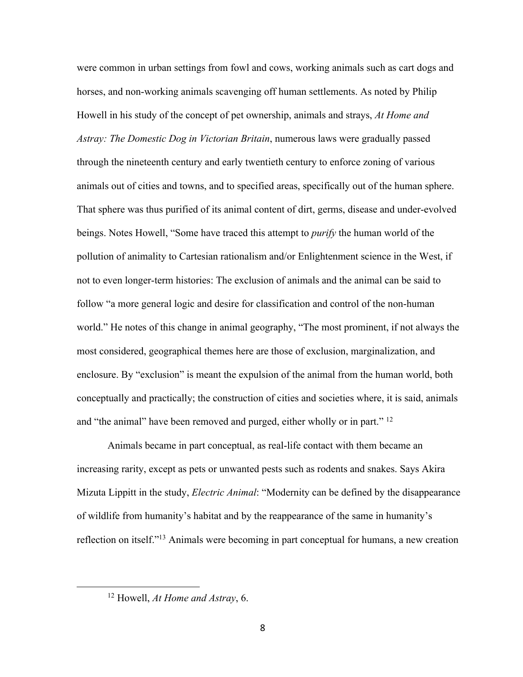were common in urban settings from fowl and cows, working animals such as cart dogs and horses, and non-working animals scavenging off human settlements. As noted by Philip Howell in his study of the concept of pet ownership, animals and strays, *At Home and Astray: The Domestic Dog in Victorian Britain*, numerous laws were gradually passed through the nineteenth century and early twentieth century to enforce zoning of various animals out of cities and towns, and to specified areas, specifically out of the human sphere. That sphere was thus purified of its animal content of dirt, germs, disease and under-evolved beings. Notes Howell, "Some have traced this attempt to *purify* the human world of the pollution of animality to Cartesian rationalism and/or Enlightenment science in the West, if not to even longer-term histories: The exclusion of animals and the animal can be said to follow "a more general logic and desire for classification and control of the non-human world." He notes of this change in animal geography, "The most prominent, if not always the most considered, geographical themes here are those of exclusion, marginalization, and enclosure. By "exclusion" is meant the expulsion of the animal from the human world, both conceptually and practically; the construction of cities and societies where, it is said, animals and "the animal" have been removed and purged, either wholly or in part." <sup>12</sup>

Animals became in part conceptual, as real-life contact with them became an increasing rarity, except as pets or unwanted pests such as rodents and snakes. Says Akira Mizuta Lippitt in the study, *Electric Animal*: "Modernity can be defined by the disappearance of wildlife from humanity's habitat and by the reappearance of the same in humanity's reflection on itself."13 Animals were becoming in part conceptual for humans, a new creation

<sup>12</sup> Howell, *At Home and Astray*, 6.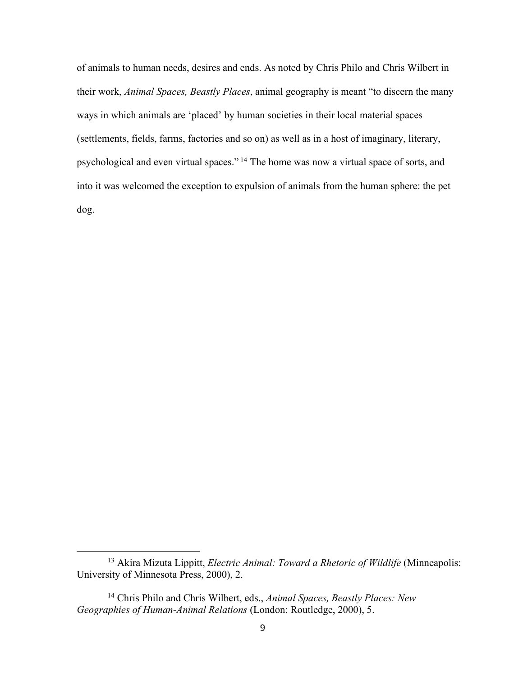of animals to human needs, desires and ends. As noted by Chris Philo and Chris Wilbert in their work, *Animal Spaces, Beastly Places*, animal geography is meant "to discern the many ways in which animals are 'placed' by human societies in their local material spaces (settlements, fields, farms, factories and so on) as well as in a host of imaginary, literary, psychological and even virtual spaces." <sup>14</sup> The home was now a virtual space of sorts, and into it was welcomed the exception to expulsion of animals from the human sphere: the pet dog.

<sup>13</sup> Akira Mizuta Lippitt, *Electric Animal: Toward a Rhetoric of Wildlife* (Minneapolis: University of Minnesota Press, 2000), 2.

<sup>14</sup> Chris Philo and Chris Wilbert, eds., *Animal Spaces, Beastly Places: New Geographies of Human-Animal Relations* (London: Routledge, 2000), 5.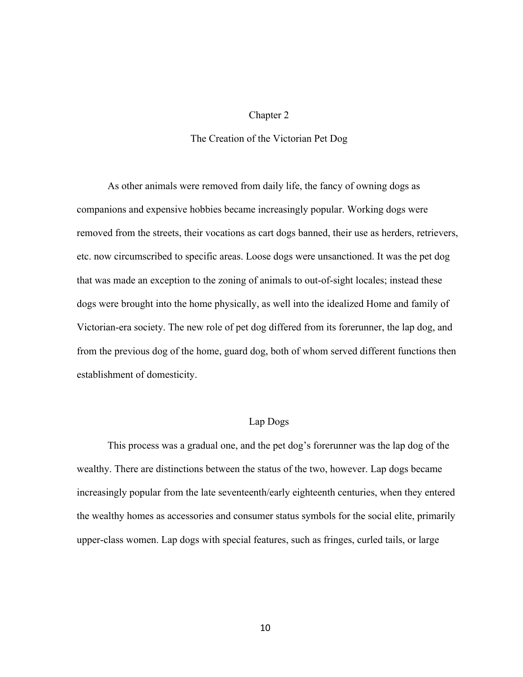#### Chapter 2

#### The Creation of the Victorian Pet Dog

As other animals were removed from daily life, the fancy of owning dogs as companions and expensive hobbies became increasingly popular. Working dogs were removed from the streets, their vocations as cart dogs banned, their use as herders, retrievers, etc. now circumscribed to specific areas. Loose dogs were unsanctioned. It was the pet dog that was made an exception to the zoning of animals to out-of-sight locales; instead these dogs were brought into the home physically, as well into the idealized Home and family of Victorian-era society. The new role of pet dog differed from its forerunner, the lap dog, and from the previous dog of the home, guard dog, both of whom served different functions then establishment of domesticity.

#### Lap Dogs

This process was a gradual one, and the pet dog's forerunner was the lap dog of the wealthy. There are distinctions between the status of the two, however. Lap dogs became increasingly popular from the late seventeenth/early eighteenth centuries, when they entered the wealthy homes as accessories and consumer status symbols for the social elite, primarily upper-class women. Lap dogs with special features, such as fringes, curled tails, or large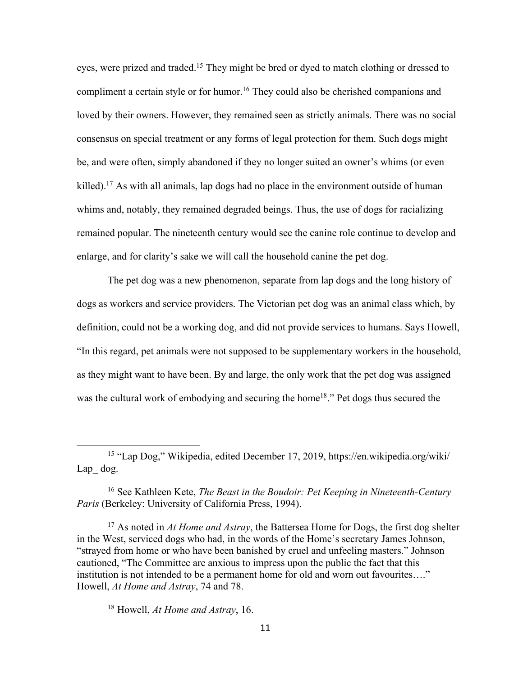eyes, were prized and traded.15 They might be bred or dyed to match clothing or dressed to compliment a certain style or for humor.<sup>16</sup> They could also be cherished companions and loved by their owners. However, they remained seen as strictly animals. There was no social consensus on special treatment or any forms of legal protection for them. Such dogs might be, and were often, simply abandoned if they no longer suited an owner's whims (or even killed).<sup>17</sup> As with all animals, lap dogs had no place in the environment outside of human whims and, notably, they remained degraded beings. Thus, the use of dogs for racializing remained popular. The nineteenth century would see the canine role continue to develop and enlarge, and for clarity's sake we will call the household canine the pet dog.

The pet dog was a new phenomenon, separate from lap dogs and the long history of dogs as workers and service providers. The Victorian pet dog was an animal class which, by definition, could not be a working dog, and did not provide services to humans. Says Howell, "In this regard, pet animals were not supposed to be supplementary workers in the household, as they might want to have been. By and large, the only work that the pet dog was assigned was the cultural work of embodying and securing the home<sup>18</sup>." Pet dogs thus secured the

<sup>17</sup> As noted in *At Home and Astray*, the Battersea Home for Dogs, the first dog shelter in the West, serviced dogs who had, in the words of the Home's secretary James Johnson, "strayed from home or who have been banished by cruel and unfeeling masters." Johnson cautioned, "The Committee are anxious to impress upon the public the fact that this institution is not intended to be a permanent home for old and worn out favourites…." Howell, *At Home and Astray*, 74 and 78.

<sup>18</sup> Howell, *At Home and Astray*, 16.

<sup>15</sup> "Lap Dog," Wikipedia, edited December 17, 2019, https://en.wikipedia.org/wiki/ Lap\_ dog.

<sup>16</sup> See Kathleen Kete, *The Beast in the Boudoir: Pet Keeping in Nineteenth-Century Paris* (Berkeley: University of California Press, 1994).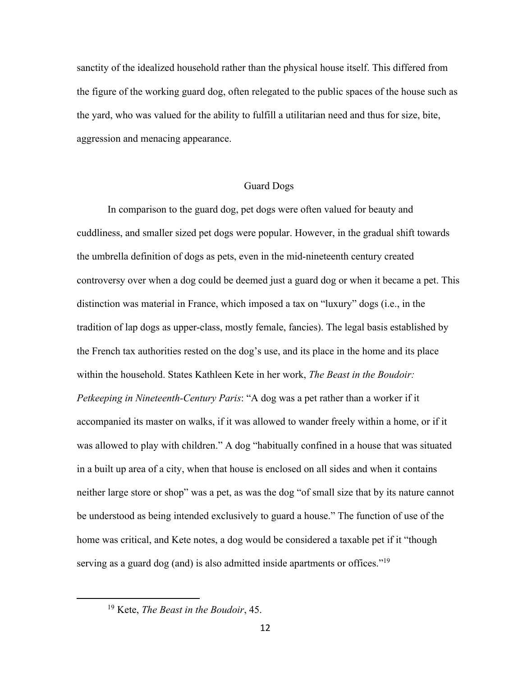sanctity of the idealized household rather than the physical house itself. This differed from the figure of the working guard dog, often relegated to the public spaces of the house such as the yard, who was valued for the ability to fulfill a utilitarian need and thus for size, bite, aggression and menacing appearance.

#### Guard Dogs

In comparison to the guard dog, pet dogs were often valued for beauty and cuddliness, and smaller sized pet dogs were popular. However, in the gradual shift towards the umbrella definition of dogs as pets, even in the mid-nineteenth century created controversy over when a dog could be deemed just a guard dog or when it became a pet. This distinction was material in France, which imposed a tax on "luxury" dogs (i.e., in the tradition of lap dogs as upper-class, mostly female, fancies). The legal basis established by the French tax authorities rested on the dog's use, and its place in the home and its place within the household. States Kathleen Kete in her work, *The Beast in the Boudoir: Petkeeping in Nineteenth-Century Paris*: "A dog was a pet rather than a worker if it accompanied its master on walks, if it was allowed to wander freely within a home, or if it was allowed to play with children." A dog "habitually confined in a house that was situated in a built up area of a city, when that house is enclosed on all sides and when it contains neither large store or shop" was a pet, as was the dog "of small size that by its nature cannot be understood as being intended exclusively to guard a house." The function of use of the home was critical, and Kete notes, a dog would be considered a taxable pet if it "though serving as a guard dog (and) is also admitted inside apartments or offices."<sup>19</sup>

<sup>19</sup> Kete, *The Beast in the Boudoir*, 45.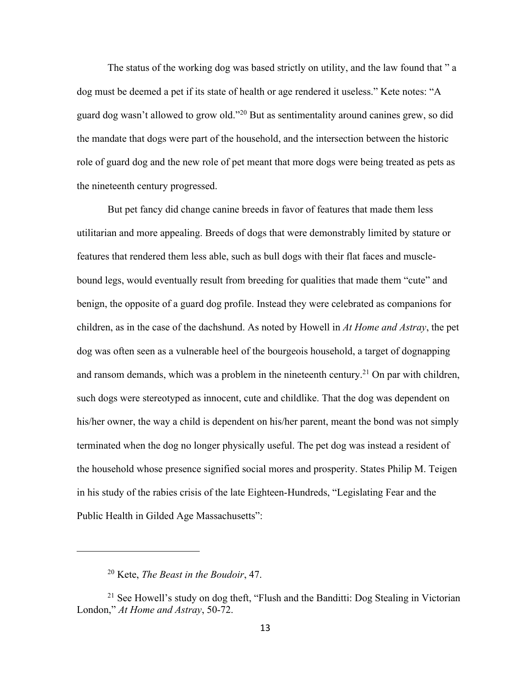The status of the working dog was based strictly on utility, and the law found that " a dog must be deemed a pet if its state of health or age rendered it useless." Kete notes: "A guard dog wasn't allowed to grow old."20 But as sentimentality around canines grew, so did the mandate that dogs were part of the household, and the intersection between the historic role of guard dog and the new role of pet meant that more dogs were being treated as pets as the nineteenth century progressed.

But pet fancy did change canine breeds in favor of features that made them less utilitarian and more appealing. Breeds of dogs that were demonstrably limited by stature or features that rendered them less able, such as bull dogs with their flat faces and musclebound legs, would eventually result from breeding for qualities that made them "cute" and benign, the opposite of a guard dog profile. Instead they were celebrated as companions for children, as in the case of the dachshund. As noted by Howell in *At Home and Astray*, the pet dog was often seen as a vulnerable heel of the bourgeois household, a target of dognapping and ransom demands, which was a problem in the nineteenth century.<sup>21</sup> On par with children, such dogs were stereotyped as innocent, cute and childlike. That the dog was dependent on his/her owner, the way a child is dependent on his/her parent, meant the bond was not simply terminated when the dog no longer physically useful. The pet dog was instead a resident of the household whose presence signified social mores and prosperity. States Philip M. Teigen in his study of the rabies crisis of the late Eighteen-Hundreds, "Legislating Fear and the Public Health in Gilded Age Massachusetts":

<sup>20</sup> Kete, *The Beast in the Boudoir*, 47.

<sup>&</sup>lt;sup>21</sup> See Howell's study on dog theft, "Flush and the Banditti: Dog Stealing in Victorian London," *At Home and Astray*, 50-72.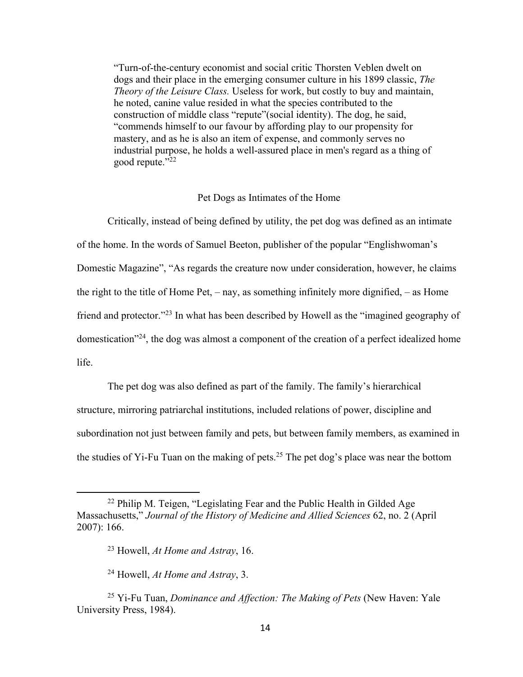"Turn-of-the-century economist and social critic Thorsten Veblen dwelt on dogs and their place in the emerging consumer culture in his 1899 classic, *The Theory of the Leisure Class.* Useless for work, but costly to buy and maintain, he noted, canine value resided in what the species contributed to the construction of middle class "repute"(social identity). The dog, he said, "commends himself to our favour by affording play to our propensity for mastery, and as he is also an item of expense, and commonly serves no industrial purpose, he holds a well-assured place in men's regard as a thing of good repute."22

#### Pet Dogs as Intimates of the Home

Critically, instead of being defined by utility, the pet dog was defined as an intimate of the home. In the words of Samuel Beeton, publisher of the popular "Englishwoman's Domestic Magazine", "As regards the creature now under consideration, however, he claims the right to the title of Home Pet, – nay, as something infinitely more dignified, – as Home friend and protector."23 In what has been described by Howell as the "imagined geography of domestication"24, the dog was almost a component of the creation of a perfect idealized home life.

The pet dog was also defined as part of the family. The family's hierarchical structure, mirroring patriarchal institutions, included relations of power, discipline and subordination not just between family and pets, but between family members, as examined in the studies of Yi-Fu Tuan on the making of pets.<sup>25</sup> The pet dog's place was near the bottom

<sup>&</sup>lt;sup>22</sup> Philip M. Teigen, "Legislating Fear and the Public Health in Gilded Age Massachusetts," *Journal of the History of Medicine and Allied Sciences* 62, no. 2 (April 2007): 166.

<sup>23</sup> Howell, *At Home and Astray*, 16.

<sup>24</sup> Howell, *At Home and Astray*, 3.

<sup>25</sup> Yi-Fu Tuan, *Dominance and Affection: The Making of Pets* (New Haven: Yale University Press, 1984).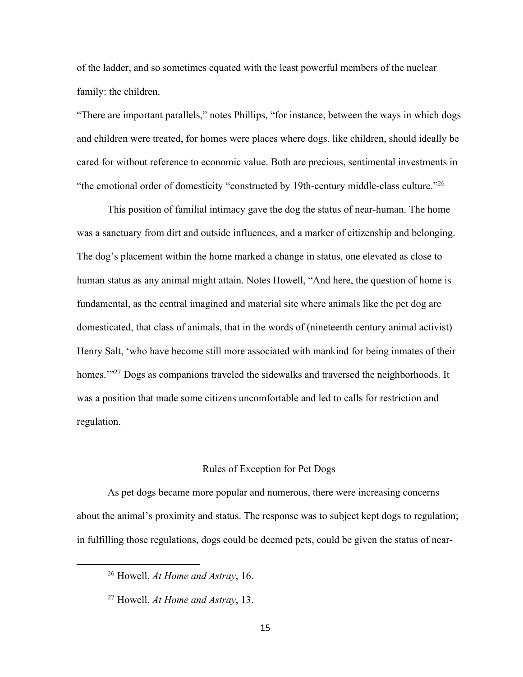of the ladder, and so sometimes equated with the least powerful members of the nuclear family: the children.

"There are important parallels," notes Phillips, "for instance, between the ways in which dogs and children were treated, for homes were places where dogs, like children, should ideally be cared for without reference to economic value. Both are precious, sentimental investments in "the emotional order of domesticity "constructed by 19th-century middle-class culture."26

This position of familial intimacy gave the dog the status of near-human. The home was a sanctuary from dirt and outside influences, and a marker of citizenship and belonging. The dog's placement within the home marked a change in status, one elevated as close to human status as any animal might attain. Notes Howell, "And here, the question of home is fundamental, as the central imagined and material site where animals like the pet dog are domesticated, that class of animals, that in the words of (nineteenth century animal activist) Henry Salt, 'who have become still more associated with mankind for being inmates of their homes."<sup>27</sup> Dogs as companions traveled the sidewalks and traversed the neighborhoods. It was a position that made some citizens uncomfortable and led to calls for restriction and regulation.

#### Rules of Exception for Pet Dogs

As pet dogs became more popular and numerous, there were increasing concerns about the animal's proximity and status. The response was to subject kept dogs to regulation; in fulfilling those regulations, dogs could be deemed pets, could be given the status of near-

<sup>26</sup> Howell, *At Home and Astray*, 16.

<sup>27</sup> Howell, *At Home and Astray*, 13.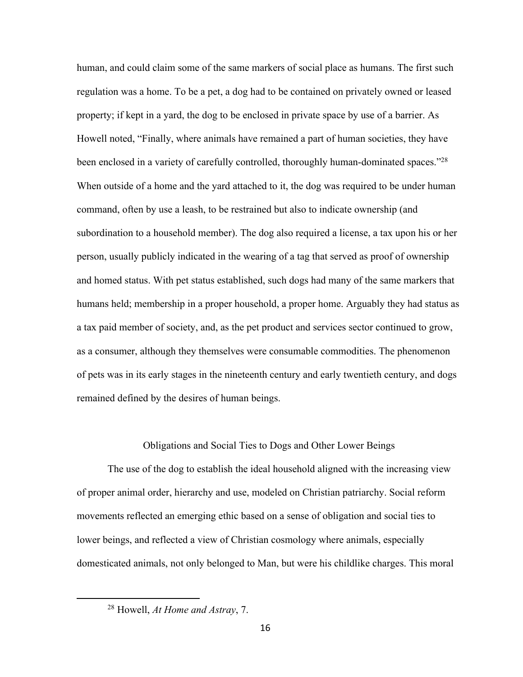human, and could claim some of the same markers of social place as humans. The first such regulation was a home. To be a pet, a dog had to be contained on privately owned or leased property; if kept in a yard, the dog to be enclosed in private space by use of a barrier. As Howell noted, "Finally, where animals have remained a part of human societies, they have been enclosed in a variety of carefully controlled, thoroughly human-dominated spaces."<sup>28</sup> When outside of a home and the yard attached to it, the dog was required to be under human command, often by use a leash, to be restrained but also to indicate ownership (and subordination to a household member). The dog also required a license, a tax upon his or her person, usually publicly indicated in the wearing of a tag that served as proof of ownership and homed status. With pet status established, such dogs had many of the same markers that humans held; membership in a proper household, a proper home. Arguably they had status as a tax paid member of society, and, as the pet product and services sector continued to grow, as a consumer, although they themselves were consumable commodities. The phenomenon of pets was in its early stages in the nineteenth century and early twentieth century, and dogs remained defined by the desires of human beings.

#### Obligations and Social Ties to Dogs and Other Lower Beings

The use of the dog to establish the ideal household aligned with the increasing view of proper animal order, hierarchy and use, modeled on Christian patriarchy. Social reform movements reflected an emerging ethic based on a sense of obligation and social ties to lower beings, and reflected a view of Christian cosmology where animals, especially domesticated animals, not only belonged to Man, but were his childlike charges. This moral

<sup>28</sup> Howell, *At Home and Astray*, 7.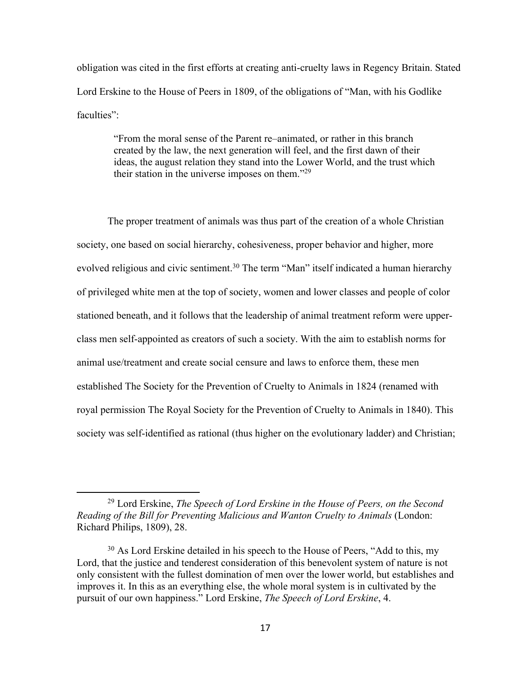obligation was cited in the first efforts at creating anti-cruelty laws in Regency Britain. Stated Lord Erskine to the House of Peers in 1809, of the obligations of "Man, with his Godlike faculties":

"From the moral sense of the Parent re–animated, or rather in this branch created by the law, the next generation will feel, and the first dawn of their ideas, the august relation they stand into the Lower World, and the trust which their station in the universe imposes on them."29

The proper treatment of animals was thus part of the creation of a whole Christian society, one based on social hierarchy, cohesiveness, proper behavior and higher, more evolved religious and civic sentiment.<sup>30</sup> The term "Man" itself indicated a human hierarchy of privileged white men at the top of society, women and lower classes and people of color stationed beneath, and it follows that the leadership of animal treatment reform were upperclass men self-appointed as creators of such a society. With the aim to establish norms for animal use/treatment and create social censure and laws to enforce them, these men established The Society for the Prevention of Cruelty to Animals in 1824 (renamed with royal permission The Royal Society for the Prevention of Cruelty to Animals in 1840). This society was self-identified as rational (thus higher on the evolutionary ladder) and Christian;

<sup>29</sup> Lord Erskine, *The Speech of Lord Erskine in the House of Peers, on the Second Reading of the Bill for Preventing Malicious and Wanton Cruelty to Animals* (London: Richard Philips, 1809), 28.

 $30$  As Lord Erskine detailed in his speech to the House of Peers, "Add to this, my Lord, that the justice and tenderest consideration of this benevolent system of nature is not only consistent with the fullest domination of men over the lower world, but establishes and improves it. In this as an everything else, the whole moral system is in cultivated by the pursuit of our own happiness." Lord Erskine, *The Speech of Lord Erskine*, 4.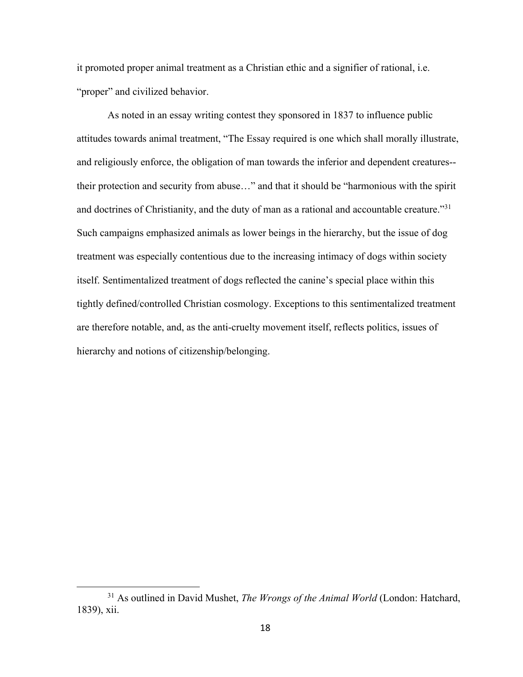it promoted proper animal treatment as a Christian ethic and a signifier of rational, i.e. "proper" and civilized behavior.

As noted in an essay writing contest they sponsored in 1837 to influence public attitudes towards animal treatment, "The Essay required is one which shall morally illustrate, and religiously enforce, the obligation of man towards the inferior and dependent creatures- their protection and security from abuse…" and that it should be "harmonious with the spirit and doctrines of Christianity, and the duty of man as a rational and accountable creature."<sup>31</sup> Such campaigns emphasized animals as lower beings in the hierarchy, but the issue of dog treatment was especially contentious due to the increasing intimacy of dogs within society itself. Sentimentalized treatment of dogs reflected the canine's special place within this tightly defined/controlled Christian cosmology. Exceptions to this sentimentalized treatment are therefore notable, and, as the anti-cruelty movement itself, reflects politics, issues of hierarchy and notions of citizenship/belonging.

<sup>31</sup> As outlined in David Mushet, *The Wrongs of the Animal World* (London: Hatchard, 1839), xii.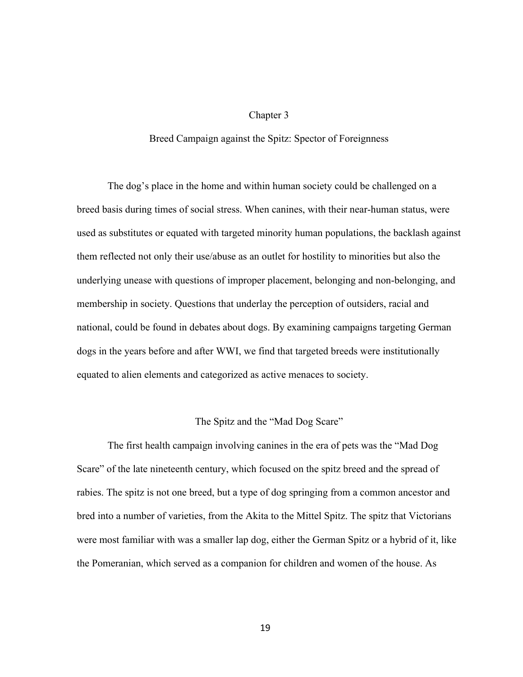#### Chapter 3

#### Breed Campaign against the Spitz: Spector of Foreignness

The dog's place in the home and within human society could be challenged on a breed basis during times of social stress. When canines, with their near-human status, were used as substitutes or equated with targeted minority human populations, the backlash against them reflected not only their use/abuse as an outlet for hostility to minorities but also the underlying unease with questions of improper placement, belonging and non-belonging, and membership in society. Questions that underlay the perception of outsiders, racial and national, could be found in debates about dogs. By examining campaigns targeting German dogs in the years before and after WWI, we find that targeted breeds were institutionally equated to alien elements and categorized as active menaces to society.

#### The Spitz and the "Mad Dog Scare"

The first health campaign involving canines in the era of pets was the "Mad Dog Scare" of the late nineteenth century, which focused on the spitz breed and the spread of rabies. The spitz is not one breed, but a type of dog springing from a common ancestor and bred into a number of varieties, from the Akita to the Mittel Spitz. The spitz that Victorians were most familiar with was a smaller lap dog, either the German Spitz or a hybrid of it, like the Pomeranian, which served as a companion for children and women of the house. As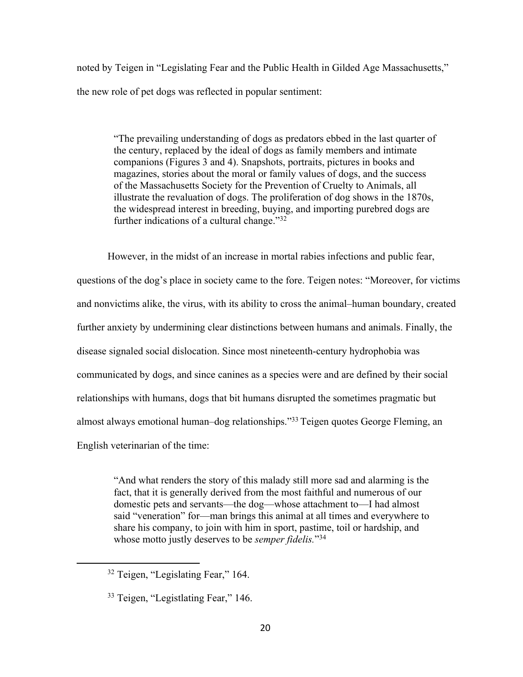noted by Teigen in "Legislating Fear and the Public Health in Gilded Age Massachusetts," the new role of pet dogs was reflected in popular sentiment:

"The prevailing understanding of dogs as predators ebbed in the last quarter of the century, replaced by the ideal of dogs as family members and intimate companions (Figures 3 and 4). Snapshots, portraits, pictures in books and magazines, stories about the moral or family values of dogs, and the success of the Massachusetts Society for the Prevention of Cruelty to Animals, all illustrate the revaluation of dogs. The proliferation of dog shows in the 1870s, the widespread interest in breeding, buying, and importing purebred dogs are further indications of a cultural change."<sup>32</sup>

However, in the midst of an increase in mortal rabies infections and public fear, questions of the dog's place in society came to the fore. Teigen notes: "Moreover, for victims and nonvictims alike, the virus, with its ability to cross the animal–human boundary, created further anxiety by undermining clear distinctions between humans and animals. Finally, the disease signaled social dislocation. Since most nineteenth-century hydrophobia was communicated by dogs, and since canines as a species were and are defined by their social relationships with humans, dogs that bit humans disrupted the sometimes pragmatic but almost always emotional human–dog relationships."33 Teigen quotes George Fleming, an English veterinarian of the time:

"And what renders the story of this malady still more sad and alarming is the fact, that it is generally derived from the most faithful and numerous of our domestic pets and servants—the dog—whose attachment to—I had almost said "veneration" for—man brings this animal at all times and everywhere to share his company, to join with him in sport, pastime, toil or hardship, and whose motto justly deserves to be *semper fidelis.*"34

<sup>&</sup>lt;sup>32</sup> Teigen, "Legislating Fear," 164.

<sup>&</sup>lt;sup>33</sup> Teigen, "Legistlating Fear," 146.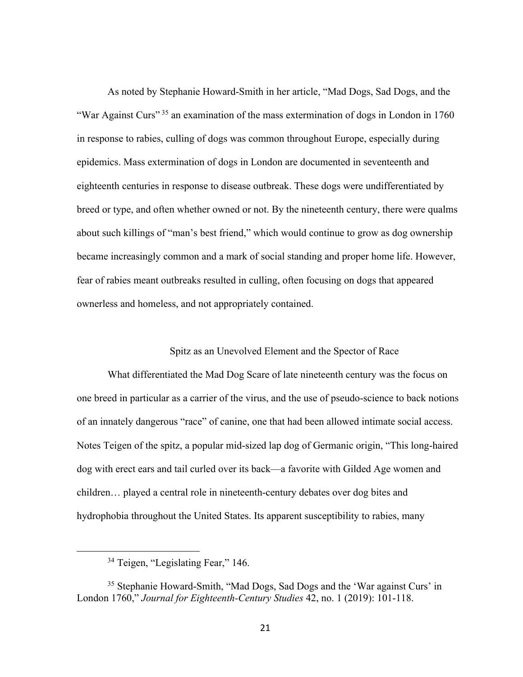As noted by Stephanie Howard-Smith in her article, "Mad Dogs, Sad Dogs, and the "War Against Curs"<sup>35</sup> an examination of the mass extermination of dogs in London in 1760 in response to rabies, culling of dogs was common throughout Europe, especially during epidemics. Mass extermination of dogs in London are documented in seventeenth and eighteenth centuries in response to disease outbreak. These dogs were undifferentiated by breed or type, and often whether owned or not. By the nineteenth century, there were qualms about such killings of "man's best friend," which would continue to grow as dog ownership became increasingly common and a mark of social standing and proper home life. However, fear of rabies meant outbreaks resulted in culling, often focusing on dogs that appeared ownerless and homeless, and not appropriately contained.

#### Spitz as an Unevolved Element and the Spector of Race

What differentiated the Mad Dog Scare of late nineteenth century was the focus on one breed in particular as a carrier of the virus, and the use of pseudo-science to back notions of an innately dangerous "race" of canine, one that had been allowed intimate social access. Notes Teigen of the spitz, a popular mid-sized lap dog of Germanic origin, "This long-haired dog with erect ears and tail curled over its back—a favorite with Gilded Age women and children… played a central role in nineteenth-century debates over dog bites and hydrophobia throughout the United States. Its apparent susceptibility to rabies, many

<sup>&</sup>lt;sup>34</sup> Teigen, "Legislating Fear," 146.

<sup>&</sup>lt;sup>35</sup> Stephanie Howard-Smith, "Mad Dogs, Sad Dogs and the 'War against Curs' in London 1760," *Journal for Eighteenth-Century Studies* 42, no. 1 (2019): 101-118.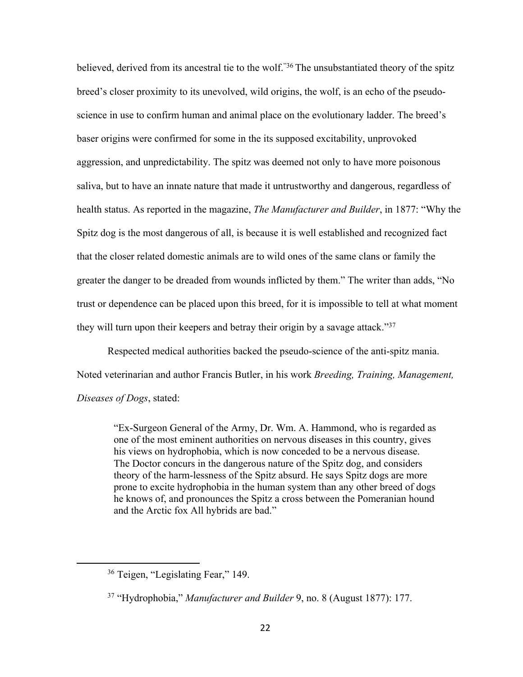believed, derived from its ancestral tie to the wolf."<sup>36</sup> The unsubstantiated theory of the spitz breed's closer proximity to its unevolved, wild origins, the wolf, is an echo of the pseudoscience in use to confirm human and animal place on the evolutionary ladder. The breed's baser origins were confirmed for some in the its supposed excitability, unprovoked aggression, and unpredictability. The spitz was deemed not only to have more poisonous saliva, but to have an innate nature that made it untrustworthy and dangerous, regardless of health status. As reported in the magazine, *The Manufacturer and Builder*, in 1877: "Why the Spitz dog is the most dangerous of all, is because it is well established and recognized fact that the closer related domestic animals are to wild ones of the same clans or family the greater the danger to be dreaded from wounds inflicted by them." The writer than adds, "No trust or dependence can be placed upon this breed, for it is impossible to tell at what moment they will turn upon their keepers and betray their origin by a savage attack."<sup>37</sup>

Respected medical authorities backed the pseudo-science of the anti-spitz mania. Noted veterinarian and author Francis Butler, in his work *Breeding, Training, Management, Diseases of Dogs*, stated:

"Ex-Surgeon General of the Army, Dr. Wm. A. Hammond, who is regarded as one of the most eminent authorities on nervous diseases in this country, gives his views on hydrophobia, which is now conceded to be a nervous disease. The Doctor concurs in the dangerous nature of the Spitz dog, and considers theory of the harm-lessness of the Spitz absurd. He says Spitz dogs are more prone to excite hydrophobia in the human system than any other breed of dogs he knows of, and pronounces the Spitz a cross between the Pomeranian hound and the Arctic fox All hybrids are bad."

<sup>&</sup>lt;sup>36</sup> Teigen, "Legislating Fear," 149.

<sup>37</sup> "Hydrophobia," *Manufacturer and Builder* 9, no. 8 (August 1877): 177.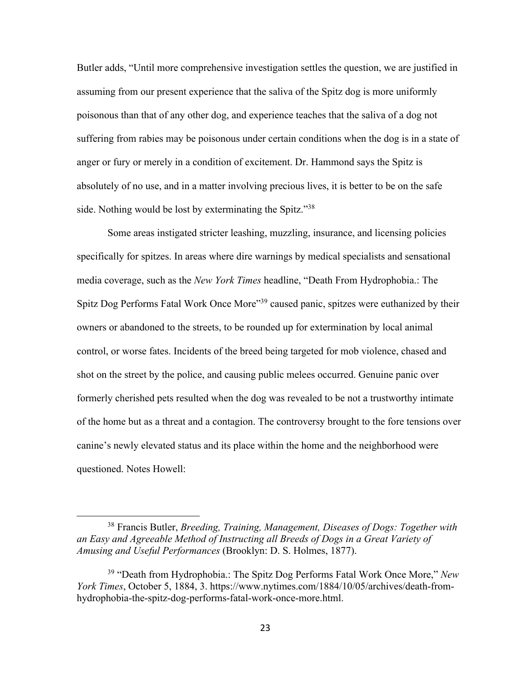Butler adds, "Until more comprehensive investigation settles the question, we are justified in assuming from our present experience that the saliva of the Spitz dog is more uniformly poisonous than that of any other dog, and experience teaches that the saliva of a dog not suffering from rabies may be poisonous under certain conditions when the dog is in a state of anger or fury or merely in a condition of excitement. Dr. Hammond says the Spitz is absolutely of no use, and in a matter involving precious lives, it is better to be on the safe side. Nothing would be lost by exterminating the Spitz."<sup>38</sup>

Some areas instigated stricter leashing, muzzling, insurance, and licensing policies specifically for spitzes. In areas where dire warnings by medical specialists and sensational media coverage, such as the *New York Times* headline, "Death From Hydrophobia.: The Spitz Dog Performs Fatal Work Once More<sup>339</sup> caused panic, spitzes were euthanized by their owners or abandoned to the streets, to be rounded up for extermination by local animal control, or worse fates. Incidents of the breed being targeted for mob violence, chased and shot on the street by the police, and causing public melees occurred. Genuine panic over formerly cherished pets resulted when the dog was revealed to be not a trustworthy intimate of the home but as a threat and a contagion. The controversy brought to the fore tensions over canine's newly elevated status and its place within the home and the neighborhood were questioned. Notes Howell:

<sup>38</sup> Francis Butler, *Breeding, Training, Management, Diseases of Dogs: Together with an Easy and Agreeable Method of Instructing all Breeds of Dogs in a Great Variety of Amusing and Useful Performances* (Brooklyn: D. S. Holmes, 1877).

<sup>39</sup> "Death from Hydrophobia.: The Spitz Dog Performs Fatal Work Once More," *New York Times*, October 5, 1884, 3. https://www.nytimes.com/1884/10/05/archives/death-fromhydrophobia-the-spitz-dog-performs-fatal-work-once-more.html.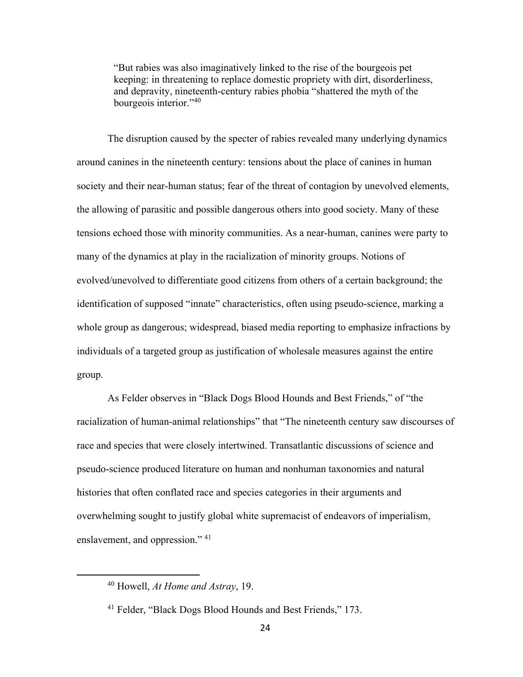"But rabies was also imaginatively linked to the rise of the bourgeois pet keeping: in threatening to replace domestic propriety with dirt, disorderliness, and depravity, nineteenth-century rabies phobia "shattered the myth of the bourgeois interior."40

The disruption caused by the specter of rabies revealed many underlying dynamics around canines in the nineteenth century: tensions about the place of canines in human society and their near-human status; fear of the threat of contagion by unevolved elements, the allowing of parasitic and possible dangerous others into good society. Many of these tensions echoed those with minority communities. As a near-human, canines were party to many of the dynamics at play in the racialization of minority groups. Notions of evolved/unevolved to differentiate good citizens from others of a certain background; the identification of supposed "innate" characteristics, often using pseudo-science, marking a whole group as dangerous; widespread, biased media reporting to emphasize infractions by individuals of a targeted group as justification of wholesale measures against the entire group.

As Felder observes in "Black Dogs Blood Hounds and Best Friends," of "the racialization of human-animal relationships" that "The nineteenth century saw discourses of race and species that were closely intertwined. Transatlantic discussions of science and pseudo-science produced literature on human and nonhuman taxonomies and natural histories that often conflated race and species categories in their arguments and overwhelming sought to justify global white supremacist of endeavors of imperialism, enslavement, and oppression."<sup>41</sup>

<sup>40</sup> Howell, *At Home and Astray*, 19.

<sup>41</sup> Felder, "Black Dogs Blood Hounds and Best Friends," 173.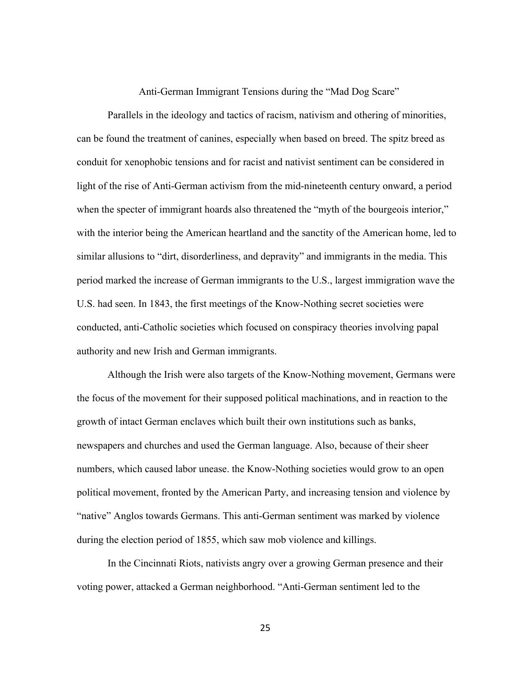#### Anti-German Immigrant Tensions during the "Mad Dog Scare"

Parallels in the ideology and tactics of racism, nativism and othering of minorities, can be found the treatment of canines, especially when based on breed. The spitz breed as conduit for xenophobic tensions and for racist and nativist sentiment can be considered in light of the rise of Anti-German activism from the mid-nineteenth century onward, a period when the specter of immigrant hoards also threatened the "myth of the bourgeois interior," with the interior being the American heartland and the sanctity of the American home, led to similar allusions to "dirt, disorderliness, and depravity" and immigrants in the media. This period marked the increase of German immigrants to the U.S., largest immigration wave the U.S. had seen. In 1843, the first meetings of the Know-Nothing secret societies were conducted, anti-Catholic societies which focused on conspiracy theories involving papal authority and new Irish and German immigrants.

Although the Irish were also targets of the Know-Nothing movement, Germans were the focus of the movement for their supposed political machinations, and in reaction to the growth of intact German enclaves which built their own institutions such as banks, newspapers and churches and used the German language. Also, because of their sheer numbers, which caused labor unease. the Know-Nothing societies would grow to an open political movement, fronted by the American Party, and increasing tension and violence by "native" Anglos towards Germans. This anti-German sentiment was marked by violence during the election period of 1855, which saw mob violence and killings.

In the Cincinnati Riots, nativists angry over a growing German presence and their voting power, attacked a German neighborhood. "Anti-German sentiment led to the

25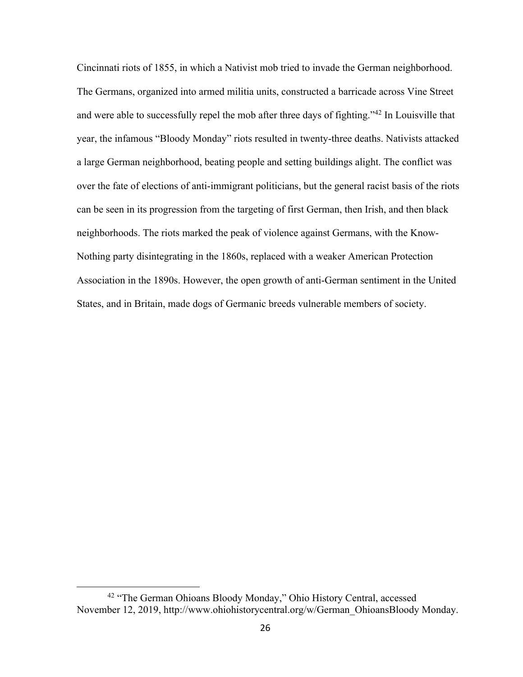Cincinnati riots of 1855, in which a Nativist mob tried to invade the German neighborhood. The Germans, organized into armed militia units, constructed a barricade across Vine Street and were able to successfully repel the mob after three days of fighting."42 In Louisville that year, the infamous "Bloody Monday" riots resulted in twenty-three deaths. Nativists attacked a large German neighborhood, beating people and setting buildings alight. The conflict was over the fate of elections of anti-immigrant politicians, but the general racist basis of the riots can be seen in its progression from the targeting of first German, then Irish, and then black neighborhoods. The riots marked the peak of violence against Germans, with the Know-Nothing party disintegrating in the 1860s, replaced with a weaker American Protection Association in the 1890s. However, the open growth of anti-German sentiment in the United States, and in Britain, made dogs of Germanic breeds vulnerable members of society.

<sup>42</sup> "The German Ohioans Bloody Monday," Ohio History Central, accessed November 12, 2019, http://www.ohiohistorycentral.org/w/German\_OhioansBloody Monday.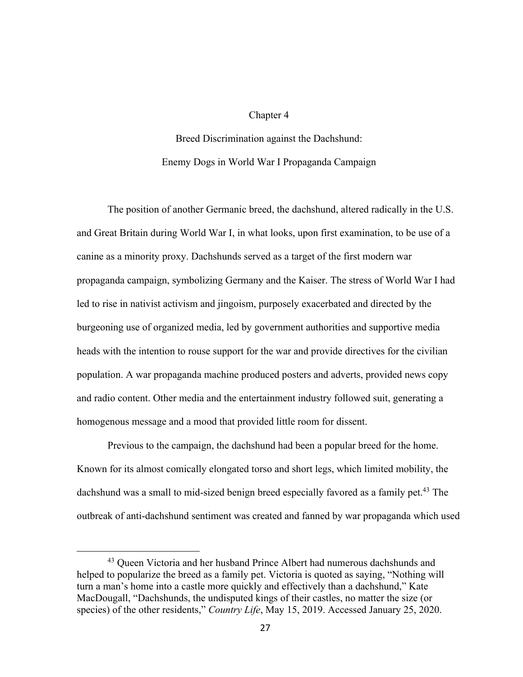#### Chapter 4

# Breed Discrimination against the Dachshund: Enemy Dogs in World War I Propaganda Campaign

The position of another Germanic breed, the dachshund, altered radically in the U.S. and Great Britain during World War I, in what looks, upon first examination, to be use of a canine as a minority proxy. Dachshunds served as a target of the first modern war propaganda campaign, symbolizing Germany and the Kaiser. The stress of World War I had led to rise in nativist activism and jingoism, purposely exacerbated and directed by the burgeoning use of organized media, led by government authorities and supportive media heads with the intention to rouse support for the war and provide directives for the civilian population. A war propaganda machine produced posters and adverts, provided news copy and radio content. Other media and the entertainment industry followed suit, generating a homogenous message and a mood that provided little room for dissent.

Previous to the campaign, the dachshund had been a popular breed for the home. Known for its almost comically elongated torso and short legs, which limited mobility, the dachshund was a small to mid-sized benign breed especially favored as a family pet.<sup>43</sup> The outbreak of anti-dachshund sentiment was created and fanned by war propaganda which used

<sup>&</sup>lt;sup>43</sup> Queen Victoria and her husband Prince Albert had numerous dachshunds and helped to popularize the breed as a family pet. Victoria is quoted as saying, "Nothing will turn a man's home into a castle more quickly and effectively than a dachshund," Kate MacDougall, "Dachshunds, the undisputed kings of their castles, no matter the size (or species) of the other residents," *Country Life*, May 15, 2019. Accessed January 25, 2020.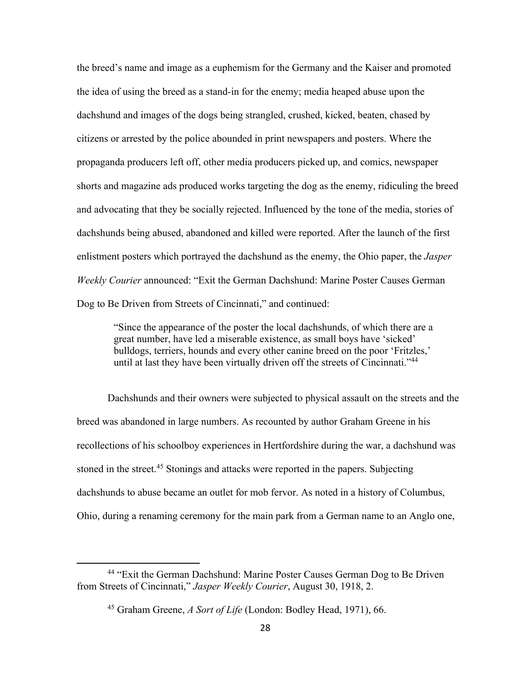the breed's name and image as a euphemism for the Germany and the Kaiser and promoted the idea of using the breed as a stand-in for the enemy; media heaped abuse upon the dachshund and images of the dogs being strangled, crushed, kicked, beaten, chased by citizens or arrested by the police abounded in print newspapers and posters. Where the propaganda producers left off, other media producers picked up, and comics, newspaper shorts and magazine ads produced works targeting the dog as the enemy, ridiculing the breed and advocating that they be socially rejected. Influenced by the tone of the media, stories of dachshunds being abused, abandoned and killed were reported. After the launch of the first enlistment posters which portrayed the dachshund as the enemy, the Ohio paper, the *Jasper Weekly Courier* announced: "Exit the German Dachshund: Marine Poster Causes German Dog to Be Driven from Streets of Cincinnati," and continued:

"Since the appearance of the poster the local dachshunds, of which there are a great number, have led a miserable existence, as small boys have 'sicked' bulldogs, terriers, hounds and every other canine breed on the poor 'Fritzles,' until at last they have been virtually driven off the streets of Cincinnati."<sup>44</sup>

Dachshunds and their owners were subjected to physical assault on the streets and the breed was abandoned in large numbers. As recounted by author Graham Greene in his recollections of his schoolboy experiences in Hertfordshire during the war, a dachshund was stoned in the street.<sup>45</sup> Stonings and attacks were reported in the papers. Subjecting dachshunds to abuse became an outlet for mob fervor. As noted in a history of Columbus, Ohio, during a renaming ceremony for the main park from a German name to an Anglo one,

<sup>44</sup> "Exit the German Dachshund: Marine Poster Causes German Dog to Be Driven from Streets of Cincinnati," *Jasper Weekly Courier*, August 30, 1918, 2.

<sup>45</sup> Graham Greene, *A Sort of Life* (London: Bodley Head, 1971), 66.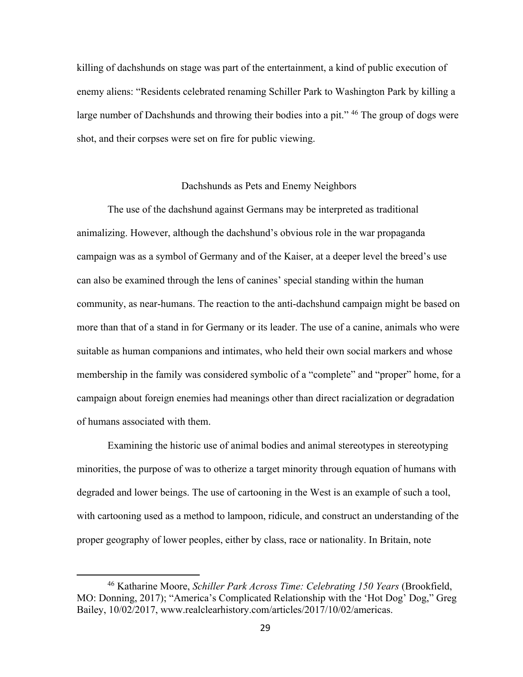killing of dachshunds on stage was part of the entertainment, a kind of public execution of enemy aliens: "Residents celebrated renaming Schiller Park to Washington Park by killing a large number of Dachshunds and throwing their bodies into a pit."<sup>46</sup> The group of dogs were shot, and their corpses were set on fire for public viewing.

## Dachshunds as Pets and Enemy Neighbors

The use of the dachshund against Germans may be interpreted as traditional animalizing. However, although the dachshund's obvious role in the war propaganda campaign was as a symbol of Germany and of the Kaiser, at a deeper level the breed's use can also be examined through the lens of canines' special standing within the human community, as near-humans. The reaction to the anti-dachshund campaign might be based on more than that of a stand in for Germany or its leader. The use of a canine, animals who were suitable as human companions and intimates, who held their own social markers and whose membership in the family was considered symbolic of a "complete" and "proper" home, for a campaign about foreign enemies had meanings other than direct racialization or degradation of humans associated with them.

Examining the historic use of animal bodies and animal stereotypes in stereotyping minorities, the purpose of was to otherize a target minority through equation of humans with degraded and lower beings. The use of cartooning in the West is an example of such a tool, with cartooning used as a method to lampoon, ridicule, and construct an understanding of the proper geography of lower peoples, either by class, race or nationality. In Britain, note

<sup>46</sup> Katharine Moore, *Schiller Park Across Time: Celebrating 150 Years* (Brookfield, MO: Donning, 2017); "America's Complicated Relationship with the 'Hot Dog' Dog," Greg Bailey, 10/02/2017, www.realclearhistory.com/articles/2017/10/02/americas.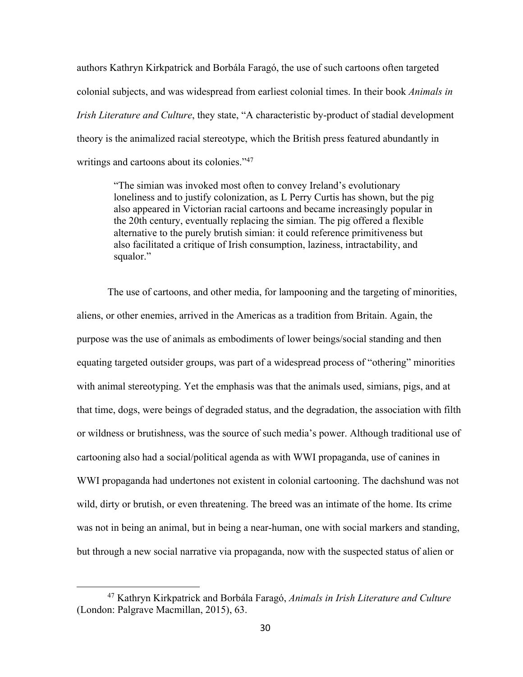authors Kathryn Kirkpatrick and Borbála Faragó, the use of such cartoons often targeted colonial subjects, and was widespread from earliest colonial times. In their book *Animals in Irish Literature and Culture*, they state, "A characteristic by-product of stadial development theory is the animalized racial stereotype, which the British press featured abundantly in writings and cartoons about its colonies."<sup>47</sup>

"The simian was invoked most often to convey Ireland's evolutionary loneliness and to justify colonization, as L Perry Curtis has shown, but the pig also appeared in Victorian racial cartoons and became increasingly popular in the 20th century, eventually replacing the simian. The pig offered a flexible alternative to the purely brutish simian: it could reference primitiveness but also facilitated a critique of Irish consumption, laziness, intractability, and squalor."

The use of cartoons, and other media, for lampooning and the targeting of minorities, aliens, or other enemies, arrived in the Americas as a tradition from Britain. Again, the purpose was the use of animals as embodiments of lower beings/social standing and then equating targeted outsider groups, was part of a widespread process of "othering" minorities with animal stereotyping. Yet the emphasis was that the animals used, simians, pigs, and at that time, dogs, were beings of degraded status, and the degradation, the association with filth or wildness or brutishness, was the source of such media's power. Although traditional use of cartooning also had a social/political agenda as with WWI propaganda, use of canines in WWI propaganda had undertones not existent in colonial cartooning. The dachshund was not wild, dirty or brutish, or even threatening. The breed was an intimate of the home. Its crime was not in being an animal, but in being a near-human, one with social markers and standing, but through a new social narrative via propaganda, now with the suspected status of alien or

<sup>47</sup> Kathryn Kirkpatrick and Borbála Faragó, *Animals in Irish Literature and Culture* (London: Palgrave Macmillan, 2015), 63.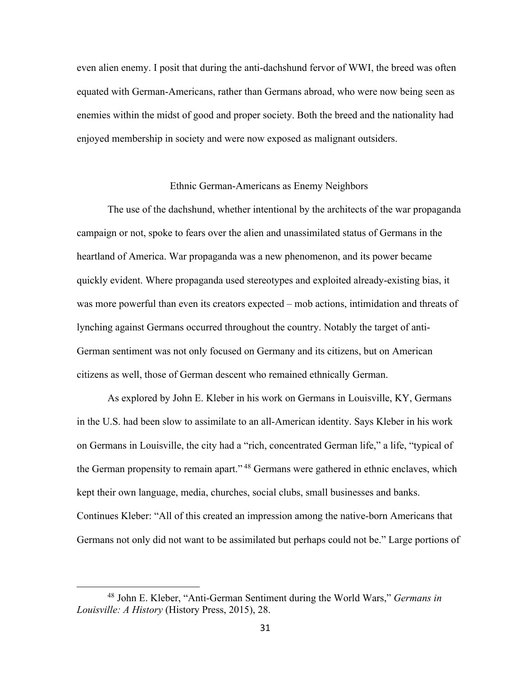even alien enemy. I posit that during the anti-dachshund fervor of WWI, the breed was often equated with German-Americans, rather than Germans abroad, who were now being seen as enemies within the midst of good and proper society. Both the breed and the nationality had enjoyed membership in society and were now exposed as malignant outsiders.

## Ethnic German-Americans as Enemy Neighbors

The use of the dachshund, whether intentional by the architects of the war propaganda campaign or not, spoke to fears over the alien and unassimilated status of Germans in the heartland of America. War propaganda was a new phenomenon, and its power became quickly evident. Where propaganda used stereotypes and exploited already-existing bias, it was more powerful than even its creators expected – mob actions, intimidation and threats of lynching against Germans occurred throughout the country. Notably the target of anti-German sentiment was not only focused on Germany and its citizens, but on American citizens as well, those of German descent who remained ethnically German.

As explored by John E. Kleber in his work on Germans in Louisville, KY, Germans in the U.S. had been slow to assimilate to an all-American identity. Says Kleber in his work on Germans in Louisville, the city had a "rich, concentrated German life," a life, "typical of the German propensity to remain apart."<sup>48</sup> Germans were gathered in ethnic enclaves, which kept their own language, media, churches, social clubs, small businesses and banks. Continues Kleber: "All of this created an impression among the native-born Americans that Germans not only did not want to be assimilated but perhaps could not be." Large portions of

<sup>48</sup> John E. Kleber, "Anti-German Sentiment during the World Wars," *Germans in Louisville: A History* (History Press, 2015), 28.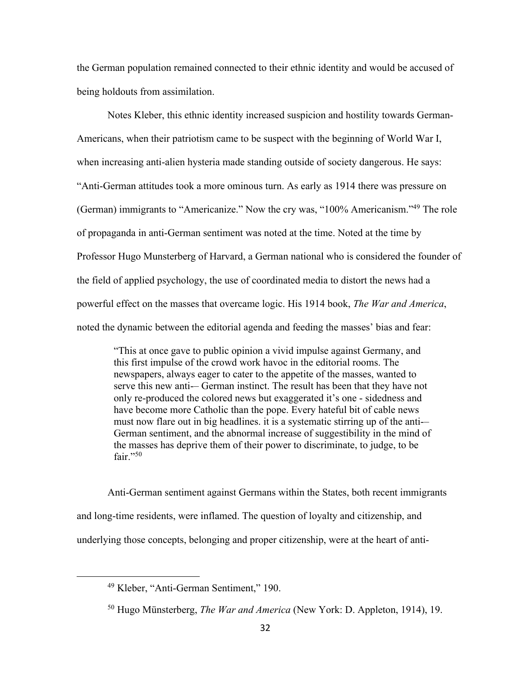the German population remained connected to their ethnic identity and would be accused of being holdouts from assimilation.

Notes Kleber, this ethnic identity increased suspicion and hostility towards German-Americans, when their patriotism came to be suspect with the beginning of World War I, when increasing anti-alien hysteria made standing outside of society dangerous. He says: "Anti-German attitudes took a more ominous turn. As early as 1914 there was pressure on (German) immigrants to "Americanize." Now the cry was, "100% Americanism."49 The role of propaganda in anti-German sentiment was noted at the time. Noted at the time by Professor Hugo Munsterberg of Harvard, a German national who is considered the founder of the field of applied psychology, the use of coordinated media to distort the news had a powerful effect on the masses that overcame logic. His 1914 book, *The War and America*, noted the dynamic between the editorial agenda and feeding the masses' bias and fear:

"This at once gave to public opinion a vivid impulse against Germany, and this first impulse of the crowd work havoc in the editorial rooms. The newspapers, always eager to cater to the appetite of the masses, wanted to serve this new anti-– German instinct. The result has been that they have not only re-produced the colored news but exaggerated it's one - sidedness and have become more Catholic than the pope. Every hateful bit of cable news must now flare out in big headlines. it is a systematic stirring up of the anti-– German sentiment, and the abnormal increase of suggestibility in the mind of the masses has deprive them of their power to discriminate, to judge, to be fair." $50$ 

Anti-German sentiment against Germans within the States, both recent immigrants and long-time residents, were inflamed. The question of loyalty and citizenship, and underlying those concepts, belonging and proper citizenship, were at the heart of anti-

<sup>49</sup> Kleber, "Anti-German Sentiment," 190.

<sup>50</sup> Hugo Münsterberg, *The War and America* (New York: D. Appleton, 1914), 19.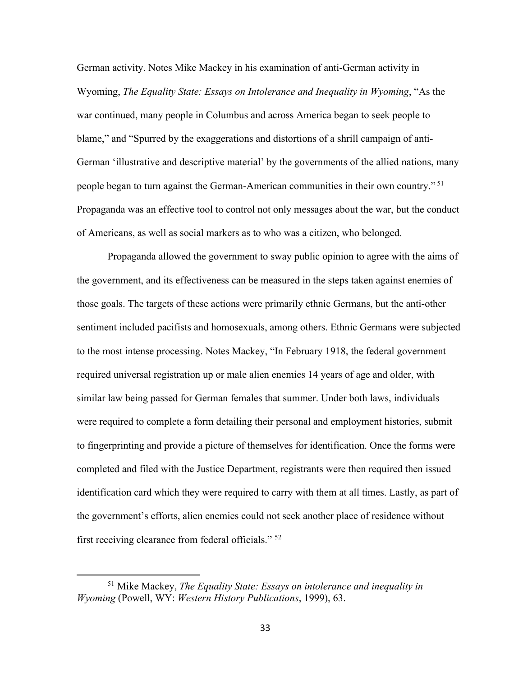German activity. Notes Mike Mackey in his examination of anti-German activity in Wyoming, *The Equality State: Essays on Intolerance and Inequality in Wyoming*, "As the war continued, many people in Columbus and across America began to seek people to blame," and "Spurred by the exaggerations and distortions of a shrill campaign of anti-German 'illustrative and descriptive material' by the governments of the allied nations, many people began to turn against the German-American communities in their own country." <sup>51</sup> Propaganda was an effective tool to control not only messages about the war, but the conduct of Americans, as well as social markers as to who was a citizen, who belonged.

Propaganda allowed the government to sway public opinion to agree with the aims of the government, and its effectiveness can be measured in the steps taken against enemies of those goals. The targets of these actions were primarily ethnic Germans, but the anti-other sentiment included pacifists and homosexuals, among others. Ethnic Germans were subjected to the most intense processing. Notes Mackey, "In February 1918, the federal government required universal registration up or male alien enemies 14 years of age and older, with similar law being passed for German females that summer. Under both laws, individuals were required to complete a form detailing their personal and employment histories, submit to fingerprinting and provide a picture of themselves for identification. Once the forms were completed and filed with the Justice Department, registrants were then required then issued identification card which they were required to carry with them at all times. Lastly, as part of the government's efforts, alien enemies could not seek another place of residence without first receiving clearance from federal officials." 52

<sup>51</sup> Mike Mackey, *The Equality State: Essays on intolerance and inequality in Wyoming* (Powell, WY: *Western History Publications*, 1999), 63.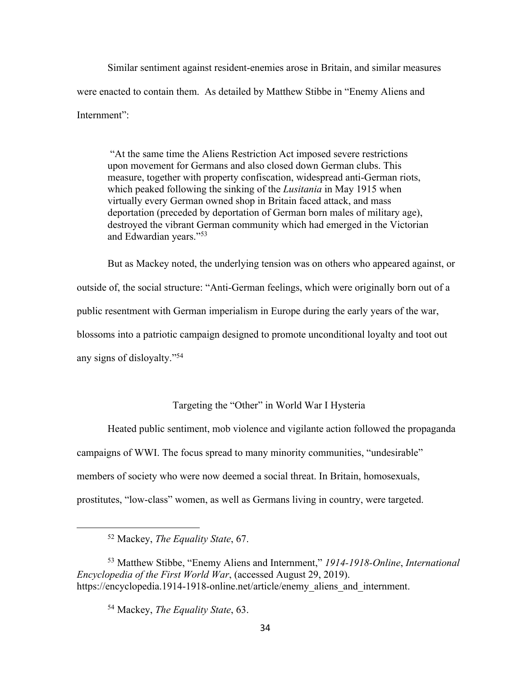Similar sentiment against resident-enemies arose in Britain, and similar measures were enacted to contain them. As detailed by Matthew Stibbe in "Enemy Aliens and Internment":

"At the same time the Aliens Restriction Act imposed severe restrictions upon movement for Germans and also closed down German clubs. This measure, together with property confiscation, widespread anti-German riots, which peaked following the sinking of the *Lusitania* in May 1915 when virtually every German owned shop in Britain faced attack, and mass deportation (preceded by deportation of German born males of military age), destroyed the vibrant German community which had emerged in the Victorian and Edwardian years."53

But as Mackey noted, the underlying tension was on others who appeared against, or outside of, the social structure: "Anti-German feelings, which were originally born out of a public resentment with German imperialism in Europe during the early years of the war, blossoms into a patriotic campaign designed to promote unconditional loyalty and toot out any signs of disloyalty."54

# Targeting the "Other" in World War I Hysteria

Heated public sentiment, mob violence and vigilante action followed the propaganda campaigns of WWI. The focus spread to many minority communities, "undesirable" members of society who were now deemed a social threat. In Britain, homosexuals, prostitutes, "low-class" women, as well as Germans living in country, were targeted.

<sup>52</sup> Mackey, *The Equality State*, 67.

<sup>53</sup> Matthew Stibbe, "Enemy Aliens and Internment," *1914-1918-Online*, *International Encyclopedia of the First World War*, (accessed August 29, 2019). https://encyclopedia.1914-1918-online.net/article/enemy\_aliens\_and\_internment.

<sup>54</sup> Mackey, *The Equality State*, 63.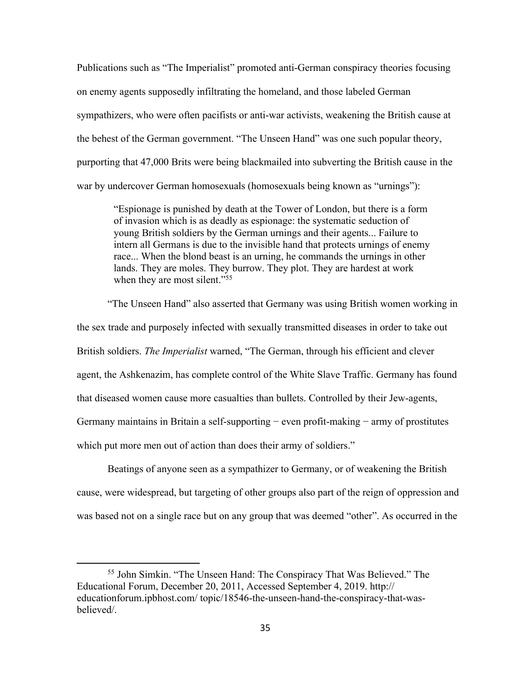Publications such as "The Imperialist" promoted anti-German conspiracy theories focusing on enemy agents supposedly infiltrating the homeland, and those labeled German sympathizers, who were often pacifists or anti-war activists, weakening the British cause at the behest of the German government. "The Unseen Hand" was one such popular theory, purporting that 47,000 Brits were being blackmailed into subverting the British cause in the war by undercover German homosexuals (homosexuals being known as "urnings"):

"Espionage is punished by death at the Tower of London, but there is a form of invasion which is as deadly as espionage: the systematic seduction of young British soldiers by the German urnings and their agents... Failure to intern all Germans is due to the invisible hand that protects urnings of enemy race... When the blond beast is an urning, he commands the urnings in other lands. They are moles. They burrow. They plot. They are hardest at work when they are most silent."<sup>55</sup>

"The Unseen Hand" also asserted that Germany was using British women working in the sex trade and purposely infected with sexually transmitted diseases in order to take out British soldiers. *The Imperialist* warned, "The German, through his efficient and clever agent, the Ashkenazim, has complete control of the White Slave Traffic. Germany has found that diseased women cause more casualties than bullets. Controlled by their Jew-agents, Germany maintains in Britain a self-supporting − even profit-making − army of prostitutes which put more men out of action than does their army of soldiers."

Beatings of anyone seen as a sympathizer to Germany, or of weakening the British cause, were widespread, but targeting of other groups also part of the reign of oppression and was based not on a single race but on any group that was deemed "other". As occurred in the

<sup>55</sup> John Simkin. "The Unseen Hand: The Conspiracy That Was Believed." The Educational Forum, December 20, 2011, Accessed September 4, 2019. http:// educationforum.ipbhost.com/ topic/18546-the-unseen-hand-the-conspiracy-that-wasbelieved/.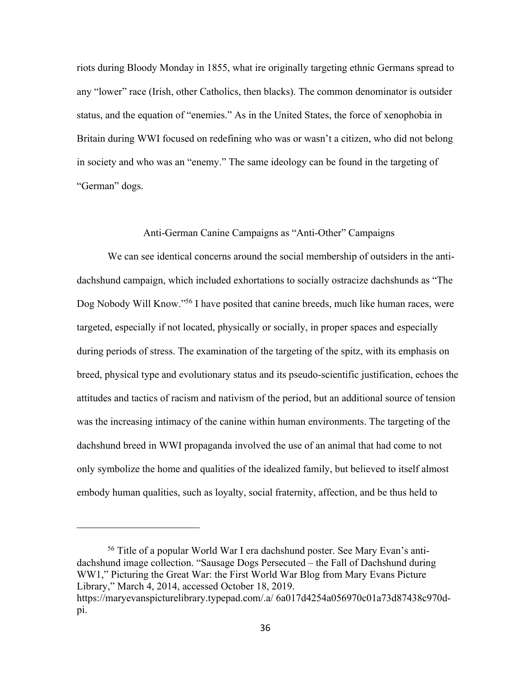riots during Bloody Monday in 1855, what ire originally targeting ethnic Germans spread to any "lower" race (Irish, other Catholics, then blacks). The common denominator is outsider status, and the equation of "enemies." As in the United States, the force of xenophobia in Britain during WWI focused on redefining who was or wasn't a citizen, who did not belong in society and who was an "enemy." The same ideology can be found in the targeting of "German" dogs.

## Anti-German Canine Campaigns as "Anti-Other" Campaigns

We can see identical concerns around the social membership of outsiders in the antidachshund campaign, which included exhortations to socially ostracize dachshunds as "The Dog Nobody Will Know."<sup>56</sup> I have posited that canine breeds, much like human races, were targeted, especially if not located, physically or socially, in proper spaces and especially during periods of stress. The examination of the targeting of the spitz, with its emphasis on breed, physical type and evolutionary status and its pseudo-scientific justification, echoes the attitudes and tactics of racism and nativism of the period, but an additional source of tension was the increasing intimacy of the canine within human environments. The targeting of the dachshund breed in WWI propaganda involved the use of an animal that had come to not only symbolize the home and qualities of the idealized family, but believed to itself almost embody human qualities, such as loyalty, social fraternity, affection, and be thus held to

<sup>56</sup> Title of a popular World War I era dachshund poster. See Mary Evan's antidachshund image collection. "Sausage Dogs Persecuted – the Fall of Dachshund during WW1," Picturing the Great War: the First World War Blog from Mary Evans Picture Library," March 4, 2014, accessed October 18, 2019. https://maryevanspicturelibrary.typepad.com/.a/ 6a017d4254a056970c01a73d87438c970dpi.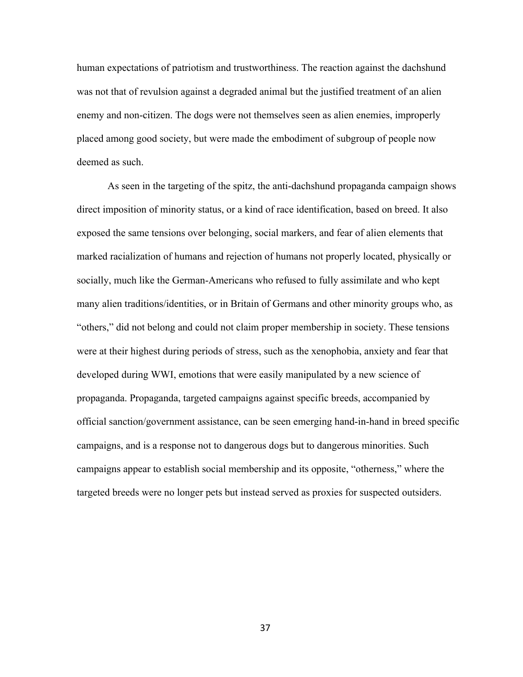human expectations of patriotism and trustworthiness. The reaction against the dachshund was not that of revulsion against a degraded animal but the justified treatment of an alien enemy and non-citizen. The dogs were not themselves seen as alien enemies, improperly placed among good society, but were made the embodiment of subgroup of people now deemed as such.

As seen in the targeting of the spitz, the anti-dachshund propaganda campaign shows direct imposition of minority status, or a kind of race identification, based on breed. It also exposed the same tensions over belonging, social markers, and fear of alien elements that marked racialization of humans and rejection of humans not properly located, physically or socially, much like the German-Americans who refused to fully assimilate and who kept many alien traditions/identities, or in Britain of Germans and other minority groups who, as "others," did not belong and could not claim proper membership in society. These tensions were at their highest during periods of stress, such as the xenophobia, anxiety and fear that developed during WWI, emotions that were easily manipulated by a new science of propaganda. Propaganda, targeted campaigns against specific breeds, accompanied by official sanction/government assistance, can be seen emerging hand-in-hand in breed specific campaigns, and is a response not to dangerous dogs but to dangerous minorities. Such campaigns appear to establish social membership and its opposite, "otherness," where the targeted breeds were no longer pets but instead served as proxies for suspected outsiders.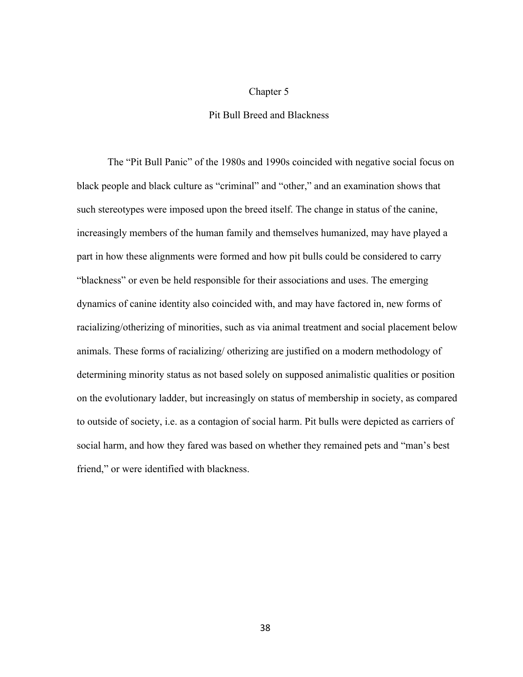## Chapter 5

## Pit Bull Breed and Blackness

The "Pit Bull Panic" of the 1980s and 1990s coincided with negative social focus on black people and black culture as "criminal" and "other," and an examination shows that such stereotypes were imposed upon the breed itself. The change in status of the canine, increasingly members of the human family and themselves humanized, may have played a part in how these alignments were formed and how pit bulls could be considered to carry "blackness" or even be held responsible for their associations and uses. The emerging dynamics of canine identity also coincided with, and may have factored in, new forms of racializing/otherizing of minorities, such as via animal treatment and social placement below animals. These forms of racializing/ otherizing are justified on a modern methodology of determining minority status as not based solely on supposed animalistic qualities or position on the evolutionary ladder, but increasingly on status of membership in society, as compared to outside of society, i.e. as a contagion of social harm. Pit bulls were depicted as carriers of social harm, and how they fared was based on whether they remained pets and "man's best friend," or were identified with blackness.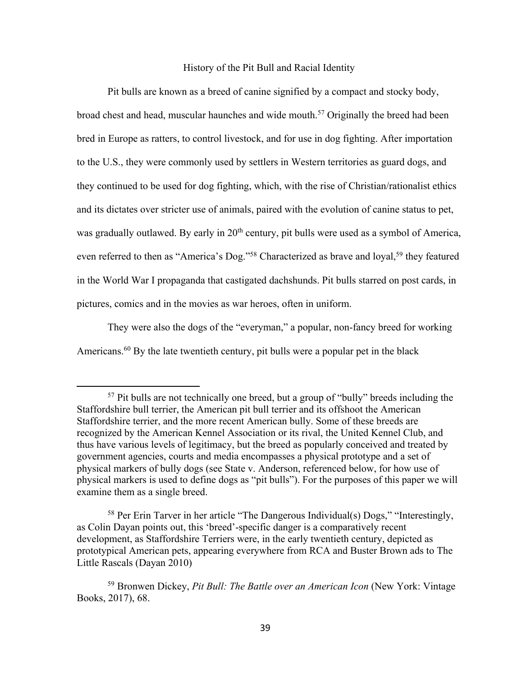#### History of the Pit Bull and Racial Identity

Pit bulls are known as a breed of canine signified by a compact and stocky body, broad chest and head, muscular haunches and wide mouth.<sup>57</sup> Originally the breed had been bred in Europe as ratters, to control livestock, and for use in dog fighting. After importation to the U.S., they were commonly used by settlers in Western territories as guard dogs, and they continued to be used for dog fighting, which, with the rise of Christian/rationalist ethics and its dictates over stricter use of animals, paired with the evolution of canine status to pet, was gradually outlawed. By early in 20<sup>th</sup> century, pit bulls were used as a symbol of America, even referred to then as "America's Dog."<sup>58</sup> Characterized as brave and loyal,<sup>59</sup> they featured in the World War I propaganda that castigated dachshunds. Pit bulls starred on post cards, in pictures, comics and in the movies as war heroes, often in uniform.

They were also the dogs of the "everyman," a popular, non-fancy breed for working Americans.<sup>60</sup> By the late twentieth century, pit bulls were a popular pet in the black

<sup>&</sup>lt;sup>57</sup> Pit bulls are not technically one breed, but a group of "bully" breeds including the Staffordshire bull terrier, the American pit bull terrier and its offshoot the American Staffordshire terrier, and the more recent American bully. Some of these breeds are recognized by the American Kennel Association or its rival, the United Kennel Club, and thus have various levels of legitimacy, but the breed as popularly conceived and treated by government agencies, courts and media encompasses a physical prototype and a set of physical markers of bully dogs (see State v. Anderson, referenced below, for how use of physical markers is used to define dogs as "pit bulls"). For the purposes of this paper we will examine them as a single breed.

<sup>&</sup>lt;sup>58</sup> Per Erin Tarver in her article "The Dangerous Individual(s) Dogs," "Interestingly, as Colin Dayan points out, this 'breed'-specific danger is a comparatively recent development, as Staffordshire Terriers were, in the early twentieth century, depicted as prototypical American pets, appearing everywhere from RCA and Buster Brown ads to The Little Rascals (Dayan 2010)

<sup>59</sup> Bronwen Dickey, *Pit Bull: The Battle over an American Icon* (New York: Vintage Books, 2017), 68.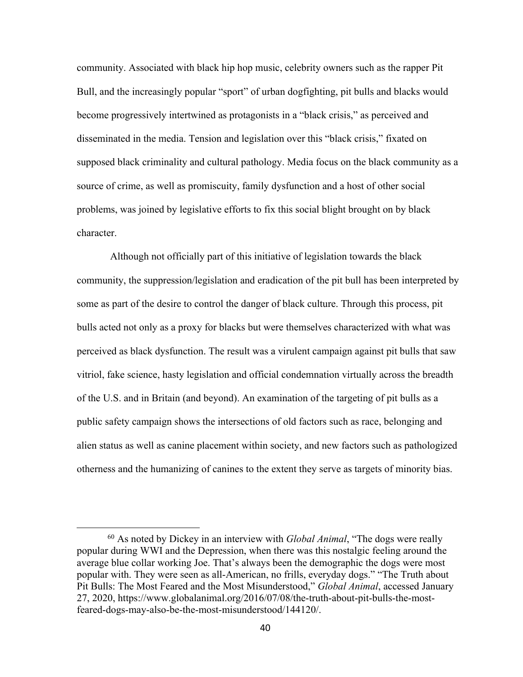community. Associated with black hip hop music, celebrity owners such as the rapper Pit Bull, and the increasingly popular "sport" of urban dogfighting, pit bulls and blacks would become progressively intertwined as protagonists in a "black crisis," as perceived and disseminated in the media. Tension and legislation over this "black crisis," fixated on supposed black criminality and cultural pathology. Media focus on the black community as a source of crime, as well as promiscuity, family dysfunction and a host of other social problems, was joined by legislative efforts to fix this social blight brought on by black character.

Although not officially part of this initiative of legislation towards the black community, the suppression/legislation and eradication of the pit bull has been interpreted by some as part of the desire to control the danger of black culture. Through this process, pit bulls acted not only as a proxy for blacks but were themselves characterized with what was perceived as black dysfunction. The result was a virulent campaign against pit bulls that saw vitriol, fake science, hasty legislation and official condemnation virtually across the breadth of the U.S. and in Britain (and beyond). An examination of the targeting of pit bulls as a public safety campaign shows the intersections of old factors such as race, belonging and alien status as well as canine placement within society, and new factors such as pathologized otherness and the humanizing of canines to the extent they serve as targets of minority bias.

<sup>60</sup> As noted by Dickey in an interview with *Global Animal*, "The dogs were really popular during WWI and the Depression, when there was this nostalgic feeling around the average blue collar working Joe. That's always been the demographic the dogs were most popular with. They were seen as all-American, no frills, everyday dogs." "The Truth about Pit Bulls: The Most Feared and the Most Misunderstood," *Global Animal*, accessed January 27, 2020, https://www.globalanimal.org/2016/07/08/the-truth-about-pit-bulls-the-mostfeared-dogs-may-also-be-the-most-misunderstood/144120/.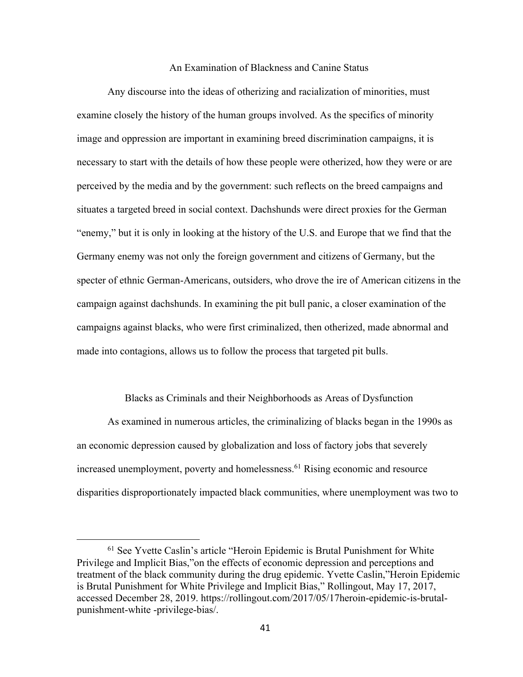#### An Examination of Blackness and Canine Status

Any discourse into the ideas of otherizing and racialization of minorities, must examine closely the history of the human groups involved. As the specifics of minority image and oppression are important in examining breed discrimination campaigns, it is necessary to start with the details of how these people were otherized, how they were or are perceived by the media and by the government: such reflects on the breed campaigns and situates a targeted breed in social context. Dachshunds were direct proxies for the German "enemy," but it is only in looking at the history of the U.S. and Europe that we find that the Germany enemy was not only the foreign government and citizens of Germany, but the specter of ethnic German-Americans, outsiders, who drove the ire of American citizens in the campaign against dachshunds. In examining the pit bull panic, a closer examination of the campaigns against blacks, who were first criminalized, then otherized, made abnormal and made into contagions, allows us to follow the process that targeted pit bulls.

#### Blacks as Criminals and their Neighborhoods as Areas of Dysfunction

As examined in numerous articles, the criminalizing of blacks began in the 1990s as an economic depression caused by globalization and loss of factory jobs that severely increased unemployment, poverty and homelessness.<sup>61</sup> Rising economic and resource disparities disproportionately impacted black communities, where unemployment was two to

<sup>61</sup> See Yvette Caslin's article "Heroin Epidemic is Brutal Punishment for White Privilege and Implicit Bias,"on the effects of economic depression and perceptions and treatment of the black community during the drug epidemic. Yvette Caslin,"Heroin Epidemic is Brutal Punishment for White Privilege and Implicit Bias," Rollingout, May 17, 2017, accessed December 28, 2019. https://rollingout.com/2017/05/17heroin-epidemic-is-brutalpunishment-white -privilege-bias/.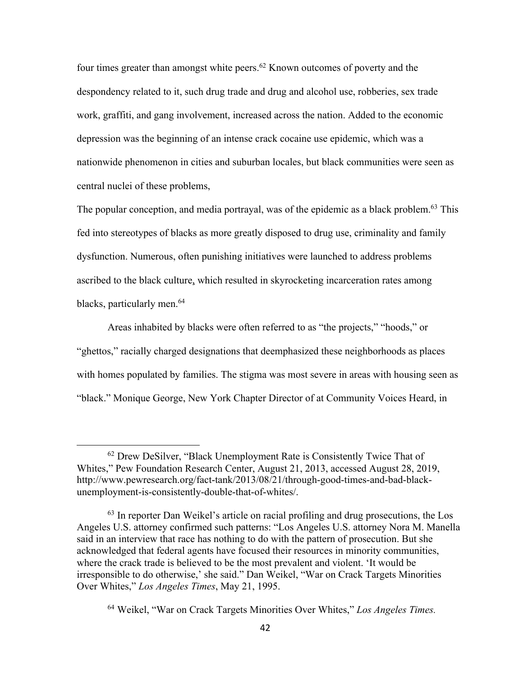four times greater than amongst white peers.<sup>62</sup> Known outcomes of poverty and the despondency related to it, such drug trade and drug and alcohol use, robberies, sex trade work, graffiti, and gang involvement, increased across the nation. Added to the economic depression was the beginning of an intense crack cocaine use epidemic, which was a nationwide phenomenon in cities and suburban locales, but black communities were seen as central nuclei of these problems,

The popular conception, and media portrayal, was of the epidemic as a black problem.<sup>63</sup> This fed into stereotypes of blacks as more greatly disposed to drug use, criminality and family dysfunction. Numerous, often punishing initiatives were launched to address problems ascribed to the black culture, which resulted in skyrocketing incarceration rates among blacks, particularly men.<sup>64</sup>

Areas inhabited by blacks were often referred to as "the projects," "hoods," or "ghettos," racially charged designations that deemphasized these neighborhoods as places with homes populated by families. The stigma was most severe in areas with housing seen as "black." Monique George, New York Chapter Director of at Community Voices Heard, in

<sup>&</sup>lt;sup>62</sup> Drew DeSilver, "Black Unemployment Rate is Consistently Twice That of Whites," Pew Foundation Research Center, August 21, 2013, accessed August 28, 2019, http://www.pewresearch.org/fact-tank/2013/08/21/through-good-times-and-bad-blackunemployment-is-consistently-double-that-of-whites/.

 $<sup>63</sup>$  In reporter Dan Weikel's article on racial profiling and drug prosecutions, the Los</sup> Angeles U.S. attorney confirmed such patterns: "Los Angeles U.S. attorney Nora M. Manella said in an interview that race has nothing to do with the pattern of prosecution. But she acknowledged that federal agents have focused their resources in minority communities, where the crack trade is believed to be the most prevalent and violent. 'It would be irresponsible to do otherwise,' she said." Dan Weikel, "War on Crack Targets Minorities Over Whites," *Los Angeles Times*, May 21, 1995.

<sup>64</sup> Weikel, "War on Crack Targets Minorities Over Whites," *Los Angeles Times.*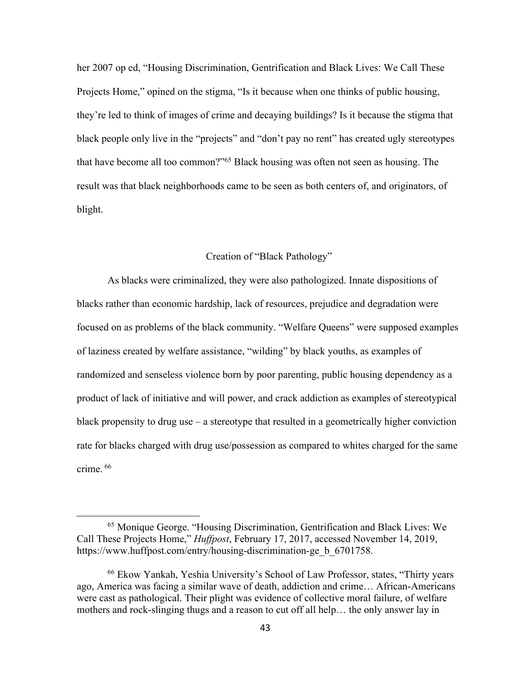her 2007 op ed, "Housing Discrimination, Gentrification and Black Lives: We Call These Projects Home," opined on the stigma, "Is it because when one thinks of public housing, they're led to think of images of crime and decaying buildings? Is it because the stigma that black people only live in the "projects" and "don't pay no rent" has created ugly stereotypes that have become all too common?"65 Black housing was often not seen as housing. The result was that black neighborhoods came to be seen as both centers of, and originators, of blight.

#### Creation of "Black Pathology"

As blacks were criminalized, they were also pathologized. Innate dispositions of blacks rather than economic hardship, lack of resources, prejudice and degradation were focused on as problems of the black community. "Welfare Queens" were supposed examples of laziness created by welfare assistance, "wilding" by black youths, as examples of randomized and senseless violence born by poor parenting, public housing dependency as a product of lack of initiative and will power, and crack addiction as examples of stereotypical black propensity to drug use – a stereotype that resulted in a geometrically higher conviction rate for blacks charged with drug use/possession as compared to whites charged for the same crime. <sup>66</sup>

<sup>65</sup> Monique George. "Housing Discrimination, Gentrification and Black Lives: We Call These Projects Home," *Huffpost*, February 17, 2017, accessed November 14, 2019, https://www.huffpost.com/entry/housing-discrimination-ge b 6701758.

<sup>66</sup> Ekow Yankah, Yeshia University's School of Law Professor, states, "Thirty years ago, America was facing a similar wave of death, addiction and crime… African-Americans were cast as pathological. Their plight was evidence of collective moral failure, of welfare mothers and rock-slinging thugs and a reason to cut off all help… the only answer lay in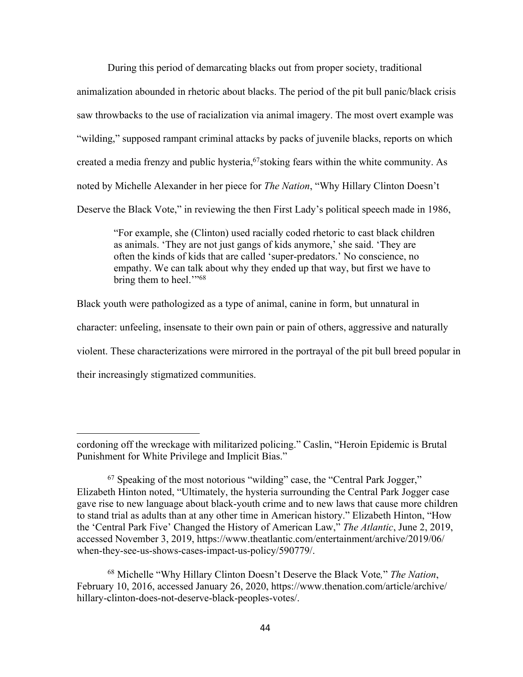During this period of demarcating blacks out from proper society, traditional animalization abounded in rhetoric about blacks. The period of the pit bull panic/black crisis saw throwbacks to the use of racialization via animal imagery. The most overt example was "wilding," supposed rampant criminal attacks by packs of juvenile blacks, reports on which created a media frenzy and public hysteria,<sup>67</sup>stoking fears within the white community. As noted by Michelle Alexander in her piece for *The Nation*, "Why Hillary Clinton Doesn't Deserve the Black Vote," in reviewing the then First Lady's political speech made in 1986,

"For example, she (Clinton) used racially coded rhetoric to cast black children as animals. 'They are not just gangs of kids anymore,' she said. 'They are often the kinds of kids that are called 'super-predators.' No conscience, no empathy. We can talk about why they ended up that way, but first we have to bring them to heel."<sup>68</sup>

Black youth were pathologized as a type of animal, canine in form, but unnatural in character: unfeeling, insensate to their own pain or pain of others, aggressive and naturally violent. These characterizations were mirrored in the portrayal of the pit bull breed popular in their increasingly stigmatized communities.

cordoning off the wreckage with militarized policing." Caslin, "Heroin Epidemic is Brutal Punishment for White Privilege and Implicit Bias."

<sup>67</sup> Speaking of the most notorious "wilding" case, the "Central Park Jogger," Elizabeth Hinton noted, "Ultimately, the hysteria surrounding the Central Park Jogger case gave rise to new language about black-youth crime and to new laws that cause more children to stand trial as adults than at any other time in American history." Elizabeth Hinton, "How the 'Central Park Five' Changed the History of American Law," *The Atlantic*, June 2, 2019, accessed November 3, 2019, https://www.theatlantic.com/entertainment/archive/2019/06/ when-they-see-us-shows-cases-impact-us-policy/590779/.

<sup>68</sup> Michelle "Why Hillary Clinton Doesn't Deserve the Black Vote*,*" *The Nation*, February 10, 2016, accessed January 26, 2020, https://www.thenation.com/article/archive/ hillary-clinton-does-not-deserve-black-peoples-votes/.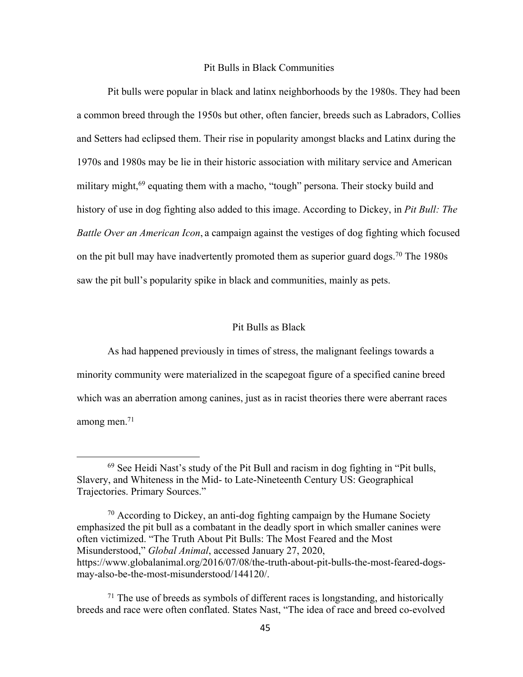#### Pit Bulls in Black Communities

Pit bulls were popular in black and latinx neighborhoods by the 1980s. They had been a common breed through the 1950s but other, often fancier, breeds such as Labradors, Collies and Setters had eclipsed them. Their rise in popularity amongst blacks and Latinx during the 1970s and 1980s may be lie in their historic association with military service and American military might,<sup>69</sup> equating them with a macho, "tough" persona. Their stocky build and history of use in dog fighting also added to this image. According to Dickey, in *Pit Bull: The Battle Over an American Icon*, a campaign against the vestiges of dog fighting which focused on the pit bull may have inadvertently promoted them as superior guard dogs.<sup>70</sup> The 1980s saw the pit bull's popularity spike in black and communities, mainly as pets.

## Pit Bulls as Black

As had happened previously in times of stress, the malignant feelings towards a minority community were materialized in the scapegoat figure of a specified canine breed which was an aberration among canines, just as in racist theories there were aberrant races among men. $71$ 

 $69$  See Heidi Nast's study of the Pit Bull and racism in dog fighting in "Pit bulls, Slavery, and Whiteness in the Mid- to Late-Nineteenth Century US: Geographical Trajectories. Primary Sources."

<sup>&</sup>lt;sup>70</sup> According to Dickey, an anti-dog fighting campaign by the Humane Society emphasized the pit bull as a combatant in the deadly sport in which smaller canines were often victimized. "The Truth About Pit Bulls: The Most Feared and the Most Misunderstood," *Global Animal*, accessed January 27, 2020, https://www.globalanimal.org/2016/07/08/the-truth-about-pit-bulls-the-most-feared-dogsmay-also-be-the-most-misunderstood/144120/.

 $71$  The use of breeds as symbols of different races is longstanding, and historically breeds and race were often conflated. States Nast, "The idea of race and breed co-evolved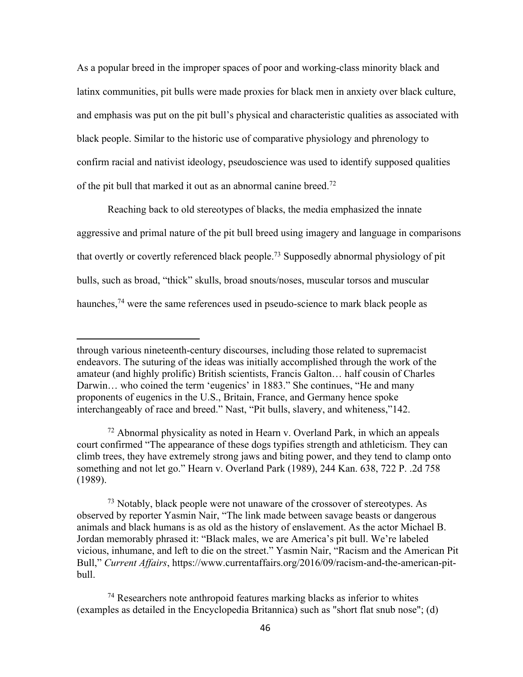As a popular breed in the improper spaces of poor and working-class minority black and latinx communities, pit bulls were made proxies for black men in anxiety over black culture, and emphasis was put on the pit bull's physical and characteristic qualities as associated with black people. Similar to the historic use of comparative physiology and phrenology to confirm racial and nativist ideology, pseudoscience was used to identify supposed qualities of the pit bull that marked it out as an abnormal canine breed.<sup>72</sup>

Reaching back to old stereotypes of blacks, the media emphasized the innate aggressive and primal nature of the pit bull breed using imagery and language in comparisons that overtly or covertly referenced black people.73 Supposedly abnormal physiology of pit bulls, such as broad, "thick" skulls, broad snouts/noses, muscular torsos and muscular haunches,  $74$  were the same references used in pseudo-science to mark black people as

<sup>73</sup> Notably, black people were not unaware of the crossover of stereotypes. As observed by reporter Yasmin Nair, "The link made between savage beasts or dangerous animals and black humans is as old as the history of enslavement. As the actor Michael B. Jordan memorably phrased it: "Black males, we are America's pit bull. We're labeled vicious, inhumane, and left to die on the street." Yasmin Nair, "Racism and the American Pit Bull," *Current Affairs*, https://www.currentaffairs.org/2016/09/racism-and-the-american-pitbull.

through various nineteenth-century discourses, including those related to supremacist endeavors. The suturing of the ideas was initially accomplished through the work of the amateur (and highly prolific) British scientists, Francis Galton… half cousin of Charles Darwin… who coined the term 'eugenics' in 1883." She continues, "He and many proponents of eugenics in the U.S., Britain, France, and Germany hence spoke interchangeably of race and breed." Nast, "Pit bulls, slavery, and whiteness,"142.

 $72$  Abnormal physicality as noted in Hearn v. Overland Park, in which an appeals court confirmed "The appearance of these dogs typifies strength and athleticism. They can climb trees, they have extremely strong jaws and biting power, and they tend to clamp onto something and not let go." Hearn v. Overland Park (1989), 244 Kan. 638, 722 P. .2d 758 (1989).

 $74$  Researchers note anthropoid features marking blacks as inferior to whites (examples as detailed in the Encyclopedia Britannica) such as "short flat snub nose"; (d)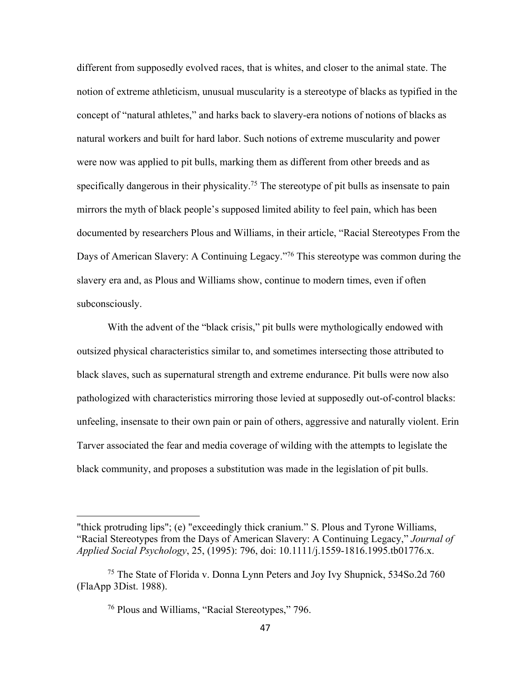different from supposedly evolved races, that is whites, and closer to the animal state. The notion of extreme athleticism, unusual muscularity is a stereotype of blacks as typified in the concept of "natural athletes," and harks back to slavery-era notions of notions of blacks as natural workers and built for hard labor. Such notions of extreme muscularity and power were now was applied to pit bulls, marking them as different from other breeds and as specifically dangerous in their physicality.<sup>75</sup> The stereotype of pit bulls as insensate to pain mirrors the myth of black people's supposed limited ability to feel pain, which has been documented by researchers Plous and Williams, in their article, "Racial Stereotypes From the Days of American Slavery: A Continuing Legacy."<sup>76</sup> This stereotype was common during the slavery era and, as Plous and Williams show, continue to modern times, even if often subconsciously.

With the advent of the "black crisis," pit bulls were mythologically endowed with outsized physical characteristics similar to, and sometimes intersecting those attributed to black slaves, such as supernatural strength and extreme endurance. Pit bulls were now also pathologized with characteristics mirroring those levied at supposedly out-of-control blacks: unfeeling, insensate to their own pain or pain of others, aggressive and naturally violent. Erin Tarver associated the fear and media coverage of wilding with the attempts to legislate the black community, and proposes a substitution was made in the legislation of pit bulls.

<sup>&</sup>quot;thick protruding lips"; (e) "exceedingly thick cranium." S. Plous and Tyrone Williams, "Racial Stereotypes from the Days of American Slavery: A Continuing Legacy," *Journal of Applied Social Psychology*, 25, (1995): 796, doi: 10.1111/j.1559-1816.1995.tb01776.x.

<sup>75</sup> The State of Florida v. Donna Lynn Peters and Joy Ivy Shupnick, 534So.2d 760 (FlaApp 3Dist. 1988).

<sup>76</sup> Plous and Williams, "Racial Stereotypes," 796.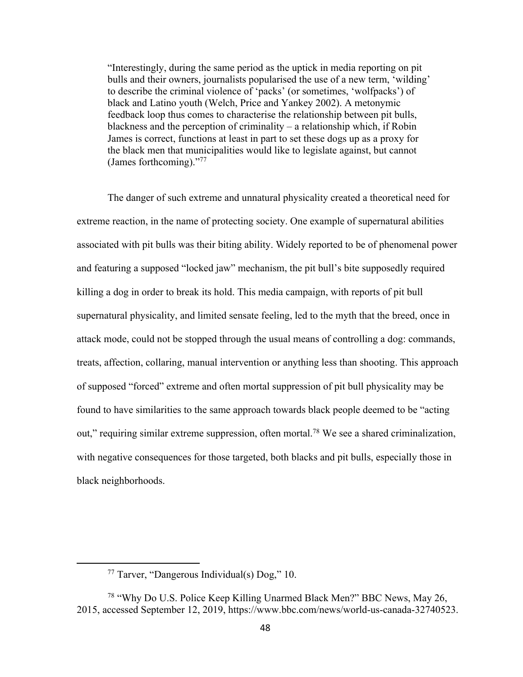"Interestingly, during the same period as the uptick in media reporting on pit bulls and their owners, journalists popularised the use of a new term, 'wilding' to describe the criminal violence of 'packs' (or sometimes, 'wolfpacks') of black and Latino youth (Welch, Price and Yankey 2002). A metonymic feedback loop thus comes to characterise the relationship between pit bulls, blackness and the perception of criminality – a relationship which, if Robin James is correct, functions at least in part to set these dogs up as a proxy for the black men that municipalities would like to legislate against, but cannot (James forthcoming)."77

The danger of such extreme and unnatural physicality created a theoretical need for extreme reaction, in the name of protecting society. One example of supernatural abilities associated with pit bulls was their biting ability. Widely reported to be of phenomenal power and featuring a supposed "locked jaw" mechanism, the pit bull's bite supposedly required killing a dog in order to break its hold. This media campaign, with reports of pit bull supernatural physicality, and limited sensate feeling, led to the myth that the breed, once in attack mode, could not be stopped through the usual means of controlling a dog: commands, treats, affection, collaring, manual intervention or anything less than shooting. This approach of supposed "forced" extreme and often mortal suppression of pit bull physicality may be found to have similarities to the same approach towards black people deemed to be "acting out," requiring similar extreme suppression, often mortal.78 We see a shared criminalization, with negative consequences for those targeted, both blacks and pit bulls, especially those in black neighborhoods.

<sup>77</sup> Tarver, "Dangerous Individual(s) Dog," 10.

<sup>78</sup> "Why Do U.S. Police Keep Killing Unarmed Black Men?" BBC News, May 26, 2015, accessed September 12, 2019, https://www.bbc.com/news/world-us-canada-32740523.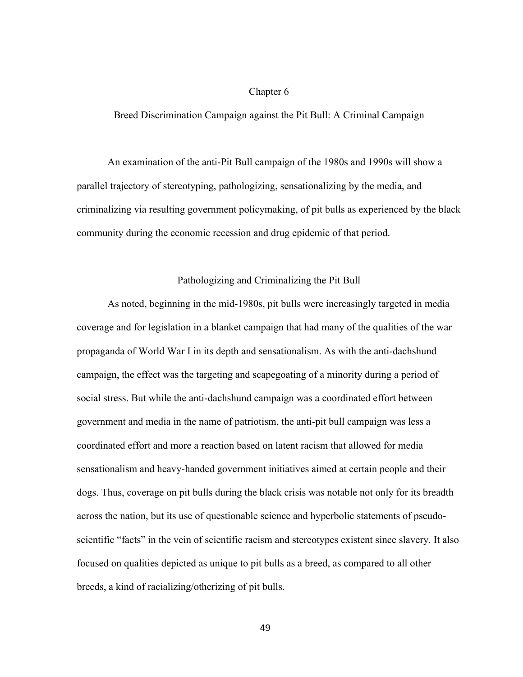## Chapter 6

Breed Discrimination Campaign against the Pit Bull: A Criminal Campaign

An examination of the anti-Pit Bull campaign of the 1980s and 1990s will show a parallel trajectory of stereotyping, pathologizing, sensationalizing by the media, and criminalizing via resulting government policymaking, of pit bulls as experienced by the black community during the economic recession and drug epidemic of that period.

## Pathologizing and Criminalizing the Pit Bull

As noted, beginning in the mid-1980s, pit bulls were increasingly targeted in media coverage and for legislation in a blanket campaign that had many of the qualities of the war propaganda of World War I in its depth and sensationalism. As with the anti-dachshund campaign, the effect was the targeting and scapegoating of a minority during a period of social stress. But while the anti-dachshund campaign was a coordinated effort between government and media in the name of patriotism, the anti-pit bull campaign was less a coordinated effort and more a reaction based on latent racism that allowed for media sensationalism and heavy-handed government initiatives aimed at certain people and their dogs. Thus, coverage on pit bulls during the black crisis was notable not only for its breadth across the nation, but its use of questionable science and hyperbolic statements of pseudoscientific "facts" in the vein of scientific racism and stereotypes existent since slavery. It also focused on qualities depicted as unique to pit bulls as a breed, as compared to all other breeds, a kind of racializing/otherizing of pit bulls.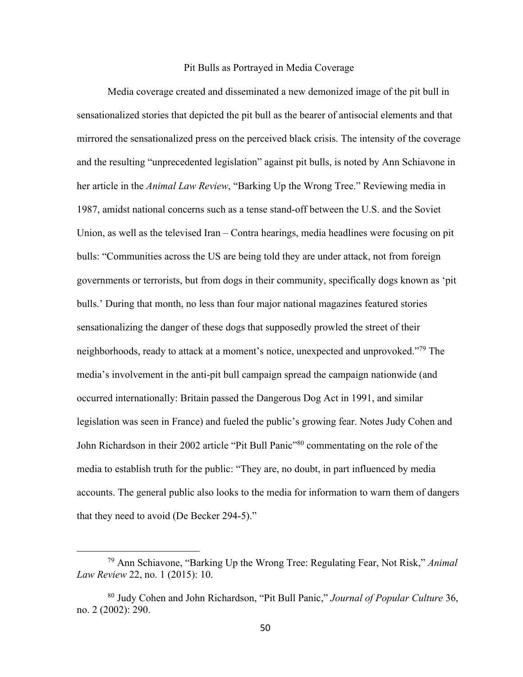# Pit Bulls as Portrayed in Media Coverage

Media coverage created and disseminated a new demonized image of the pit bull in sensationalized stories that depicted the pit bull as the bearer of antisocial elements and that mirrored the sensationalized press on the perceived black crisis. The intensity of the coverage and the resulting "unprecedented legislation" against pit bulls, is noted by Ann Schiavone in her article in the *Animal Law Review*, "Barking Up the Wrong Tree." Reviewing media in 1987, amidst national concerns such as a tense stand-off between the U.S. and the Soviet Union, as well as the televised Iran – Contra hearings, media headlines were focusing on pit bulls: "Communities across the US are being told they are under attack, not from foreign governments or terrorists, but from dogs in their community, specifically dogs known as 'pit bulls.' During that month, no less than four major national magazines featured stories sensationalizing the danger of these dogs that supposedly prowled the street of their neighborhoods, ready to attack at a moment's notice, unexpected and unprovoked."<sup>79</sup> The media's involvement in the anti-pit bull campaign spread the campaign nationwide (and occurred internationally: Britain passed the Dangerous Dog Act in 1991, and similar legislation was seen in France) and fueled the public's growing fear. Notes Judy Cohen and John Richardson in their 2002 article "Pit Bull Panic"80 commentating on the role of the media to establish truth for the public: "They are, no doubt, in part influenced by media accounts. The general public also looks to the media for information to warn them of dangers that they need to avoid (De Becker 294-5)."

<sup>79</sup> Ann Schiavone, "Barking Up the Wrong Tree: Regulating Fear, Not Risk," *Animal Law Review* 22, no. 1 (2015): 10.

<sup>80</sup> Judy Cohen and John Richardson, "Pit Bull Panic," *Journal of Popular Culture* 36, no. 2 (2002): 290.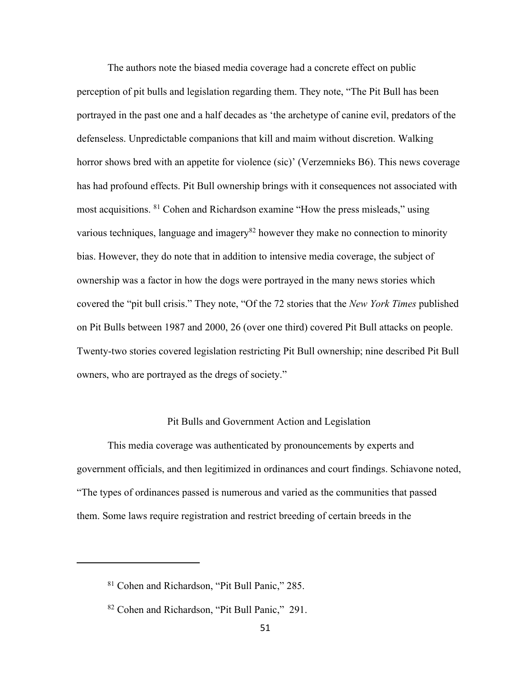The authors note the biased media coverage had a concrete effect on public perception of pit bulls and legislation regarding them. They note, "The Pit Bull has been portrayed in the past one and a half decades as 'the archetype of canine evil, predators of the defenseless. Unpredictable companions that kill and maim without discretion. Walking horror shows bred with an appetite for violence (sic)' (Verzemnieks B6). This news coverage has had profound effects. Pit Bull ownership brings with it consequences not associated with most acquisitions. 81 Cohen and Richardson examine "How the press misleads," using various techniques, language and imagery<sup>82</sup> however they make no connection to minority bias. However, they do note that in addition to intensive media coverage, the subject of ownership was a factor in how the dogs were portrayed in the many news stories which covered the "pit bull crisis." They note, "Of the 72 stories that the *New York Times* published on Pit Bulls between 1987 and 2000, 26 (over one third) covered Pit Bull attacks on people. Twenty-two stories covered legislation restricting Pit Bull ownership; nine described Pit Bull owners, who are portrayed as the dregs of society."

#### Pit Bulls and Government Action and Legislation

This media coverage was authenticated by pronouncements by experts and government officials, and then legitimized in ordinances and court findings. Schiavone noted, "The types of ordinances passed is numerous and varied as the communities that passed them. Some laws require registration and restrict breeding of certain breeds in the

<sup>81</sup> Cohen and Richardson, "Pit Bull Panic," 285.

<sup>82</sup> Cohen and Richardson, "Pit Bull Panic," 291.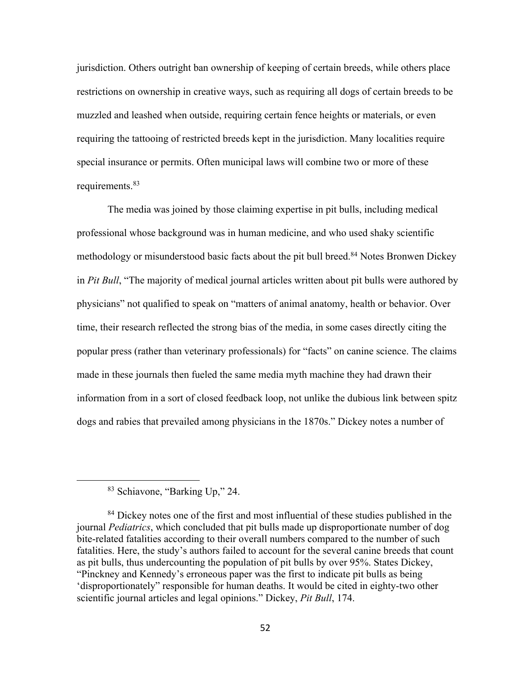jurisdiction. Others outright ban ownership of keeping of certain breeds, while others place restrictions on ownership in creative ways, such as requiring all dogs of certain breeds to be muzzled and leashed when outside, requiring certain fence heights or materials, or even requiring the tattooing of restricted breeds kept in the jurisdiction. Many localities require special insurance or permits. Often municipal laws will combine two or more of these requirements.<sup>83</sup>

The media was joined by those claiming expertise in pit bulls, including medical professional whose background was in human medicine, and who used shaky scientific methodology or misunderstood basic facts about the pit bull breed.<sup>84</sup> Notes Bronwen Dickey in *Pit Bull*, "The majority of medical journal articles written about pit bulls were authored by physicians" not qualified to speak on "matters of animal anatomy, health or behavior. Over time, their research reflected the strong bias of the media, in some cases directly citing the popular press (rather than veterinary professionals) for "facts" on canine science. The claims made in these journals then fueled the same media myth machine they had drawn their information from in a sort of closed feedback loop, not unlike the dubious link between spitz dogs and rabies that prevailed among physicians in the 1870s." Dickey notes a number of

<sup>83</sup> Schiavone, "Barking Up," 24.

<sup>&</sup>lt;sup>84</sup> Dickey notes one of the first and most influential of these studies published in the journal *Pediatrics*, which concluded that pit bulls made up disproportionate number of dog bite-related fatalities according to their overall numbers compared to the number of such fatalities. Here, the study's authors failed to account for the several canine breeds that count as pit bulls, thus undercounting the population of pit bulls by over 95%. States Dickey, "Pinckney and Kennedy's erroneous paper was the first to indicate pit bulls as being 'disproportionately" responsible for human deaths. It would be cited in eighty-two other scientific journal articles and legal opinions." Dickey, *Pit Bull*, 174.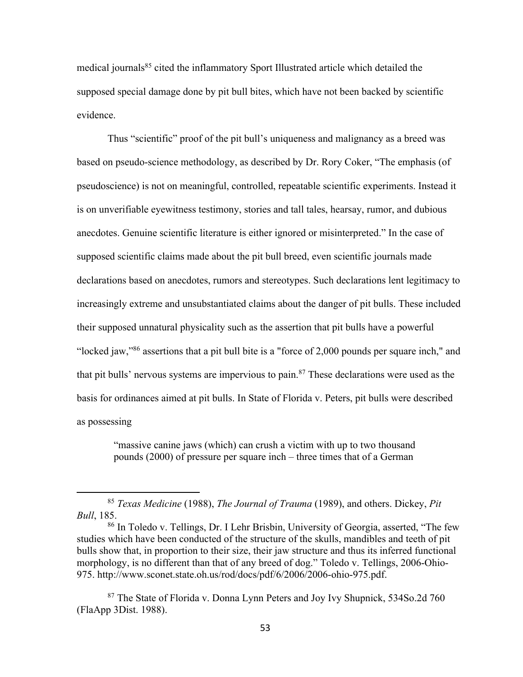medical journals<sup>85</sup> cited the inflammatory Sport Illustrated article which detailed the supposed special damage done by pit bull bites, which have not been backed by scientific evidence.

Thus "scientific" proof of the pit bull's uniqueness and malignancy as a breed was based on pseudo-science methodology, as described by Dr. Rory Coker, "The emphasis (of pseudoscience) is not on meaningful, controlled, repeatable scientific experiments. Instead it is on unverifiable eyewitness testimony, stories and tall tales, hearsay, rumor, and dubious anecdotes. Genuine scientific literature is either ignored or misinterpreted." In the case of supposed scientific claims made about the pit bull breed, even scientific journals made declarations based on anecdotes, rumors and stereotypes. Such declarations lent legitimacy to increasingly extreme and unsubstantiated claims about the danger of pit bulls. These included their supposed unnatural physicality such as the assertion that pit bulls have a powerful "locked jaw,"86 assertions that a pit bull bite is a "force of 2,000 pounds per square inch," and that pit bulls' nervous systems are impervious to pain.<sup>87</sup> These declarations were used as the basis for ordinances aimed at pit bulls. In State of Florida v. Peters, pit bulls were described as possessing

"massive canine jaws (which) can crush a victim with up to two thousand pounds (2000) of pressure per square inch – three times that of a German

<sup>85</sup> *Texas Medicine* (1988), *The Journal of Trauma* (1989), and others. Dickey, *Pit Bull*, 185.

<sup>86</sup> In Toledo v. Tellings, Dr. I Lehr Brisbin, University of Georgia, asserted, "The few studies which have been conducted of the structure of the skulls, mandibles and teeth of pit bulls show that, in proportion to their size, their jaw structure and thus its inferred functional morphology, is no different than that of any breed of dog." Toledo v. Tellings, 2006-Ohio-975. http://www.sconet.state.oh.us/rod/docs/pdf/6/2006/2006-ohio-975.pdf.

<sup>87</sup> The State of Florida v. Donna Lynn Peters and Joy Ivy Shupnick, 534So.2d 760 (FlaApp 3Dist. 1988).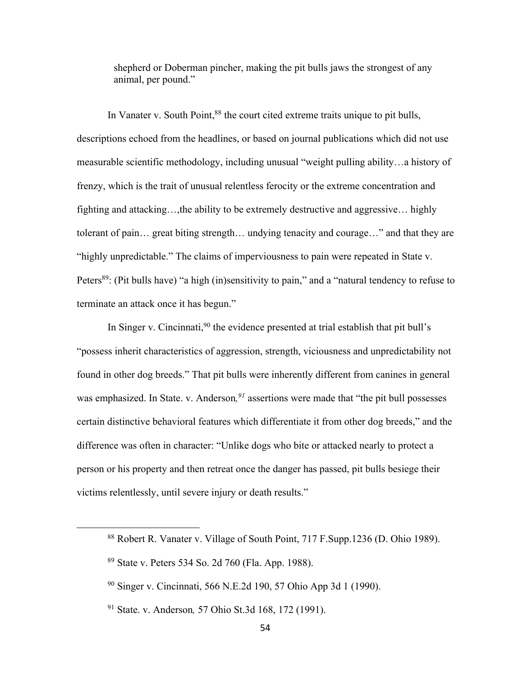shepherd or Doberman pincher, making the pit bulls jaws the strongest of any animal, per pound."

In Vanater v. South Point,  $88$  the court cited extreme traits unique to pit bulls, descriptions echoed from the headlines, or based on journal publications which did not use measurable scientific methodology, including unusual "weight pulling ability…a history of frenzy, which is the trait of unusual relentless ferocity or the extreme concentration and fighting and attacking…,the ability to be extremely destructive and aggressive… highly tolerant of pain… great biting strength… undying tenacity and courage…" and that they are "highly unpredictable." The claims of imperviousness to pain were repeated in State v. Peters<sup>89</sup>: (Pit bulls have) "a high (in)sensitivity to pain," and a "natural tendency to refuse to terminate an attack once it has begun."

In Singer v. Cincinnati,<sup>90</sup> the evidence presented at trial establish that pit bull's "possess inherit characteristics of aggression, strength, viciousness and unpredictability not found in other dog breeds." That pit bulls were inherently different from canines in general was emphasized. In State. v. Anderson*, <sup>91</sup>* assertions were made that "the pit bull possesses certain distinctive behavioral features which differentiate it from other dog breeds," and the difference was often in character: "Unlike dogs who bite or attacked nearly to protect a person or his property and then retreat once the danger has passed, pit bulls besiege their victims relentlessly, until severe injury or death results."

<sup>88</sup> Robert R. Vanater v. Village of South Point, 717 F.Supp.1236 (D. Ohio 1989).

<sup>89</sup> State v. Peters 534 So. 2d 760 (Fla. App. 1988).

<sup>90</sup> Singer v. Cincinnati, 566 N.E.2d 190, 57 Ohio App 3d 1 (1990).

<sup>91</sup> State. v. Anderson*,* 57 Ohio St.3d 168, 172 (1991).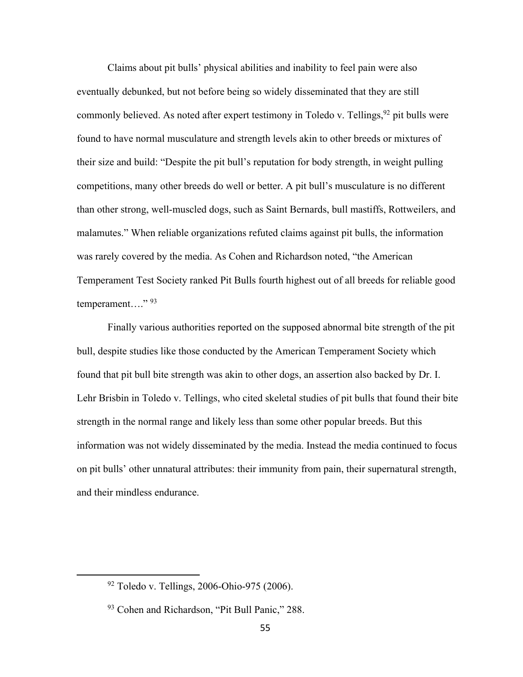Claims about pit bulls' physical abilities and inability to feel pain were also eventually debunked, but not before being so widely disseminated that they are still commonly believed. As noted after expert testimony in Toledo v. Tellings, <sup>92</sup> pit bulls were found to have normal musculature and strength levels akin to other breeds or mixtures of their size and build: "Despite the pit bull's reputation for body strength, in weight pulling competitions, many other breeds do well or better. A pit bull's musculature is no different than other strong, well-muscled dogs, such as Saint Bernards, bull mastiffs, Rottweilers, and malamutes." When reliable organizations refuted claims against pit bulls, the information was rarely covered by the media. As Cohen and Richardson noted, "the American Temperament Test Society ranked Pit Bulls fourth highest out of all breeds for reliable good temperament...."<sup>93</sup>

Finally various authorities reported on the supposed abnormal bite strength of the pit bull, despite studies like those conducted by the American Temperament Society which found that pit bull bite strength was akin to other dogs, an assertion also backed by Dr. I. Lehr Brisbin in Toledo v. Tellings, who cited skeletal studies of pit bulls that found their bite strength in the normal range and likely less than some other popular breeds. But this information was not widely disseminated by the media. Instead the media continued to focus on pit bulls' other unnatural attributes: their immunity from pain, their supernatural strength, and their mindless endurance.

 $92$  Toledo v. Tellings, 2006-Ohio-975 (2006).

<sup>93</sup> Cohen and Richardson, "Pit Bull Panic," 288.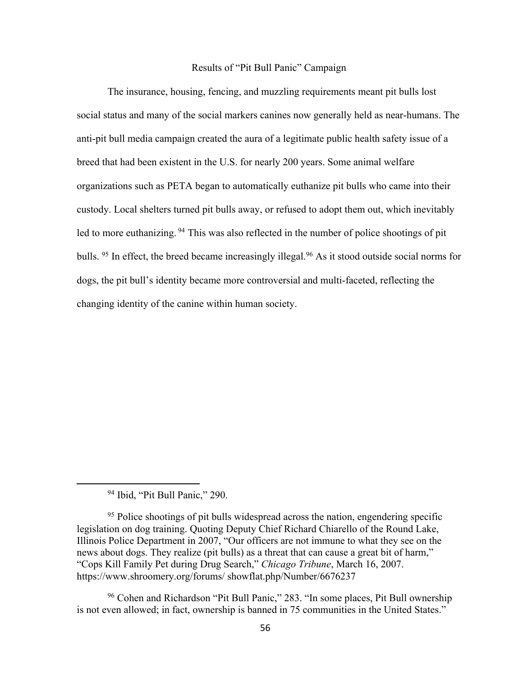#### Results of "Pit Bull Panic" Campaign

The insurance, housing, fencing, and muzzling requirements meant pit bulls lost social status and many of the social markers canines now generally held as near-humans. The anti-pit bull media campaign created the aura of a legitimate public health safety issue of a breed that had been existent in the U.S. for nearly 200 years. Some animal welfare organizations such as PETA began to automatically euthanize pit bulls who came into their custody. Local shelters turned pit bulls away, or refused to adopt them out, which inevitably led to more euthanizing. <sup>94</sup> This was also reflected in the number of police shootings of pit bulls. <sup>95</sup> In effect, the breed became increasingly illegal. <sup>96</sup> As it stood outside social norms for dogs, the pit bull's identity became more controversial and multi-faceted, reflecting the changing identity of the canine within human society.

<sup>94</sup> Ibid, "Pit Bull Panic," 290.

<sup>&</sup>lt;sup>95</sup> Police shootings of pit bulls widespread across the nation, engendering specific legislation on dog training. Quoting Deputy Chief Richard Chiarello of the Round Lake, Illinois Police Department in 2007, "Our officers are not immune to what they see on the news about dogs. They realize (pit bulls) as a threat that can cause a great bit of harm." "Cops Kill Family Pet during Drug Search," *Chicago Tribune*, March 16, 2007. https://www.shroomery.org/forums/ showflat.php/Number/6676237

<sup>96</sup> Cohen and Richardson "Pit Bull Panic," 283. "In some places, Pit Bull ownership is not even allowed; in fact, ownership is banned in 75 communities in the United States."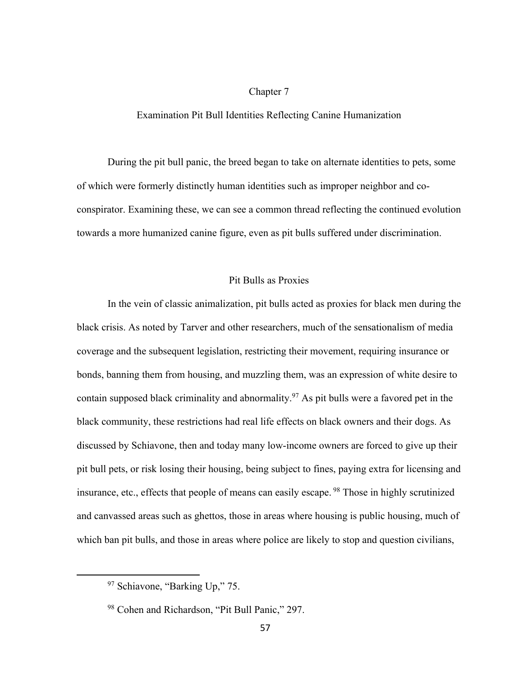## Chapter 7

## Examination Pit Bull Identities Reflecting Canine Humanization

During the pit bull panic, the breed began to take on alternate identities to pets, some of which were formerly distinctly human identities such as improper neighbor and coconspirator. Examining these, we can see a common thread reflecting the continued evolution towards a more humanized canine figure, even as pit bulls suffered under discrimination.

#### Pit Bulls as Proxies

In the vein of classic animalization, pit bulls acted as proxies for black men during the black crisis. As noted by Tarver and other researchers, much of the sensationalism of media coverage and the subsequent legislation, restricting their movement, requiring insurance or bonds, banning them from housing, and muzzling them, was an expression of white desire to contain supposed black criminality and abnormality.97 As pit bulls were a favored pet in the black community, these restrictions had real life effects on black owners and their dogs. As discussed by Schiavone, then and today many low-income owners are forced to give up their pit bull pets, or risk losing their housing, being subject to fines, paying extra for licensing and insurance, etc., effects that people of means can easily escape. <sup>98</sup> Those in highly scrutinized and canvassed areas such as ghettos, those in areas where housing is public housing, much of which ban pit bulls, and those in areas where police are likely to stop and question civilians,

<sup>&</sup>lt;sup>97</sup> Schiavone, "Barking Up," 75.

<sup>98</sup> Cohen and Richardson, "Pit Bull Panic," 297.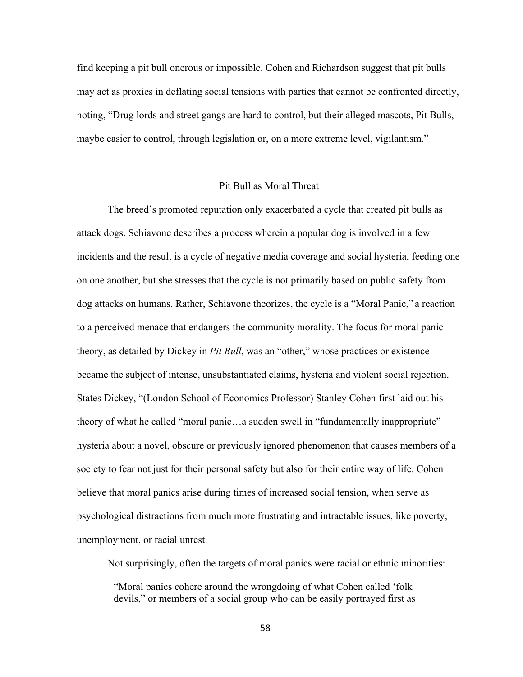find keeping a pit bull onerous or impossible. Cohen and Richardson suggest that pit bulls may act as proxies in deflating social tensions with parties that cannot be confronted directly, noting, "Drug lords and street gangs are hard to control, but their alleged mascots, Pit Bulls, maybe easier to control, through legislation or, on a more extreme level, vigilantism."

## Pit Bull as Moral Threat

The breed's promoted reputation only exacerbated a cycle that created pit bulls as attack dogs. Schiavone describes a process wherein a popular dog is involved in a few incidents and the result is a cycle of negative media coverage and social hysteria, feeding one on one another, but she stresses that the cycle is not primarily based on public safety from dog attacks on humans. Rather, Schiavone theorizes, the cycle is a "Moral Panic," a reaction to a perceived menace that endangers the community morality. The focus for moral panic theory, as detailed by Dickey in *Pit Bull*, was an "other," whose practices or existence became the subject of intense, unsubstantiated claims, hysteria and violent social rejection. States Dickey, "(London School of Economics Professor) Stanley Cohen first laid out his theory of what he called "moral panic…a sudden swell in "fundamentally inappropriate" hysteria about a novel, obscure or previously ignored phenomenon that causes members of a society to fear not just for their personal safety but also for their entire way of life. Cohen believe that moral panics arise during times of increased social tension, when serve as psychological distractions from much more frustrating and intractable issues, like poverty, unemployment, or racial unrest.

Not surprisingly, often the targets of moral panics were racial or ethnic minorities:

"Moral panics cohere around the wrongdoing of what Cohen called 'folk devils," or members of a social group who can be easily portrayed first as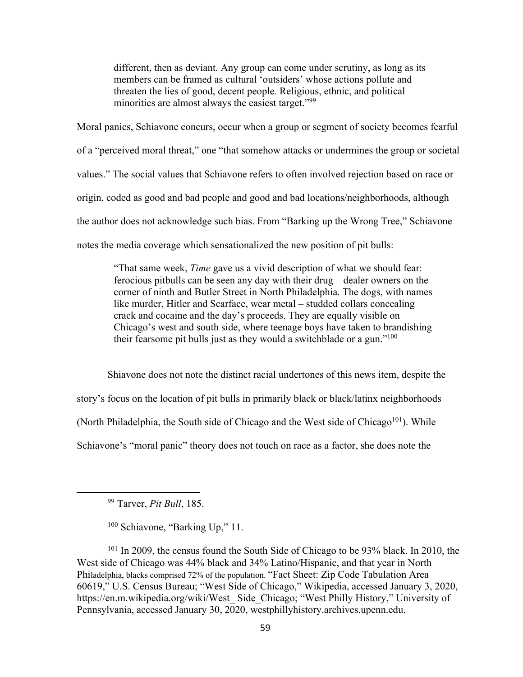different, then as deviant. Any group can come under scrutiny, as long as its members can be framed as cultural 'outsiders' whose actions pollute and threaten the lies of good, decent people. Religious, ethnic, and political minorities are almost always the easiest target."<sup>99</sup>

Moral panics, Schiavone concurs, occur when a group or segment of society becomes fearful of a "perceived moral threat," one "that somehow attacks or undermines the group or societal values." The social values that Schiavone refers to often involved rejection based on race or origin, coded as good and bad people and good and bad locations/neighborhoods, although the author does not acknowledge such bias. From "Barking up the Wrong Tree," Schiavone notes the media coverage which sensationalized the new position of pit bulls:

"That same week, *Time* gave us a vivid description of what we should fear: ferocious pitbulls can be seen any day with their drug – dealer owners on the corner of ninth and Butler Street in North Philadelphia. The dogs, with names like murder, Hitler and Scarface, wear metal – studded collars concealing crack and cocaine and the day's proceeds. They are equally visible on Chicago's west and south side, where teenage boys have taken to brandishing their fearsome pit bulls just as they would a switchblade or a gun."100

Shiavone does not note the distinct racial undertones of this news item, despite the story's focus on the location of pit bulls in primarily black or black/latinx neighborhoods (North Philadelphia, the South side of Chicago and the West side of Chicago<sup>101</sup>). While Schiavone's "moral panic" theory does not touch on race as a factor, she does note the

<sup>99</sup> Tarver, *Pit Bull*, 185.

<sup>100</sup> Schiavone, "Barking Up," 11.

<sup>101</sup> In 2009, the census found the South Side of Chicago to be 93% black. In 2010, the West side of Chicago was 44% black and 34% Latino/Hispanic, and that year in North Philadelphia, blacks comprised 72% of the population. "Fact Sheet: Zip Code Tabulation Area 60619," U.S. Census Bureau; "West Side of Chicago," Wikipedia, accessed January 3, 2020, https://en.m.wikipedia.org/wiki/West\_ Side\_Chicago; "West Philly History," University of Pennsylvania, accessed January 30, 2020, westphillyhistory.archives.upenn.edu.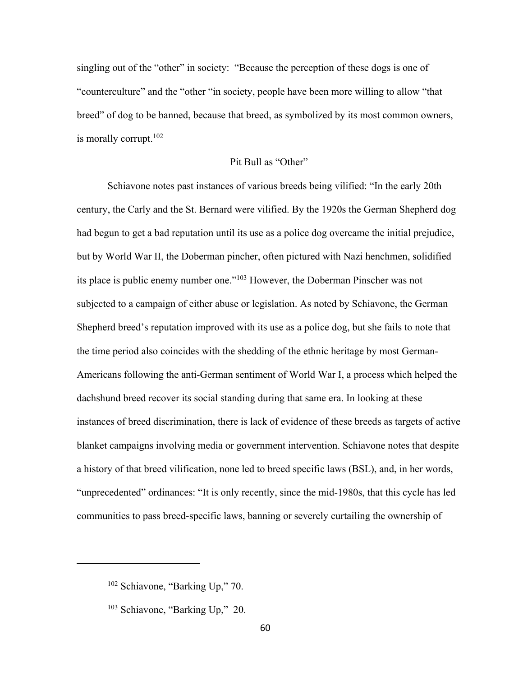singling out of the "other" in society: "Because the perception of these dogs is one of "counterculture" and the "other "in society, people have been more willing to allow "that breed" of dog to be banned, because that breed, as symbolized by its most common owners, is morally corrupt. $102$ 

# Pit Bull as "Other"

Schiavone notes past instances of various breeds being vilified: "In the early 20th century, the Carly and the St. Bernard were vilified. By the 1920s the German Shepherd dog had begun to get a bad reputation until its use as a police dog overcame the initial prejudice, but by World War II, the Doberman pincher, often pictured with Nazi henchmen, solidified its place is public enemy number one."103 However, the Doberman Pinscher was not subjected to a campaign of either abuse or legislation. As noted by Schiavone, the German Shepherd breed's reputation improved with its use as a police dog, but she fails to note that the time period also coincides with the shedding of the ethnic heritage by most German-Americans following the anti-German sentiment of World War I, a process which helped the dachshund breed recover its social standing during that same era. In looking at these instances of breed discrimination, there is lack of evidence of these breeds as targets of active blanket campaigns involving media or government intervention. Schiavone notes that despite a history of that breed vilification, none led to breed specific laws (BSL), and, in her words, "unprecedented" ordinances: "It is only recently, since the mid-1980s, that this cycle has led communities to pass breed-specific laws, banning or severely curtailing the ownership of

<sup>102</sup> Schiavone, "Barking Up," 70.

<sup>103</sup> Schiavone, "Barking Up," 20.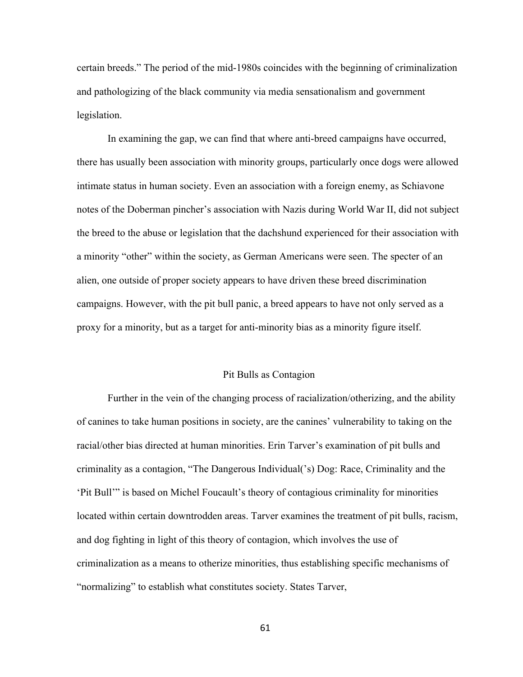certain breeds." The period of the mid-1980s coincides with the beginning of criminalization and pathologizing of the black community via media sensationalism and government legislation.

In examining the gap, we can find that where anti-breed campaigns have occurred, there has usually been association with minority groups, particularly once dogs were allowed intimate status in human society. Even an association with a foreign enemy, as Schiavone notes of the Doberman pincher's association with Nazis during World War II, did not subject the breed to the abuse or legislation that the dachshund experienced for their association with a minority "other" within the society, as German Americans were seen. The specter of an alien, one outside of proper society appears to have driven these breed discrimination campaigns. However, with the pit bull panic, a breed appears to have not only served as a proxy for a minority, but as a target for anti-minority bias as a minority figure itself.

#### Pit Bulls as Contagion

Further in the vein of the changing process of racialization/otherizing, and the ability of canines to take human positions in society, are the canines' vulnerability to taking on the racial/other bias directed at human minorities. Erin Tarver's examination of pit bulls and criminality as a contagion, "The Dangerous Individual('s) Dog: Race, Criminality and the 'Pit Bull'" is based on Michel Foucault's theory of contagious criminality for minorities located within certain downtrodden areas. Tarver examines the treatment of pit bulls, racism, and dog fighting in light of this theory of contagion, which involves the use of criminalization as a means to otherize minorities, thus establishing specific mechanisms of "normalizing" to establish what constitutes society. States Tarver,

61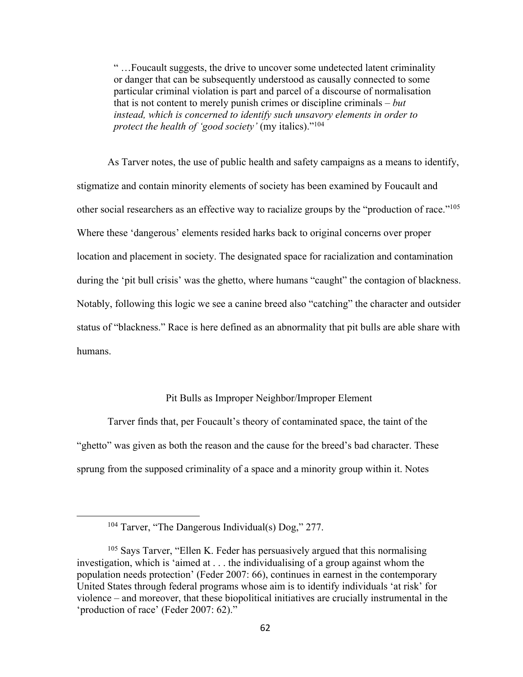" …Foucault suggests, the drive to uncover some undetected latent criminality or danger that can be subsequently understood as causally connected to some particular criminal violation is part and parcel of a discourse of normalisation that is not content to merely punish crimes or discipline criminals – *but instead, which is concerned to identify such unsavory elements in order to protect the health of 'good society'* (my italics)."104

As Tarver notes, the use of public health and safety campaigns as a means to identify, stigmatize and contain minority elements of society has been examined by Foucault and other social researchers as an effective way to racialize groups by the "production of race."105 Where these 'dangerous' elements resided harks back to original concerns over proper location and placement in society. The designated space for racialization and contamination during the 'pit bull crisis' was the ghetto, where humans "caught" the contagion of blackness. Notably, following this logic we see a canine breed also "catching" the character and outsider status of "blackness." Race is here defined as an abnormality that pit bulls are able share with humans.

## Pit Bulls as Improper Neighbor/Improper Element

Tarver finds that, per Foucault's theory of contaminated space, the taint of the "ghetto" was given as both the reason and the cause for the breed's bad character. These sprung from the supposed criminality of a space and a minority group within it. Notes

<sup>104</sup> Tarver, "The Dangerous Individual(s) Dog," 277.

 $105$  Says Tarver, "Ellen K. Feder has persuasively argued that this normalising investigation, which is 'aimed at . . . the individualising of a group against whom the population needs protection' (Feder 2007: 66), continues in earnest in the contemporary United States through federal programs whose aim is to identify individuals 'at risk' for violence – and moreover, that these biopolitical initiatives are crucially instrumental in the 'production of race' (Feder 2007: 62)."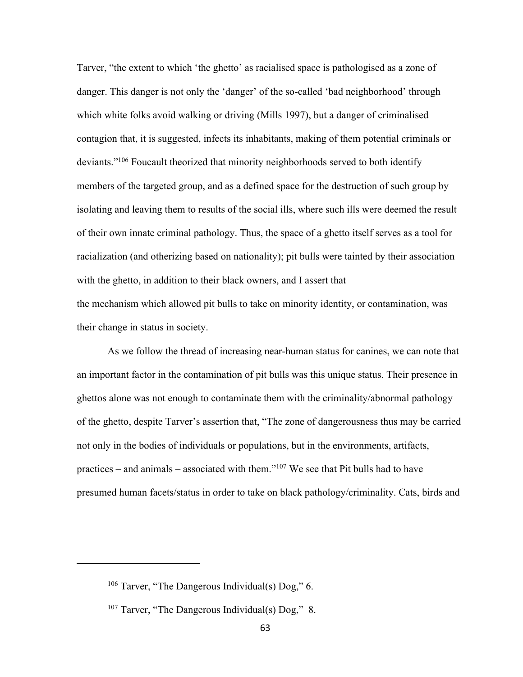Tarver, "the extent to which 'the ghetto' as racialised space is pathologised as a zone of danger. This danger is not only the 'danger' of the so-called 'bad neighborhood' through which white folks avoid walking or driving (Mills 1997), but a danger of criminalised contagion that, it is suggested, infects its inhabitants, making of them potential criminals or deviants."106 Foucault theorized that minority neighborhoods served to both identify members of the targeted group, and as a defined space for the destruction of such group by isolating and leaving them to results of the social ills, where such ills were deemed the result of their own innate criminal pathology. Thus, the space of a ghetto itself serves as a tool for racialization (and otherizing based on nationality); pit bulls were tainted by their association with the ghetto, in addition to their black owners, and I assert that the mechanism which allowed pit bulls to take on minority identity, or contamination, was their change in status in society.

As we follow the thread of increasing near-human status for canines, we can note that an important factor in the contamination of pit bulls was this unique status. Their presence in ghettos alone was not enough to contaminate them with the criminality/abnormal pathology of the ghetto, despite Tarver's assertion that, "The zone of dangerousness thus may be carried not only in the bodies of individuals or populations, but in the environments, artifacts, practices – and animals – associated with them."<sup>107</sup> We see that Pit bulls had to have presumed human facets/status in order to take on black pathology/criminality. Cats, birds and

<sup>&</sup>lt;sup>106</sup> Tarver, "The Dangerous Individual(s)  $\text{Dog}$ ," 6.

 $107$  Tarver, "The Dangerous Individual(s) Dog," 8.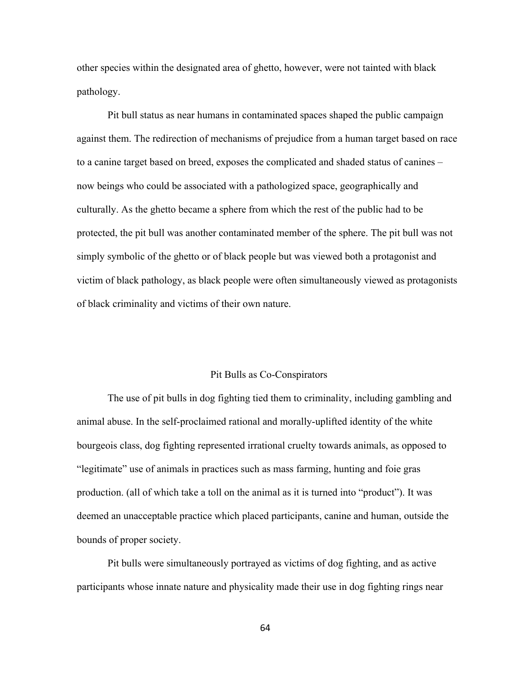other species within the designated area of ghetto, however, were not tainted with black pathology.

Pit bull status as near humans in contaminated spaces shaped the public campaign against them. The redirection of mechanisms of prejudice from a human target based on race to a canine target based on breed, exposes the complicated and shaded status of canines – now beings who could be associated with a pathologized space, geographically and culturally. As the ghetto became a sphere from which the rest of the public had to be protected, the pit bull was another contaminated member of the sphere. The pit bull was not simply symbolic of the ghetto or of black people but was viewed both a protagonist and victim of black pathology, as black people were often simultaneously viewed as protagonists of black criminality and victims of their own nature.

#### Pit Bulls as Co-Conspirators

The use of pit bulls in dog fighting tied them to criminality, including gambling and animal abuse. In the self-proclaimed rational and morally-uplifted identity of the white bourgeois class, dog fighting represented irrational cruelty towards animals, as opposed to "legitimate" use of animals in practices such as mass farming, hunting and foie gras production. (all of which take a toll on the animal as it is turned into "product"). It was deemed an unacceptable practice which placed participants, canine and human, outside the bounds of proper society.

Pit bulls were simultaneously portrayed as victims of dog fighting, and as active participants whose innate nature and physicality made their use in dog fighting rings near

64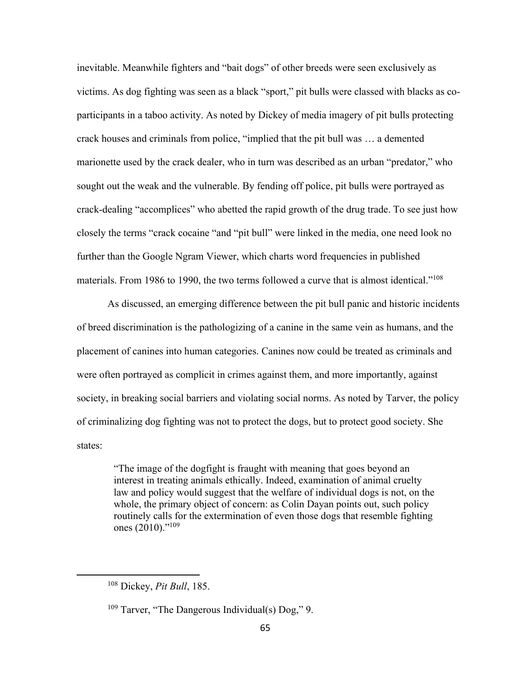inevitable. Meanwhile fighters and "bait dogs" of other breeds were seen exclusively as victims. As dog fighting was seen as a black "sport," pit bulls were classed with blacks as coparticipants in a taboo activity. As noted by Dickey of media imagery of pit bulls protecting crack houses and criminals from police, "implied that the pit bull was … a demented marionette used by the crack dealer, who in turn was described as an urban "predator," who sought out the weak and the vulnerable. By fending off police, pit bulls were portrayed as crack-dealing "accomplices" who abetted the rapid growth of the drug trade. To see just how closely the terms "crack cocaine "and "pit bull" were linked in the media, one need look no further than the Google Ngram Viewer, which charts word frequencies in published materials. From 1986 to 1990, the two terms followed a curve that is almost identical."108

As discussed, an emerging difference between the pit bull panic and historic incidents of breed discrimination is the pathologizing of a canine in the same vein as humans, and the placement of canines into human categories. Canines now could be treated as criminals and were often portrayed as complicit in crimes against them, and more importantly, against society, in breaking social barriers and violating social norms. As noted by Tarver, the policy of criminalizing dog fighting was not to protect the dogs, but to protect good society. She states:

"The image of the dogfight is fraught with meaning that goes beyond an interest in treating animals ethically. Indeed, examination of animal cruelty law and policy would suggest that the welfare of individual dogs is not, on the whole, the primary object of concern: as Colin Dayan points out, such policy routinely calls for the extermination of even those dogs that resemble fighting ones (2010)."<sup>109</sup>

<sup>108</sup> Dickey, *Pit Bull*, 185.

 $109$  Tarver, "The Dangerous Individual(s) Dog," 9.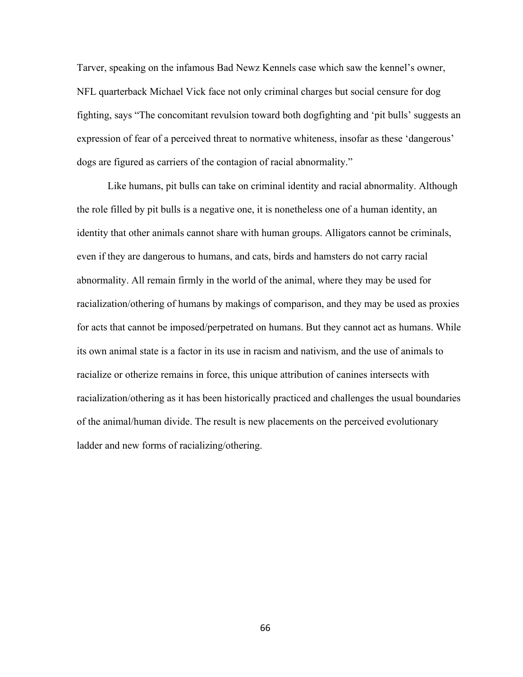Tarver, speaking on the infamous Bad Newz Kennels case which saw the kennel's owner, NFL quarterback Michael Vick face not only criminal charges but social censure for dog fighting, says "The concomitant revulsion toward both dogfighting and 'pit bulls' suggests an expression of fear of a perceived threat to normative whiteness, insofar as these 'dangerous' dogs are figured as carriers of the contagion of racial abnormality."

Like humans, pit bulls can take on criminal identity and racial abnormality. Although the role filled by pit bulls is a negative one, it is nonetheless one of a human identity, an identity that other animals cannot share with human groups. Alligators cannot be criminals, even if they are dangerous to humans, and cats, birds and hamsters do not carry racial abnormality. All remain firmly in the world of the animal, where they may be used for racialization/othering of humans by makings of comparison, and they may be used as proxies for acts that cannot be imposed/perpetrated on humans. But they cannot act as humans. While its own animal state is a factor in its use in racism and nativism, and the use of animals to racialize or otherize remains in force, this unique attribution of canines intersects with racialization/othering as it has been historically practiced and challenges the usual boundaries of the animal/human divide. The result is new placements on the perceived evolutionary ladder and new forms of racializing/othering.

66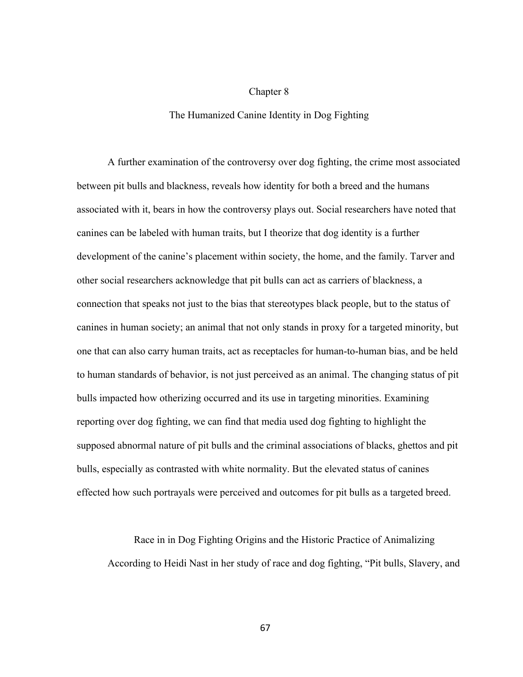## Chapter 8

## The Humanized Canine Identity in Dog Fighting

A further examination of the controversy over dog fighting, the crime most associated between pit bulls and blackness, reveals how identity for both a breed and the humans associated with it, bears in how the controversy plays out. Social researchers have noted that canines can be labeled with human traits, but I theorize that dog identity is a further development of the canine's placement within society, the home, and the family. Tarver and other social researchers acknowledge that pit bulls can act as carriers of blackness, a connection that speaks not just to the bias that stereotypes black people, but to the status of canines in human society; an animal that not only stands in proxy for a targeted minority, but one that can also carry human traits, act as receptacles for human-to-human bias, and be held to human standards of behavior, is not just perceived as an animal. The changing status of pit bulls impacted how otherizing occurred and its use in targeting minorities. Examining reporting over dog fighting, we can find that media used dog fighting to highlight the supposed abnormal nature of pit bulls and the criminal associations of blacks, ghettos and pit bulls, especially as contrasted with white normality. But the elevated status of canines effected how such portrayals were perceived and outcomes for pit bulls as a targeted breed.

Race in in Dog Fighting Origins and the Historic Practice of Animalizing According to Heidi Nast in her study of race and dog fighting, "Pit bulls, Slavery, and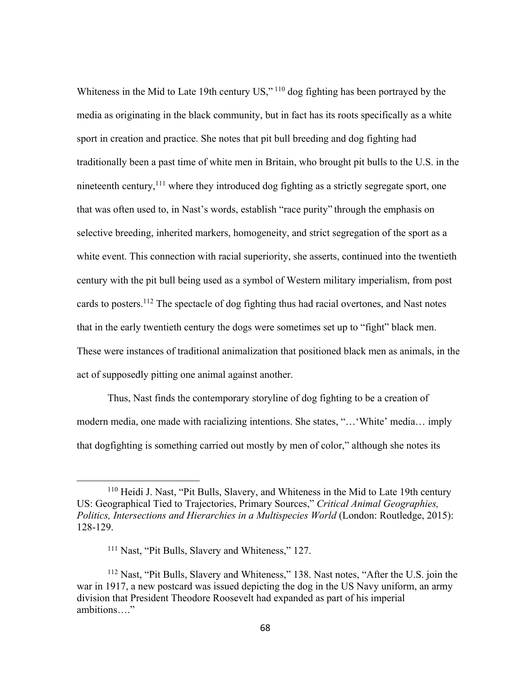Whiteness in the Mid to Late 19th century US,"<sup>110</sup> dog fighting has been portrayed by the media as originating in the black community, but in fact has its roots specifically as a white sport in creation and practice. She notes that pit bull breeding and dog fighting had traditionally been a past time of white men in Britain, who brought pit bulls to the U.S. in the nineteenth century,<sup>111</sup> where they introduced dog fighting as a strictly segregate sport, one that was often used to, in Nast's words, establish "race purity" through the emphasis on selective breeding, inherited markers, homogeneity, and strict segregation of the sport as a white event. This connection with racial superiority, she asserts, continued into the twentieth century with the pit bull being used as a symbol of Western military imperialism, from post cards to posters.<sup>112</sup> The spectacle of dog fighting thus had racial overtones, and Nast notes that in the early twentieth century the dogs were sometimes set up to "fight" black men. These were instances of traditional animalization that positioned black men as animals, in the act of supposedly pitting one animal against another.

Thus, Nast finds the contemporary storyline of dog fighting to be a creation of modern media, one made with racializing intentions. She states, "…'White' media… imply that dogfighting is something carried out mostly by men of color," although she notes its

<sup>110</sup> Heidi J. Nast, "Pit Bulls, Slavery, and Whiteness in the Mid to Late 19th century US: Geographical Tied to Trajectories, Primary Sources," *Critical Animal Geographies, Politics, Intersections and Hierarchies in a Multispecies World* (London: Routledge, 2015): 128-129.

<sup>&</sup>lt;sup>111</sup> Nast, "Pit Bulls, Slavery and Whiteness," 127.

<sup>112</sup> Nast, "Pit Bulls, Slavery and Whiteness," 138. Nast notes, "After the U.S. join the war in 1917, a new postcard was issued depicting the dog in the US Navy uniform, an army division that President Theodore Roosevelt had expanded as part of his imperial ambitions…."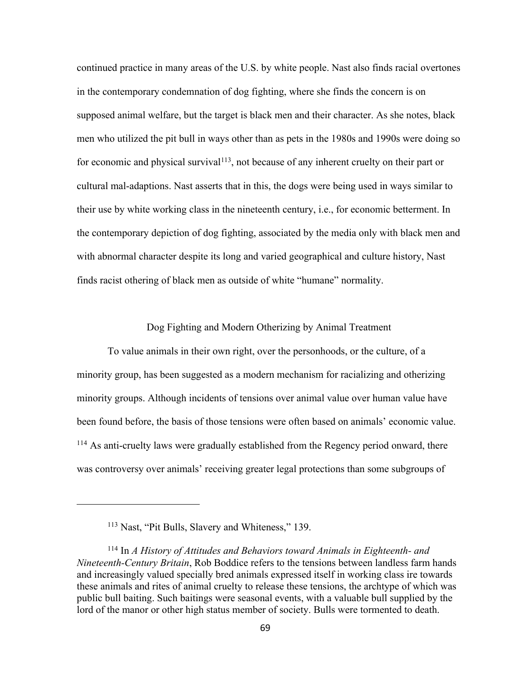continued practice in many areas of the U.S. by white people. Nast also finds racial overtones in the contemporary condemnation of dog fighting, where she finds the concern is on supposed animal welfare, but the target is black men and their character. As she notes, black men who utilized the pit bull in ways other than as pets in the 1980s and 1990s were doing so for economic and physical survival<sup>113</sup>, not because of any inherent cruelty on their part or cultural mal-adaptions. Nast asserts that in this, the dogs were being used in ways similar to their use by white working class in the nineteenth century, i.e., for economic betterment. In the contemporary depiction of dog fighting, associated by the media only with black men and with abnormal character despite its long and varied geographical and culture history, Nast finds racist othering of black men as outside of white "humane" normality.

## Dog Fighting and Modern Otherizing by Animal Treatment

To value animals in their own right, over the personhoods, or the culture, of a minority group, has been suggested as a modern mechanism for racializing and otherizing minority groups. Although incidents of tensions over animal value over human value have been found before, the basis of those tensions were often based on animals' economic value. <sup>114</sup> As anti-cruelty laws were gradually established from the Regency period onward, there was controversy over animals' receiving greater legal protections than some subgroups of

<sup>113</sup> Nast, "Pit Bulls, Slavery and Whiteness," 139.

<sup>114</sup> In *A History of Attitudes and Behaviors toward Animals in Eighteenth- and Nineteenth-Century Britain*, Rob Boddice refers to the tensions between landless farm hands and increasingly valued specially bred animals expressed itself in working class ire towards these animals and rites of animal cruelty to release these tensions, the archtype of which was public bull baiting. Such baitings were seasonal events, with a valuable bull supplied by the lord of the manor or other high status member of society. Bulls were tormented to death.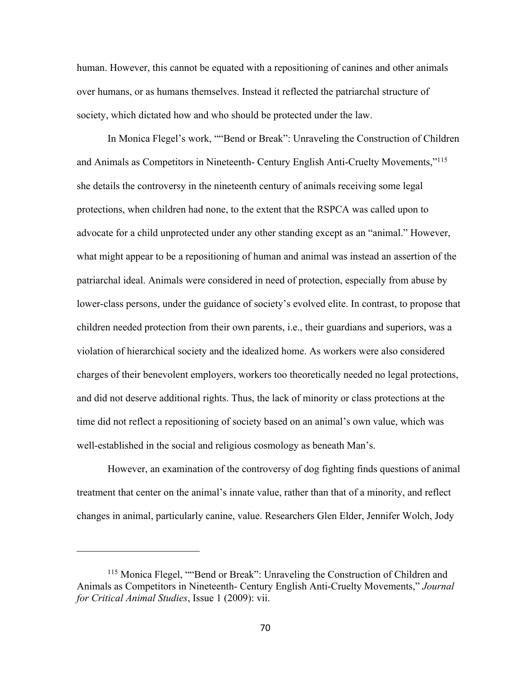human. However, this cannot be equated with a repositioning of canines and other animals over humans, or as humans themselves. Instead it reflected the patriarchal structure of society, which dictated how and who should be protected under the law.

In Monica Flegel's work, ""Bend or Break": Unraveling the Construction of Children and Animals as Competitors in Nineteenth- Century English Anti-Cruelty Movements,"115 she details the controversy in the nineteenth century of animals receiving some legal protections, when children had none, to the extent that the RSPCA was called upon to advocate for a child unprotected under any other standing except as an "animal." However, what might appear to be a repositioning of human and animal was instead an assertion of the patriarchal ideal. Animals were considered in need of protection, especially from abuse by lower-class persons, under the guidance of society's evolved elite. In contrast, to propose that children needed protection from their own parents, i.e., their guardians and superiors, was a violation of hierarchical society and the idealized home. As workers were also considered charges of their benevolent employers, workers too theoretically needed no legal protections, and did not deserve additional rights. Thus, the lack of minority or class protections at the time did not reflect a repositioning of society based on an animal's own value, which was well-established in the social and religious cosmology as beneath Man's.

However, an examination of the controversy of dog fighting finds questions of animal treatment that center on the animal's innate value, rather than that of a minority, and reflect changes in animal, particularly canine, value. Researchers Glen Elder, Jennifer Wolch, Jody

<sup>115</sup> Monica Flegel, ""Bend or Break": Unraveling the Construction of Children and Animals as Competitors in Nineteenth- Century English Anti-Cruelty Movements," *Journal for Critical Animal Studies*, Issue 1 (2009): vii.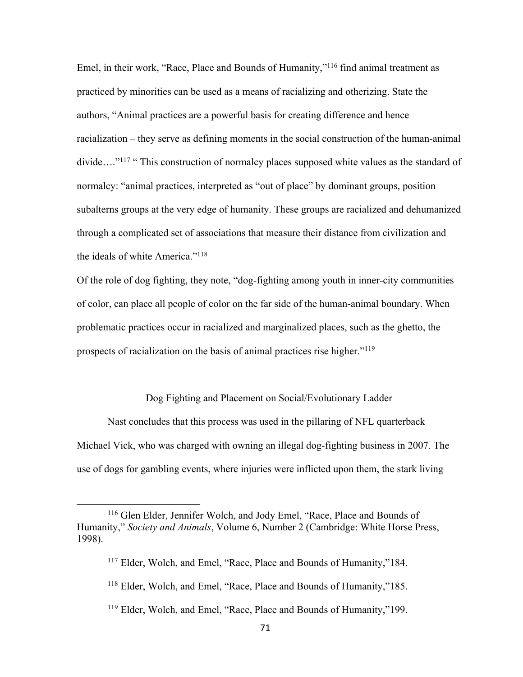Emel, in their work, "Race, Place and Bounds of Humanity,"116 find animal treatment as practiced by minorities can be used as a means of racializing and otherizing. State the authors, "Animal practices are a powerful basis for creating difference and hence racialization – they serve as defining moments in the social construction of the human-animal divide...."<sup>117</sup> " This construction of normalcy places supposed white values as the standard of normalcy: "animal practices, interpreted as "out of place" by dominant groups, position subalterns groups at the very edge of humanity. These groups are racialized and dehumanized through a complicated set of associations that measure their distance from civilization and the ideals of white America."<sup>118</sup>

Of the role of dog fighting, they note, "dog-fighting among youth in inner-city communities of color, can place all people of color on the far side of the human-animal boundary. When problematic practices occur in racialized and marginalized places, such as the ghetto, the prospects of racialization on the basis of animal practices rise higher."119

## Dog Fighting and Placement on Social/Evolutionary Ladder

Nast concludes that this process was used in the pillaring of NFL quarterback Michael Vick, who was charged with owning an illegal dog-fighting business in 2007. The use of dogs for gambling events, where injuries were inflicted upon them, the stark living

<sup>119</sup> Elder, Wolch, and Emel, "Race, Place and Bounds of Humanity,"199.

<sup>116</sup> Glen Elder, Jennifer Wolch, and Jody Emel, "Race, Place and Bounds of Humanity," *Society and Animals*, Volume 6, Number 2 (Cambridge: White Horse Press, 1998).

<sup>&</sup>lt;sup>117</sup> Elder, Wolch, and Emel, "Race, Place and Bounds of Humanity,"184.

<sup>118</sup> Elder, Wolch, and Emel, "Race, Place and Bounds of Humanity,"185.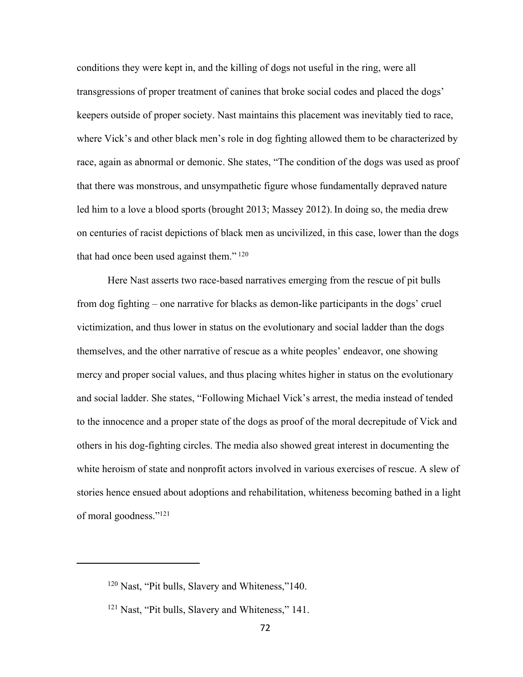conditions they were kept in, and the killing of dogs not useful in the ring, were all transgressions of proper treatment of canines that broke social codes and placed the dogs' keepers outside of proper society. Nast maintains this placement was inevitably tied to race, where Vick's and other black men's role in dog fighting allowed them to be characterized by race, again as abnormal or demonic. She states, "The condition of the dogs was used as proof that there was monstrous, and unsympathetic figure whose fundamentally depraved nature led him to a love a blood sports (brought 2013; Massey 2012). In doing so, the media drew on centuries of racist depictions of black men as uncivilized, in this case, lower than the dogs that had once been used against them." $120$ 

Here Nast asserts two race-based narratives emerging from the rescue of pit bulls from dog fighting – one narrative for blacks as demon-like participants in the dogs' cruel victimization, and thus lower in status on the evolutionary and social ladder than the dogs themselves, and the other narrative of rescue as a white peoples' endeavor, one showing mercy and proper social values, and thus placing whites higher in status on the evolutionary and social ladder. She states, "Following Michael Vick's arrest, the media instead of tended to the innocence and a proper state of the dogs as proof of the moral decrepitude of Vick and others in his dog-fighting circles. The media also showed great interest in documenting the white heroism of state and nonprofit actors involved in various exercises of rescue. A slew of stories hence ensued about adoptions and rehabilitation, whiteness becoming bathed in a light of moral goodness."121

<sup>120</sup> Nast, "Pit bulls, Slavery and Whiteness,"140.

<sup>&</sup>lt;sup>121</sup> Nast, "Pit bulls, Slavery and Whiteness," 141.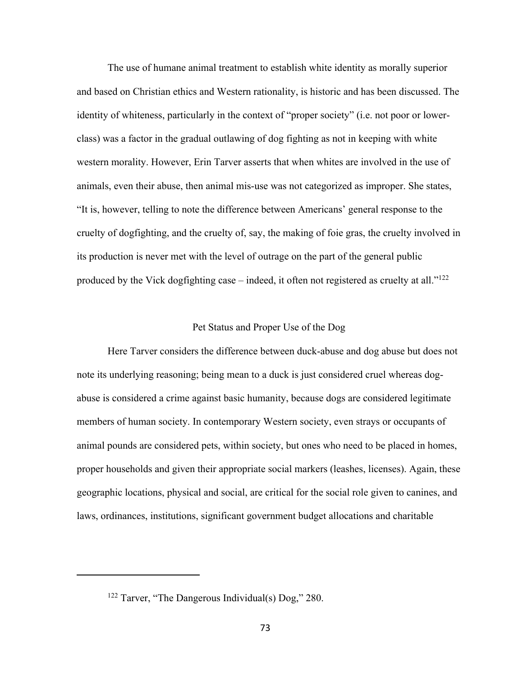The use of humane animal treatment to establish white identity as morally superior and based on Christian ethics and Western rationality, is historic and has been discussed. The identity of whiteness, particularly in the context of "proper society" (i.e. not poor or lowerclass) was a factor in the gradual outlawing of dog fighting as not in keeping with white western morality. However, Erin Tarver asserts that when whites are involved in the use of animals, even their abuse, then animal mis-use was not categorized as improper. She states, "It is, however, telling to note the difference between Americans' general response to the cruelty of dogfighting, and the cruelty of, say, the making of foie gras, the cruelty involved in its production is never met with the level of outrage on the part of the general public produced by the Vick dogfighting case – indeed, it often not registered as cruelty at all." $122$ 

#### Pet Status and Proper Use of the Dog

Here Tarver considers the difference between duck-abuse and dog abuse but does not note its underlying reasoning; being mean to a duck is just considered cruel whereas dogabuse is considered a crime against basic humanity, because dogs are considered legitimate members of human society. In contemporary Western society, even strays or occupants of animal pounds are considered pets, within society, but ones who need to be placed in homes, proper households and given their appropriate social markers (leashes, licenses). Again, these geographic locations, physical and social, are critical for the social role given to canines, and laws, ordinances, institutions, significant government budget allocations and charitable

<sup>122</sup> Tarver, "The Dangerous Individual(s) Dog," 280.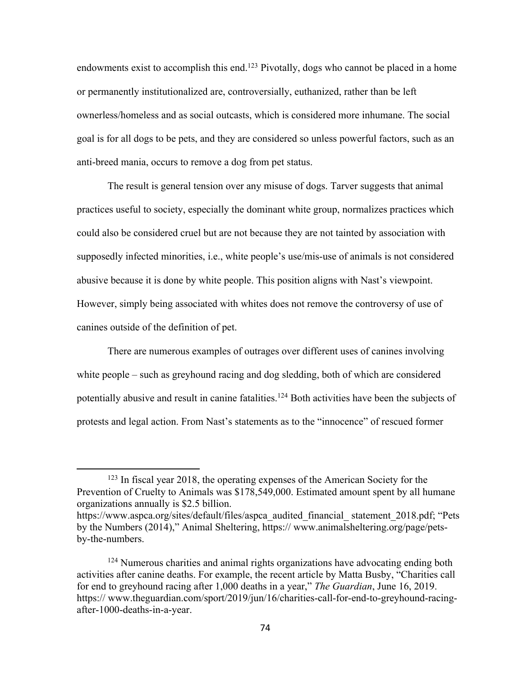endowments exist to accomplish this end.<sup>123</sup> Pivotally, dogs who cannot be placed in a home or permanently institutionalized are, controversially, euthanized, rather than be left ownerless/homeless and as social outcasts, which is considered more inhumane. The social goal is for all dogs to be pets, and they are considered so unless powerful factors, such as an anti-breed mania, occurs to remove a dog from pet status.

The result is general tension over any misuse of dogs. Tarver suggests that animal practices useful to society, especially the dominant white group, normalizes practices which could also be considered cruel but are not because they are not tainted by association with supposedly infected minorities, i.e., white people's use/mis-use of animals is not considered abusive because it is done by white people. This position aligns with Nast's viewpoint. However, simply being associated with whites does not remove the controversy of use of canines outside of the definition of pet.

There are numerous examples of outrages over different uses of canines involving white people – such as greyhound racing and dog sledding, both of which are considered potentially abusive and result in canine fatalities.<sup>124</sup> Both activities have been the subjects of protests and legal action. From Nast's statements as to the "innocence" of rescued former

<sup>123</sup> In fiscal year 2018, the operating expenses of the American Society for the Prevention of Cruelty to Animals was \$178,549,000. Estimated amount spent by all humane organizations annually is \$2.5 billion.

https://www.aspca.org/sites/default/files/aspca audited financial statement 2018.pdf; "Pets by the Numbers (2014)," Animal Sheltering, https:// www.animalsheltering.org/page/petsby-the-numbers.

<sup>&</sup>lt;sup>124</sup> Numerous charities and animal rights organizations have advocating ending both activities after canine deaths. For example, the recent article by Matta Busby, "Charities call for end to greyhound racing after 1,000 deaths in a year," *The Guardian*, June 16, 2019. https:// www.theguardian.com/sport/2019/jun/16/charities-call-for-end-to-greyhound-racingafter-1000-deaths-in-a-year.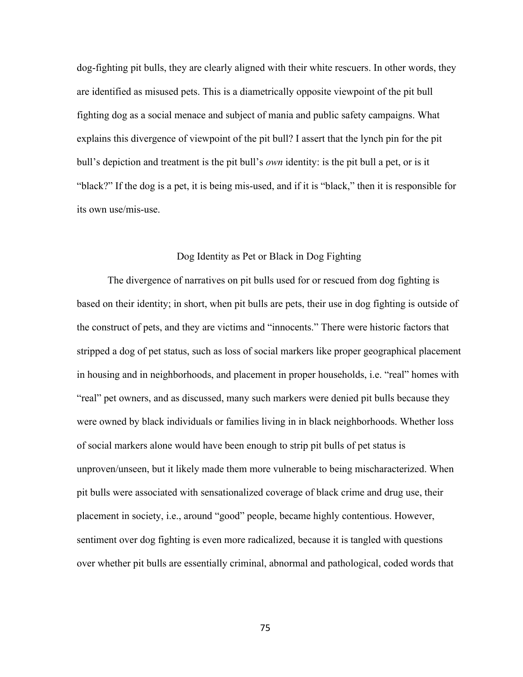dog-fighting pit bulls, they are clearly aligned with their white rescuers. In other words, they are identified as misused pets. This is a diametrically opposite viewpoint of the pit bull fighting dog as a social menace and subject of mania and public safety campaigns. What explains this divergence of viewpoint of the pit bull? I assert that the lynch pin for the pit bull's depiction and treatment is the pit bull's *own* identity: is the pit bull a pet, or is it "black?" If the dog is a pet, it is being mis-used, and if it is "black," then it is responsible for its own use/mis-use.

# Dog Identity as Pet or Black in Dog Fighting

The divergence of narratives on pit bulls used for or rescued from dog fighting is based on their identity; in short, when pit bulls are pets, their use in dog fighting is outside of the construct of pets, and they are victims and "innocents." There were historic factors that stripped a dog of pet status, such as loss of social markers like proper geographical placement in housing and in neighborhoods, and placement in proper households, i.e. "real" homes with "real" pet owners, and as discussed, many such markers were denied pit bulls because they were owned by black individuals or families living in in black neighborhoods. Whether loss of social markers alone would have been enough to strip pit bulls of pet status is unproven/unseen, but it likely made them more vulnerable to being mischaracterized. When pit bulls were associated with sensationalized coverage of black crime and drug use, their placement in society, i.e., around "good" people, became highly contentious. However, sentiment over dog fighting is even more radicalized, because it is tangled with questions over whether pit bulls are essentially criminal, abnormal and pathological, coded words that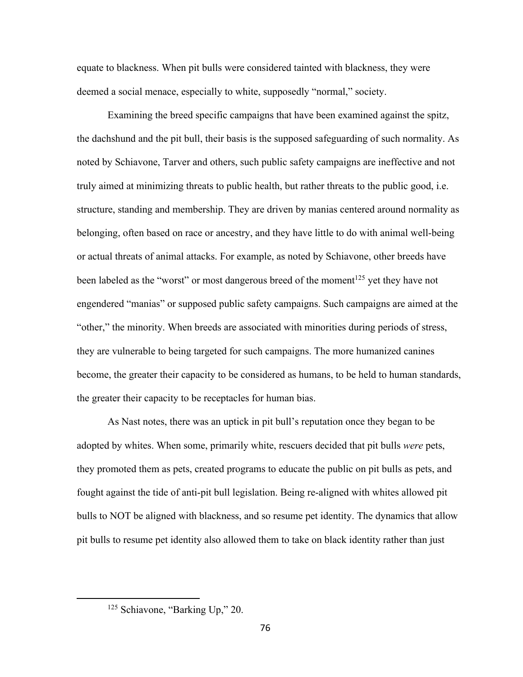equate to blackness. When pit bulls were considered tainted with blackness, they were deemed a social menace, especially to white, supposedly "normal," society.

Examining the breed specific campaigns that have been examined against the spitz, the dachshund and the pit bull, their basis is the supposed safeguarding of such normality. As noted by Schiavone, Tarver and others, such public safety campaigns are ineffective and not truly aimed at minimizing threats to public health, but rather threats to the public good, i.e. structure, standing and membership. They are driven by manias centered around normality as belonging, often based on race or ancestry, and they have little to do with animal well-being or actual threats of animal attacks. For example, as noted by Schiavone, other breeds have been labeled as the "worst" or most dangerous breed of the moment<sup>125</sup> yet they have not engendered "manias" or supposed public safety campaigns. Such campaigns are aimed at the "other," the minority. When breeds are associated with minorities during periods of stress, they are vulnerable to being targeted for such campaigns. The more humanized canines become, the greater their capacity to be considered as humans, to be held to human standards, the greater their capacity to be receptacles for human bias.

As Nast notes, there was an uptick in pit bull's reputation once they began to be adopted by whites. When some, primarily white, rescuers decided that pit bulls *were* pets, they promoted them as pets, created programs to educate the public on pit bulls as pets, and fought against the tide of anti-pit bull legislation. Being re-aligned with whites allowed pit bulls to NOT be aligned with blackness, and so resume pet identity. The dynamics that allow pit bulls to resume pet identity also allowed them to take on black identity rather than just

<sup>&</sup>lt;sup>125</sup> Schiavone, "Barking Up," 20.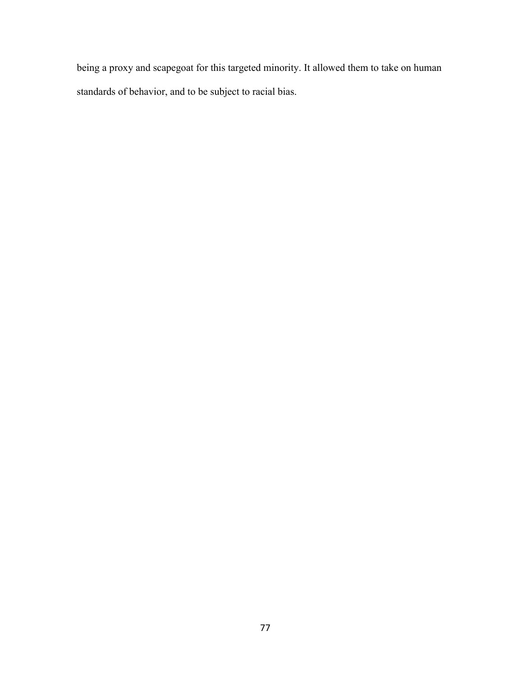being a proxy and scapegoat for this targeted minority. It allowed them to take on human standards of behavior, and to be subject to racial bias.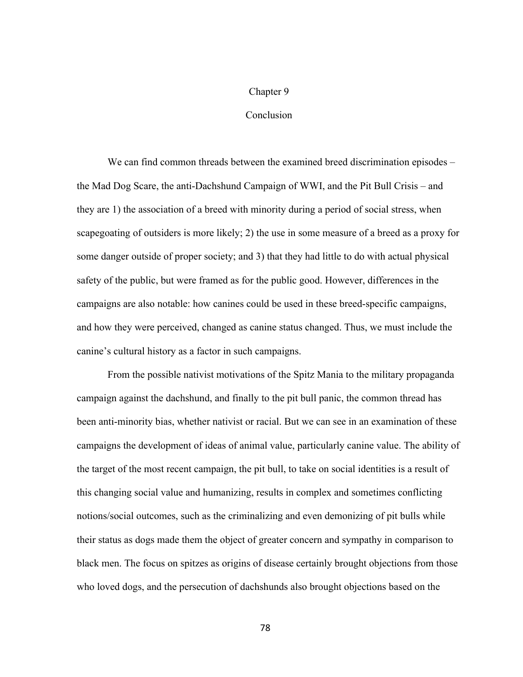### Chapter 9

## Conclusion

We can find common threads between the examined breed discrimination episodes – the Mad Dog Scare, the anti-Dachshund Campaign of WWI, and the Pit Bull Crisis – and they are 1) the association of a breed with minority during a period of social stress, when scapegoating of outsiders is more likely; 2) the use in some measure of a breed as a proxy for some danger outside of proper society; and 3) that they had little to do with actual physical safety of the public, but were framed as for the public good. However, differences in the campaigns are also notable: how canines could be used in these breed-specific campaigns, and how they were perceived, changed as canine status changed. Thus, we must include the canine's cultural history as a factor in such campaigns.

From the possible nativist motivations of the Spitz Mania to the military propaganda campaign against the dachshund, and finally to the pit bull panic, the common thread has been anti-minority bias, whether nativist or racial. But we can see in an examination of these campaigns the development of ideas of animal value, particularly canine value. The ability of the target of the most recent campaign, the pit bull, to take on social identities is a result of this changing social value and humanizing, results in complex and sometimes conflicting notions/social outcomes, such as the criminalizing and even demonizing of pit bulls while their status as dogs made them the object of greater concern and sympathy in comparison to black men. The focus on spitzes as origins of disease certainly brought objections from those who loved dogs, and the persecution of dachshunds also brought objections based on the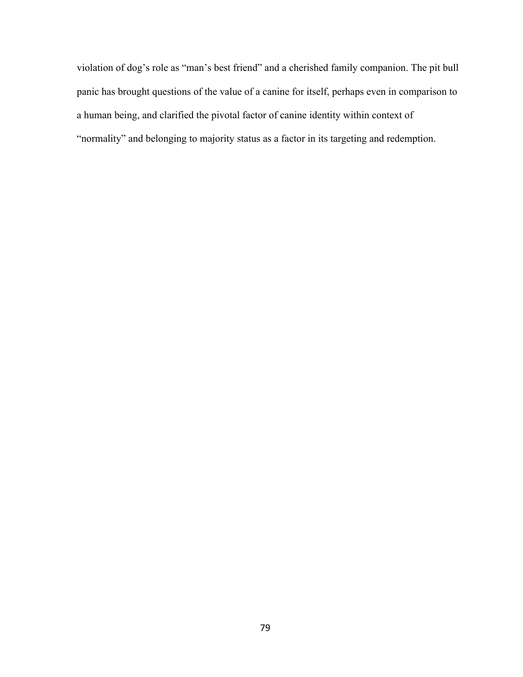violation of dog's role as "man's best friend" and a cherished family companion. The pit bull panic has brought questions of the value of a canine for itself, perhaps even in comparison to a human being, and clarified the pivotal factor of canine identity within context of "normality" and belonging to majority status as a factor in its targeting and redemption.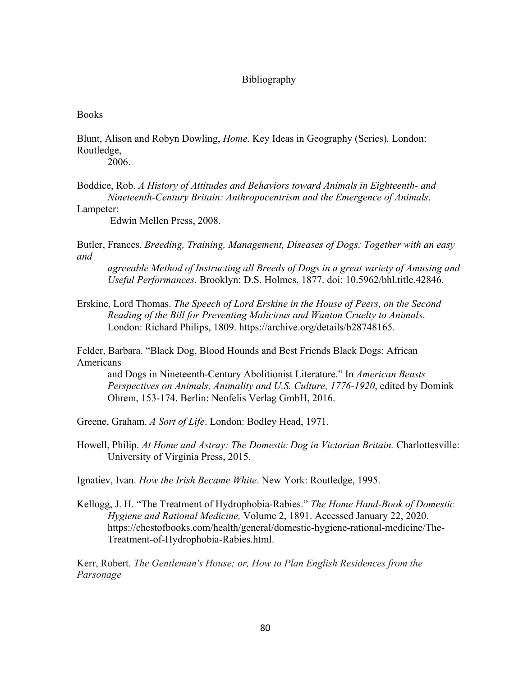## Bibliography

### **Books**

Blunt, Alison and Robyn Dowling, *Home*. Key Ideas in Geography (Series)*.* London: Routledge,

2006.

Boddice, Rob. *A History of Attitudes and Behaviors toward Animals in Eighteenth- and Nineteenth-Century Britain: Anthropocentrism and the Emergence of Animals*.

Lampeter:

Edwin Mellen Press, 2008.

Butler, Frances. *Breeding, Training, Management, Diseases of Dogs: Together with an easy and*

*agreeable Method of Instructing all Breeds of Dogs in a great variety of Amusing and Useful Performances*. Brooklyn: D.S. Holmes, 1877. doi: 10.5962/bhl.title.42846.

Erskine, Lord Thomas. *The Speech of Lord Erskine in the House of Peers, on the Second Reading of the Bill for Preventing Malicious and Wanton Cruelty to Animals*. London: Richard Philips, 1809. https://archive.org/details/b28748165.

Felder, Barbara. "Black Dog, Blood Hounds and Best Friends Black Dogs: African Americans

and Dogs in Nineteenth-Century Abolitionist Literature." In *American Beasts Perspectives on Animals, Animality and U.S. Culture, 1776-1920*, edited by Domink Ohrem, 153-174. Berlin: Neofelis Verlag GmbH, 2016.

Greene, Graham. *A Sort of Life*. London: Bodley Head, 1971.

Howell, Philip. *At Home and Astray: The Domestic Dog in Victorian Britain.* Charlottesville: University of Virginia Press, 2015.

Ignatiev, Ivan. *How the Irish Became White*. New York: Routledge, 1995.

Kellogg, J. H. "The Treatment of Hydrophobia-Rabies." *The Home Hand-Book of Domestic Hygiene and Rational Medicine,* Volume 2, 1891. Accessed January 22, 2020. https://chestofbooks.com/health/general/domestic-hygiene-rational-medicine/The-Treatment-of-Hydrophobia-Rabies.html.

Kerr, Robert*. The Gentleman's House; or, How to Plan English Residences from the Parsonage*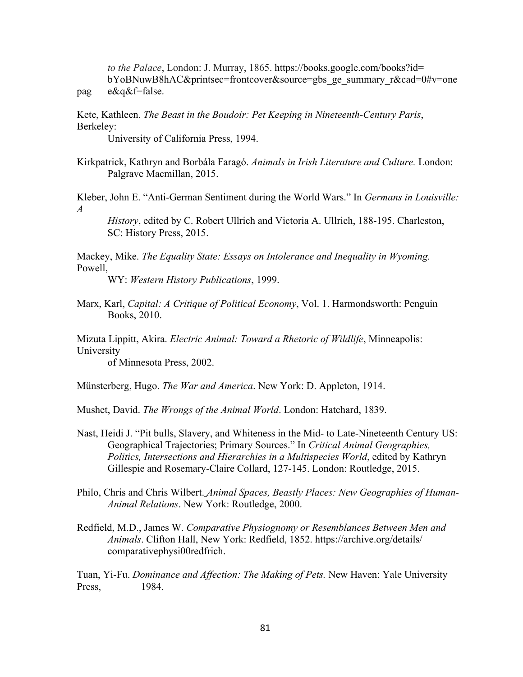*to the Palace*, London: J. Murray, 1865. https://books.google.com/books?id= bYoBNuwB8hAC&printsec=frontcover&source=gbs\_ge\_summary\_r&cad=0#v=one pag e&q&f=false.

Kete, Kathleen. *The Beast in the Boudoir: Pet Keeping in Nineteenth-Century Paris*, Berkeley:

University of California Press, 1994.

Kirkpatrick, Kathryn and Borbála Faragó. *Animals in Irish Literature and Culture.* London: Palgrave Macmillan, 2015.

Kleber, John E. "Anti-German Sentiment during the World Wars." In *Germans in Louisville: A*

*History*, edited by C. Robert Ullrich and Victoria A. Ullrich, 188-195. Charleston, SC: History Press, 2015.

Mackey, Mike. *The Equality State: Essays on Intolerance and Inequality in Wyoming.*  Powell,

WY: *Western History Publications*, 1999.

Marx, Karl, *Capital: A Critique of Political Economy*, Vol. 1. Harmondsworth: Penguin Books, 2010.

Mizuta Lippitt, Akira. *Electric Animal: Toward a Rhetoric of Wildlife*, Minneapolis: University

of Minnesota Press, 2002.

Münsterberg, Hugo. *The War and America*. New York: D. Appleton, 1914.

Mushet, David. *The Wrongs of the Animal World*. London: Hatchard, 1839.

- Nast, Heidi J. "Pit bulls, Slavery, and Whiteness in the Mid- to Late-Nineteenth Century US: Geographical Trajectories; Primary Sources." In *Critical Animal Geographies, Politics, Intersections and Hierarchies in a Multispecies World*, edited by Kathryn Gillespie and Rosemary-Claire Collard, 127-145. London: Routledge, 2015.
- Philo, Chris and Chris Wilbert. *Animal Spaces, Beastly Places: New Geographies of Human-Animal Relations*. New York: Routledge, 2000.
- Redfield, M.D., James W. *Comparative Physiognomy or Resemblances Between Men and Animals*. Clifton Hall, New York: Redfield, 1852. https://archive.org/details/ comparativephysi00redfrich.

Tuan, Yi-Fu. *Dominance and Affection: The Making of Pets.* New Haven: Yale University Press, 1984.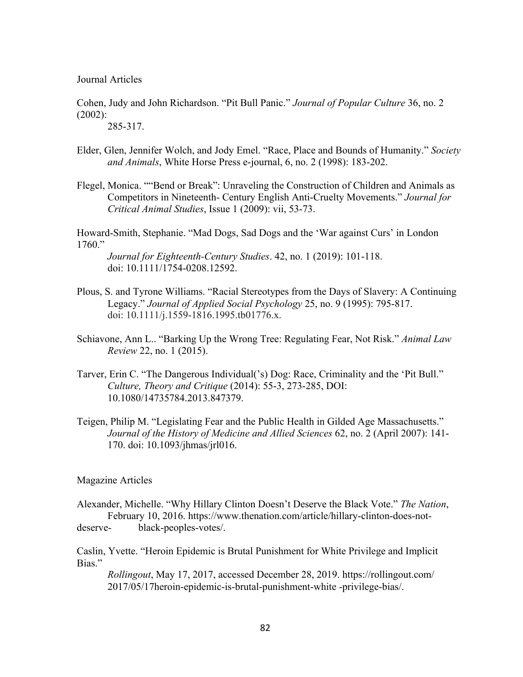Journal Articles

Cohen, Judy and John Richardson. "Pit Bull Panic." *Journal of Popular Culture* 36, no. 2 (2002):

285-317.

- Elder, Glen, Jennifer Wolch, and Jody Emel. "Race, Place and Bounds of Humanity." *Society and Animals*, White Horse Press e-journal, 6, no. 2 (1998): 183-202.
- Flegel, Monica. ""Bend or Break": Unraveling the Construction of Children and Animals as Competitors in Nineteenth- Century English Anti-Cruelty Movements." *Journal for Critical Animal Studies*, Issue 1 (2009): vii, 53-73.

Howard-Smith, Stephanie. "Mad Dogs, Sad Dogs and the 'War against Curs' in London 1760."

*Journal for Eighteenth-Century Studies*. 42, no. 1 (2019): 101-118. doi: 10.1111/1754-0208.12592.

- Plous, S. and Tyrone Williams. "Racial Stereotypes from the Days of Slavery: A Continuing Legacy." *Journal of Applied Social Psychology* 25, no. 9 (1995): 795-817. doi: 10.1111/j.1559-1816.1995.tb01776.x.
- Schiavone, Ann L.. "Barking Up the Wrong Tree: Regulating Fear, Not Risk." *Animal Law Review* 22, no. 1 (2015).
- Tarver, Erin C. "The Dangerous Individual('s) Dog: Race, Criminality and the 'Pit Bull." *Culture, Theory and Critique* (2014): 55-3, 273-285, DOI: 10.1080/14735784.2013.847379.
- Teigen, Philip M. "Legislating Fear and the Public Health in Gilded Age Massachusetts." *Journal of the History of Medicine and Allied Sciences* 62, no. 2 (April 2007): 141- 170. doi: 10.1093/jhmas/jrl016.

Magazine Articles

Alexander, Michelle. "Why Hillary Clinton Doesn't Deserve the Black Vote." *The Nation*, February 10, 2016. https://www.thenation.com/article/hillary-clinton-does-notdeserve- black-peoples-votes/.

Caslin, Yvette. "Heroin Epidemic is Brutal Punishment for White Privilege and Implicit Bias."

*Rollingout*, May 17, 2017, accessed December 28, 2019. https://rollingout.com/ 2017/05/17heroin-epidemic-is-brutal-punishment-white -privilege-bias/.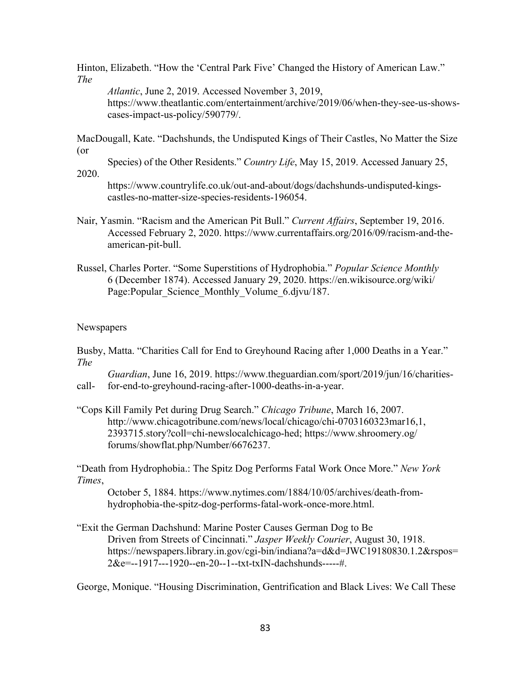Hinton, Elizabeth. "How the 'Central Park Five' Changed the History of American Law." *The*

*Atlantic*, June 2, 2019. Accessed November 3, 2019, https://www.theatlantic.com/entertainment/archive/2019/06/when-they-see-us-showscases-impact-us-policy/590779/.

MacDougall, Kate. "Dachshunds, the Undisputed Kings of Their Castles, No Matter the Size (or

Species) of the Other Residents." *Country Life*, May 15, 2019. Accessed January 25,

2020.

https://www.countrylife.co.uk/out-and-about/dogs/dachshunds-undisputed-kingscastles-no-matter-size-species-residents-196054.

- Nair, Yasmin. "Racism and the American Pit Bull." *Current Affairs*, September 19, 2016. Accessed February 2, 2020. https://www.currentaffairs.org/2016/09/racism-and-theamerican-pit-bull.
- Russel, Charles Porter. "Some Superstitions of Hydrophobia." *Popular Science Monthly* 6 (December 1874). Accessed January 29, 2020. https://en.wikisource.org/wiki/ Page:Popular\_Science\_Monthly\_Volume\_6.djvu/187.

# Newspapers

Busby, Matta. "Charities Call for End to Greyhound Racing after 1,000 Deaths in a Year." *The*

*Guardian*, June 16, 2019. https://www.theguardian.com/sport/2019/jun/16/charitiescall- for-end-to-greyhound-racing-after-1000-deaths-in-a-year.

"Cops Kill Family Pet during Drug Search." *Chicago Tribune*, March 16, 2007. http://www.chicagotribune.com/news/local/chicago/chi-0703160323mar16,1, 2393715.story?coll=chi-newslocalchicago-hed; https://www.shroomery.og/ forums/showflat.php/Number/6676237.

"Death from Hydrophobia.: The Spitz Dog Performs Fatal Work Once More." *New York Times*,

October 5, 1884. https://www.nytimes.com/1884/10/05/archives/death-fromhydrophobia-the-spitz-dog-performs-fatal-work-once-more.html.

"Exit the German Dachshund: Marine Poster Causes German Dog to Be Driven from Streets of Cincinnati." *Jasper Weekly Courier*, August 30, 1918. https://newspapers.library.in.gov/cgi-bin/indiana?a=d&d=JWC19180830.1.2&rspos= 2&e=--1917---1920--en-20--1--txt-txIN-dachshunds-----#.

George, Monique. "Housing Discrimination, Gentrification and Black Lives: We Call These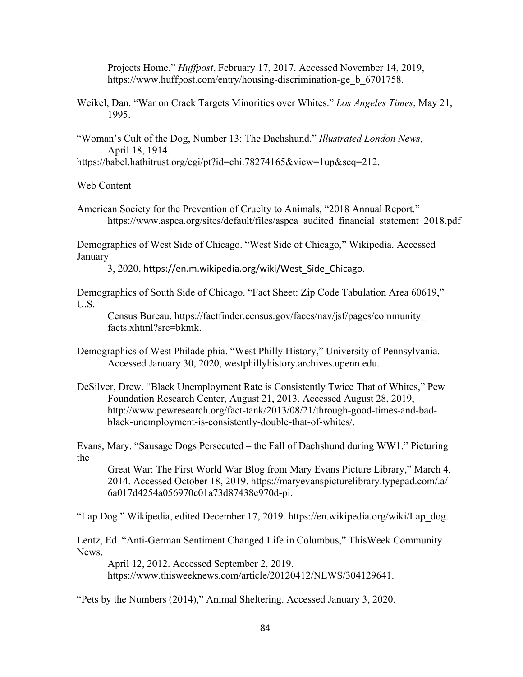Projects Home." *Huffpost*, February 17, 2017. Accessed November 14, 2019, https://www.huffpost.com/entry/housing-discrimination-ge b 6701758.

- Weikel, Dan. "War on Crack Targets Minorities over Whites." *Los Angeles Times*, May 21, 1995.
- "Woman's Cult of the Dog, Number 13: The Dachshund." *Illustrated London News,* April 18, 1914.

https://babel.hathitrust.org/cgi/pt?id=chi.78274165&view=1up&seq=212.

Web Content

American Society for the Prevention of Cruelty to Animals, "2018 Annual Report." https://www.aspca.org/sites/default/files/aspca\_audited\_financial\_statement\_2018.pdf

Demographics of West Side of Chicago. "West Side of Chicago," Wikipedia. Accessed January

3, 2020, https://en.m.wikipedia.org/wiki/West\_Side\_Chicago.

Demographics of South Side of Chicago. "Fact Sheet: Zip Code Tabulation Area 60619," U.S.

Census Bureau. https://factfinder.census.gov/faces/nav/jsf/pages/community\_ facts.xhtml?src=bkmk.

- Demographics of West Philadelphia. "West Philly History," University of Pennsylvania. Accessed January 30, 2020, westphillyhistory.archives.upenn.edu.
- DeSilver, Drew. "Black Unemployment Rate is Consistently Twice That of Whites," Pew Foundation Research Center, August 21, 2013. Accessed August 28, 2019, http://www.pewresearch.org/fact-tank/2013/08/21/through-good-times-and-badblack-unemployment-is-consistently-double-that-of-whites/.

Evans, Mary. "Sausage Dogs Persecuted – the Fall of Dachshund during WW1." Picturing the

Great War: The First World War Blog from Mary Evans Picture Library," March 4, 2014. Accessed October 18, 2019. https://maryevanspicturelibrary.typepad.com/.a/ 6a017d4254a056970c01a73d87438c970d-pi.

"Lap Dog." Wikipedia, edited December 17, 2019. https://en.wikipedia.org/wiki/Lap\_dog.

Lentz, Ed. "Anti-German Sentiment Changed Life in Columbus," ThisWeek Community News,

April 12, 2012. Accessed September 2, 2019. https://www.thisweeknews.com/article/20120412/NEWS/304129641.

"Pets by the Numbers (2014)," Animal Sheltering. Accessed January 3, 2020.